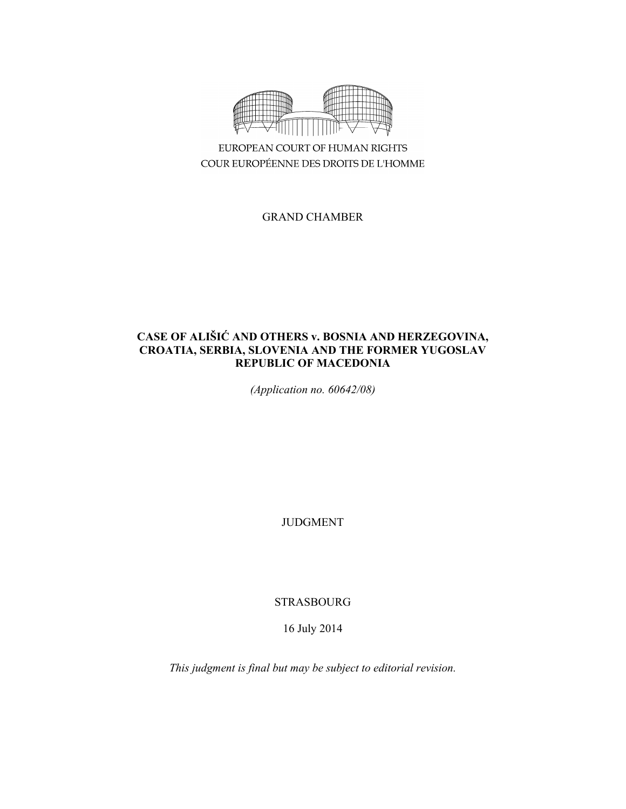

EUROPEAN COURT OF HUMAN RIGHTS COUR EUROPÉENNE DES DROITS DE L'HOMME

GRAND CHAMBER

# **CASE OF ALIŠIĆ AND OTHERS v. BOSNIA AND HERZEGOVINA, CROATIA, SERBIA, SLOVENIA AND THE FORMER YUGOSLAV REPUBLIC OF MACEDONIA**

*(Application no. 60642/08)* 

JUDGMENT

STRASBOURG

16 July 2014

*This judgment is final but may be subject to editorial revision.*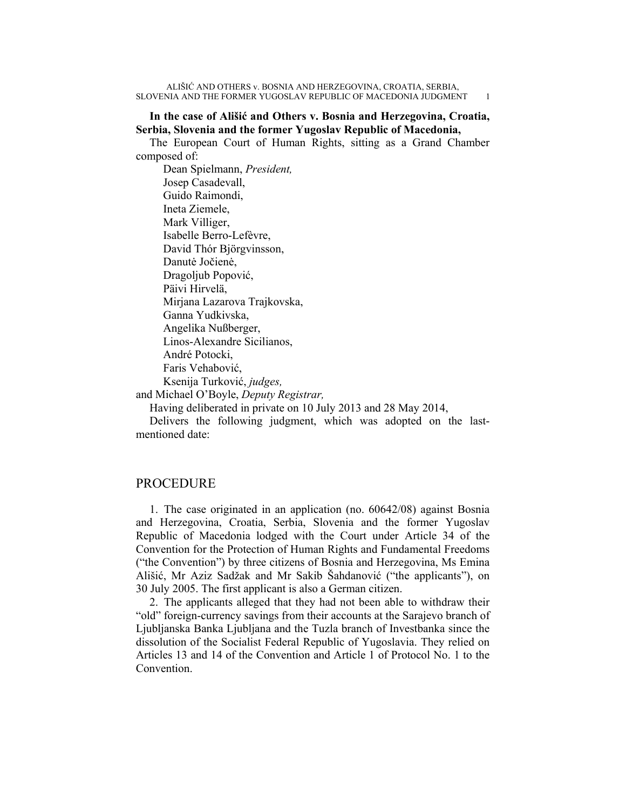## **In the case of Ališić and Others v. Bosnia and Herzegovina, Croatia, Serbia, Slovenia and the former Yugoslav Republic of Macedonia,**

The European Court of Human Rights, sitting as a Grand Chamber composed of:

 Dean Spielmann, *President,*  Josep Casadevall, Guido Raimondi, Ineta Ziemele, Mark Villiger, Isabelle Berro-Lefèvre, David Thór Björgvinsson, Danutė Jočienė, Dragoljub Popović, Päivi Hirvelä, Mirjana Lazarova Trajkovska, Ganna Yudkivska, Angelika Nußberger, Linos-Alexandre Sicilianos, André Potocki, Faris Vehabović, Ksenija Turković, *judges,*

and Michael O'Boyle, *Deputy Registrar,*

Having deliberated in private on 10 July 2013 and 28 May 2014,

Delivers the following judgment, which was adopted on the lastmentioned date:

## PROCEDURE

1. The case originated in an application (no. 60642/08) against Bosnia and Herzegovina, Croatia, Serbia, Slovenia and the former Yugoslav Republic of Macedonia lodged with the Court under Article 34 of the Convention for the Protection of Human Rights and Fundamental Freedoms ("the Convention") by three citizens of Bosnia and Herzegovina, Ms Emina Ališić, Mr Aziz Sadžak and Mr Sakib Šahdanović ("the applicants"), on 30 July 2005. The first applicant is also a German citizen.

2. The applicants alleged that they had not been able to withdraw their "old" foreign-currency savings from their accounts at the Sarajevo branch of Ljubljanska Banka Ljubljana and the Tuzla branch of Investbanka since the dissolution of the Socialist Federal Republic of Yugoslavia. They relied on Articles 13 and 14 of the Convention and Article 1 of Protocol No. 1 to the Convention.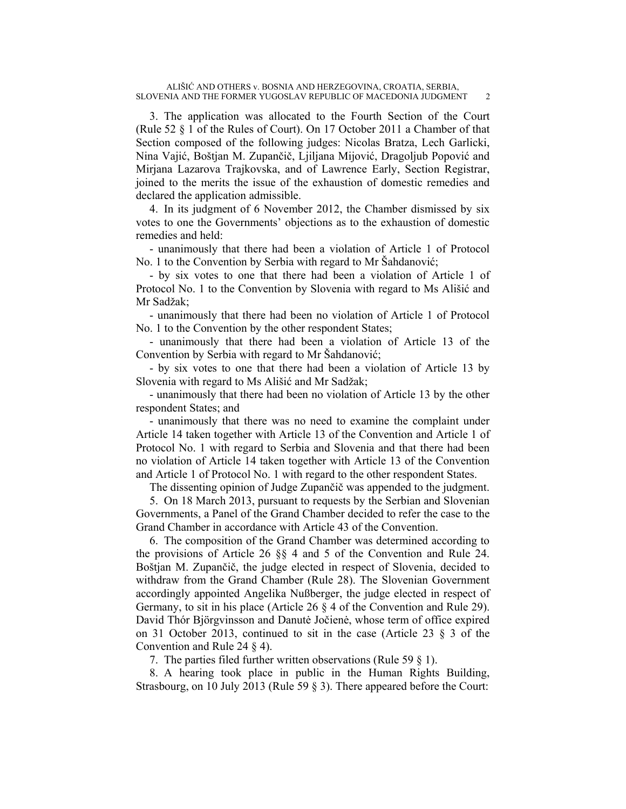3. The application was allocated to the Fourth Section of the Court (Rule 52 § 1 of the Rules of Court). On 17 October 2011 a Chamber of that Section composed of the following judges: Nicolas Bratza, Lech Garlicki, Nina Vajić, Boštjan M. Zupančič, Ljiljana Mijović, Dragoljub Popović and Mirjana Lazarova Trajkovska, and of Lawrence Early, Section Registrar, joined to the merits the issue of the exhaustion of domestic remedies and declared the application admissible.

4. In its judgment of 6 November 2012, the Chamber dismissed by six votes to one the Governments' objections as to the exhaustion of domestic remedies and held:

- unanimously that there had been a violation of Article 1 of Protocol No. 1 to the Convention by Serbia with regard to Mr Šahdanović;

- by six votes to one that there had been a violation of Article 1 of Protocol No. 1 to the Convention by Slovenia with regard to Ms Ališić and Mr Sadžak;

- unanimously that there had been no violation of Article 1 of Protocol No. 1 to the Convention by the other respondent States;

- unanimously that there had been a violation of Article 13 of the Convention by Serbia with regard to Mr Šahdanović;

- by six votes to one that there had been a violation of Article 13 by Slovenia with regard to Ms Ališić and Mr Sadžak;

- unanimously that there had been no violation of Article 13 by the other respondent States; and

- unanimously that there was no need to examine the complaint under Article 14 taken together with Article 13 of the Convention and Article 1 of Protocol No. 1 with regard to Serbia and Slovenia and that there had been no violation of Article 14 taken together with Article 13 of the Convention and Article 1 of Protocol No. 1 with regard to the other respondent States.

The dissenting opinion of Judge Zupančič was appended to the judgment.

5. On 18 March 2013, pursuant to requests by the Serbian and Slovenian Governments, a Panel of the Grand Chamber decided to refer the case to the Grand Chamber in accordance with Article 43 of the Convention.

6. The composition of the Grand Chamber was determined according to the provisions of Article 26 §§ 4 and 5 of the Convention and Rule 24. Boštjan M. Zupančič, the judge elected in respect of Slovenia, decided to withdraw from the Grand Chamber (Rule 28). The Slovenian Government accordingly appointed Angelika Nußberger, the judge elected in respect of Germany, to sit in his place (Article 26 § 4 of the Convention and Rule 29). David Thór Björgvinsson and Danutė Jočienė, whose term of office expired on 31 October 2013, continued to sit in the case (Article 23 § 3 of the Convention and Rule 24 § 4).

7. The parties filed further written observations (Rule 59 § 1).

8. A hearing took place in public in the Human Rights Building, Strasbourg, on 10 July 2013 (Rule 59 § 3). There appeared before the Court: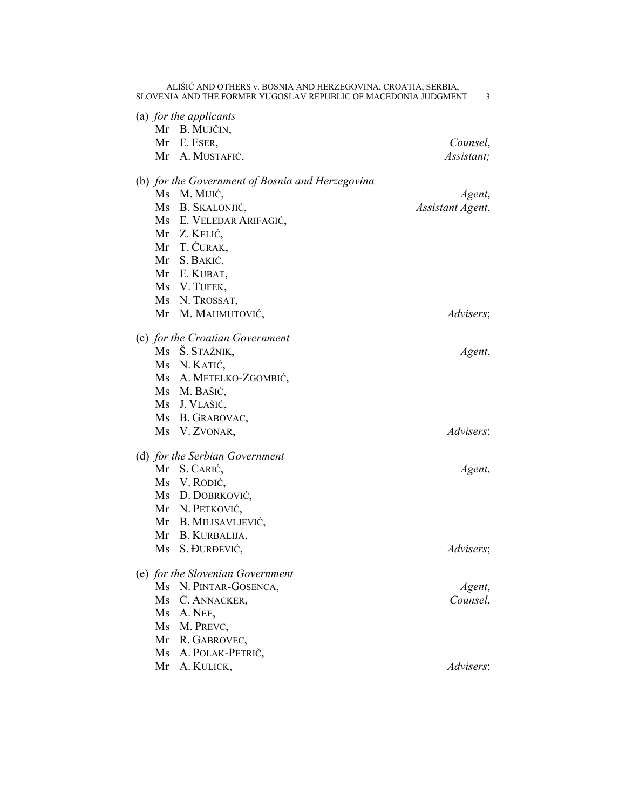|  |                                  | (a) for the applicants                           |                  |
|--|----------------------------------|--------------------------------------------------|------------------|
|  |                                  | Mr B. MUJČIN,                                    |                  |
|  |                                  | Mr E. ESER,                                      | Counsel,         |
|  |                                  | Mr A. MUSTAFIĆ,                                  | Assistant;       |
|  |                                  | (b) for the Government of Bosnia and Herzegovina |                  |
|  |                                  | Ms M. MIJIĆ,                                     | Agent,           |
|  |                                  | Ms B. SKALONJIĆ,                                 | Assistant Agent, |
|  |                                  | Ms E. VELEDAR ARIFAGIĆ,                          |                  |
|  |                                  | Mr Z. KELIĆ,                                     |                  |
|  |                                  | Mr T. ĆURAK,                                     |                  |
|  |                                  | Mr S. BAKIĆ,                                     |                  |
|  |                                  | Mr E. KUBAT,                                     |                  |
|  |                                  | Ms V. TUFEK,                                     |                  |
|  |                                  | Ms N. TROSSAT,                                   |                  |
|  |                                  | Mr M. MAHMUTOVIĆ,                                | Advisers;        |
|  |                                  | (c) for the Croatian Government                  |                  |
|  |                                  | Ms Š. STAŽNIK,                                   | Agent,           |
|  |                                  | Ms N. KATIĆ,                                     |                  |
|  |                                  | Ms A. METELKO-ZGOMBIĆ,                           |                  |
|  |                                  | Ms M. BAŠIĆ,                                     |                  |
|  |                                  | Ms J. VLAŠIĆ,                                    |                  |
|  |                                  | Ms B. GRABOVAC,                                  |                  |
|  |                                  | Ms V. ZVONAR,                                    | Advisers;        |
|  | (d) for the Serbian Government   |                                                  |                  |
|  |                                  | Mr S. CARIĆ,                                     | Agent,           |
|  |                                  | Ms V. RODIĆ,                                     |                  |
|  |                                  | Ms D. DOBRKOVIĆ,                                 |                  |
|  |                                  | Mr N. PETKOVIĆ,                                  |                  |
|  |                                  | Mr B. MILISAVLJEVIĆ,                             |                  |
|  |                                  | Mr B. KURBALIJA,                                 |                  |
|  |                                  | Ms S. ĐURĐEVIĆ,                                  | Advisers;        |
|  | (e) for the Slovenian Government |                                                  |                  |
|  | Ms                               | N. PINTAR-GOSENCA,                               | Agent,           |
|  | Ms                               | C. ANNACKER,                                     | Counsel,         |
|  |                                  | Ms A. NEE,                                       |                  |
|  |                                  | Ms M. PREVC,                                     |                  |
|  |                                  | Mr R. GABROVEC,                                  |                  |
|  | Ms                               | A. POLAK-PETRIČ,                                 |                  |
|  | Mr                               | A. KULICK,                                       | Advisers;        |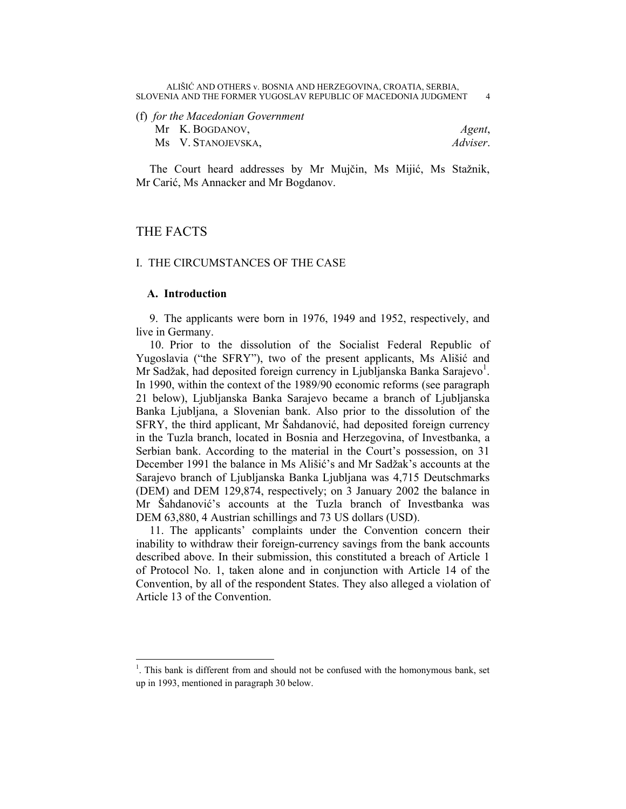(f) *for the Macedonian Government* Mr K. BOGDANOV, *Agent*, Ms V. STANOJEVSKA, *Adviser*.

The Court heard addresses by Mr Mujčin, Ms Mijić, Ms Stažnik, Mr Carić, Ms Annacker and Mr Bogdanov.

## THE FACTS

 $\overline{a}$ 

## I. THE CIRCUMSTANCES OF THE CASE

## **A. Introduction**

9. The applicants were born in 1976, 1949 and 1952, respectively, and live in Germany.

10. Prior to the dissolution of the Socialist Federal Republic of Yugoslavia ("the SFRY"), two of the present applicants, Ms Ališić and Mr Sadžak, had deposited foreign currency in Ljubljanska Banka Sarajevo<sup>1</sup>. In 1990, within the context of the 1989/90 economic reforms (see paragraph 21 below), Ljubljanska Banka Sarajevo became a branch of Ljubljanska Banka Ljubljana, a Slovenian bank. Also prior to the dissolution of the SFRY, the third applicant, Mr Šahdanović, had deposited foreign currency in the Tuzla branch, located in Bosnia and Herzegovina, of Investbanka, a Serbian bank. According to the material in the Court's possession, on 31 December 1991 the balance in Ms Ališić's and Mr Sadžak's accounts at the Sarajevo branch of Ljubljanska Banka Ljubljana was 4,715 Deutschmarks (DEM) and DEM 129,874, respectively; on 3 January 2002 the balance in Mr Šahdanović's accounts at the Tuzla branch of Investbanka was DEM 63,880, 4 Austrian schillings and 73 US dollars (USD).

11. The applicants' complaints under the Convention concern their inability to withdraw their foreign-currency savings from the bank accounts described above. In their submission, this constituted a breach of Article 1 of Protocol No. 1, taken alone and in conjunction with Article 14 of the Convention, by all of the respondent States. They also alleged a violation of Article 13 of the Convention.

 $<sup>1</sup>$ . This bank is different from and should not be confused with the homonymous bank, set</sup> up in 1993, mentioned in paragraph 30 below.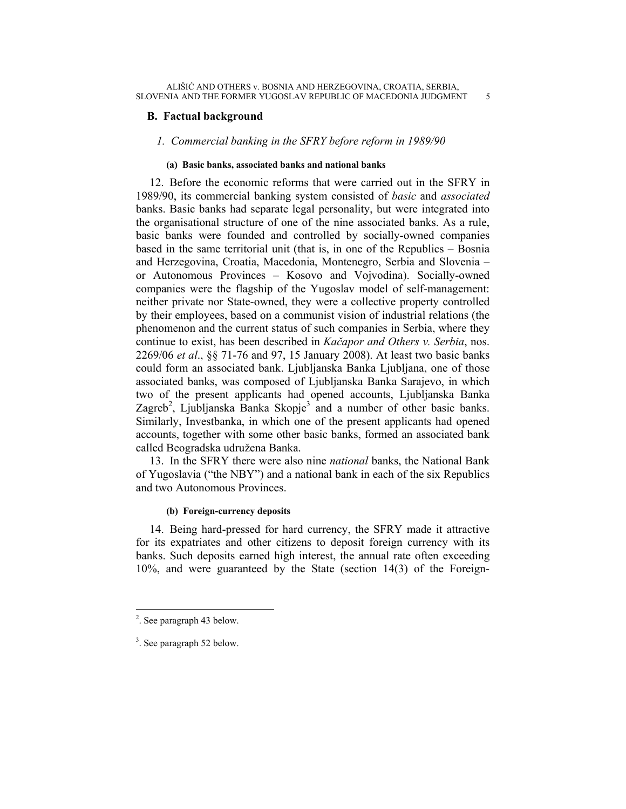## **B. Factual background**

## *1. Commercial banking in the SFRY before reform in 1989/90*

## **(a) Basic banks, associated banks and national banks**

12. Before the economic reforms that were carried out in the SFRY in 1989/90, its commercial banking system consisted of *basic* and *associated* banks. Basic banks had separate legal personality, but were integrated into the organisational structure of one of the nine associated banks. As a rule, basic banks were founded and controlled by socially-owned companies based in the same territorial unit (that is, in one of the Republics – Bosnia and Herzegovina, Croatia, Macedonia, Montenegro, Serbia and Slovenia – or Autonomous Provinces – Kosovo and Vojvodina). Socially-owned companies were the flagship of the Yugoslav model of self-management: neither private nor State-owned, they were a collective property controlled by their employees, based on a communist vision of industrial relations (the phenomenon and the current status of such companies in Serbia, where they continue to exist, has been described in *Kačapor and Others v. Serbia*, nos. 2269/06 *et al*., §§ 71-76 and 97, 15 January 2008). At least two basic banks could form an associated bank. Ljubljanska Banka Ljubljana, one of those associated banks, was composed of Ljubljanska Banka Sarajevo, in which two of the present applicants had opened accounts, Ljubljanska Banka Zagreb<sup>2</sup>, Ljubljanska Banka Skopje<sup>3</sup> and a number of other basic banks. Similarly, Investbanka, in which one of the present applicants had opened accounts, together with some other basic banks, formed an associated bank called Beogradska udružena Banka.

13. In the SFRY there were also nine *national* banks, the National Bank of Yugoslavia ("the NBY") and a national bank in each of the six Republics and two Autonomous Provinces.

## **(b) Foreign-currency deposits**

14. Being hard-pressed for hard currency, the SFRY made it attractive for its expatriates and other citizens to deposit foreign currency with its banks. Such deposits earned high interest, the annual rate often exceeding 10%, and were guaranteed by the State (section 14(3) of the Foreign-

<sup>&</sup>lt;sup>2</sup>. See paragraph 43 below.

<sup>3</sup> . See paragraph 52 below.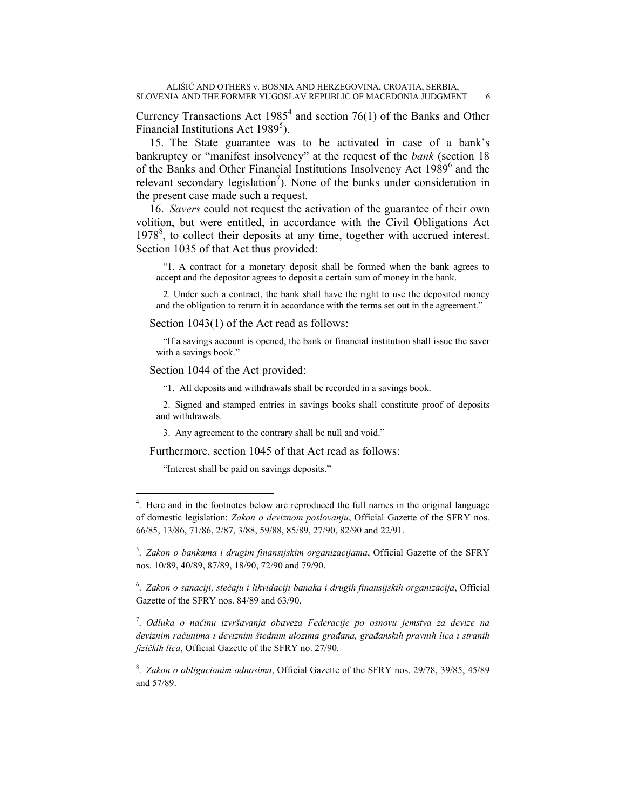Currency Transactions Act  $1985<sup>4</sup>$  and section 76(1) of the Banks and Other Financial Institutions Act 1989<sup>5</sup>).

15. The State guarantee was to be activated in case of a bank's bankruptcy or "manifest insolvency" at the request of the *bank* (section 18 of the Banks and Other Financial Institutions Insolvency Act 1989<sup>6</sup> and the relevant secondary legislation<sup>7</sup>). None of the banks under consideration in the present case made such a request.

16. *Savers* could not request the activation of the guarantee of their own volition, but were entitled, in accordance with the Civil Obligations Act 1978<sup>8</sup>, to collect their deposits at any time, together with accrued interest. Section 1035 of that Act thus provided:

"1. A contract for a monetary deposit shall be formed when the bank agrees to accept and the depositor agrees to deposit a certain sum of money in the bank.

2. Under such a contract, the bank shall have the right to use the deposited money and the obligation to return it in accordance with the terms set out in the agreement."

Section 1043(1) of the Act read as follows:

"If a savings account is opened, the bank or financial institution shall issue the saver with a savings book."

Section 1044 of the Act provided:

"1. All deposits and withdrawals shall be recorded in a savings book.

2. Signed and stamped entries in savings books shall constitute proof of deposits and withdrawals.

3. Any agreement to the contrary shall be null and void."

Furthermore, section 1045 of that Act read as follows:

"Interest shall be paid on savings deposits."

 $\overline{a}$ 

7 . *Odluka o načinu izvršavanja obaveza Federacije po osnovu jemstva za devize na deviznim računima i deviznim štednim ulozima građana, građanskih pravnih lica i stranih fizičkih lica*, Official Gazette of the SFRY no. 27/90.

8 . *Zakon o obligacionim odnosima*, Official Gazette of the SFRY nos. 29/78, 39/85, 45/89 and 57/89.

<sup>&</sup>lt;sup>4</sup>. Here and in the footnotes below are reproduced the full names in the original language of domestic legislation: *Zakon o deviznom poslovanju*, Official Gazette of the SFRY nos. 66/85, 13/86, 71/86, 2/87, 3/88, 59/88, 85/89, 27/90, 82/90 and 22/91.

<sup>5</sup> . *Zakon o bankama i drugim finansijskim organizacijama*, Official Gazette of the SFRY nos. 10/89, 40/89, 87/89, 18/90, 72/90 and 79/90.

<sup>6</sup> . *Zakon o sanaciji, stečaju i likvidaciji banaka i drugih finansijskih organizacija*, Official Gazette of the SFRY nos. 84/89 and 63/90.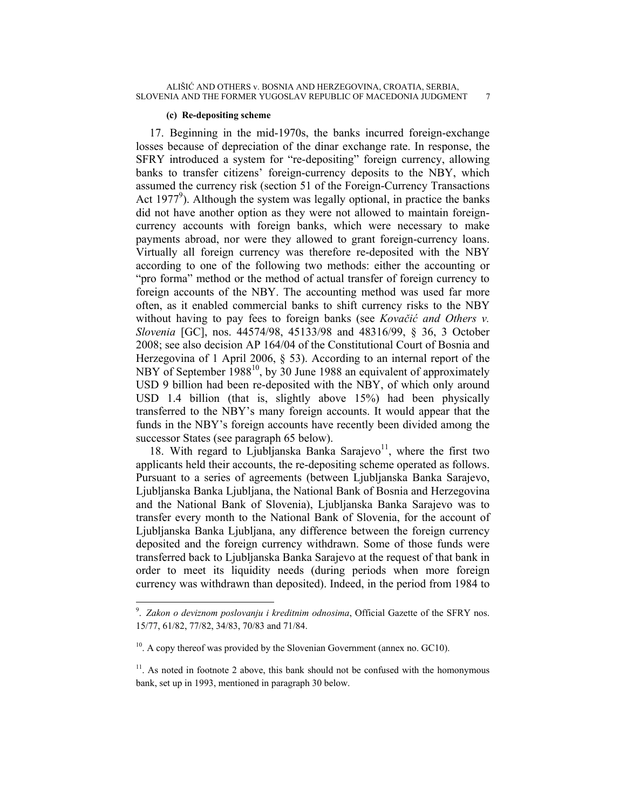#### **(c) Re-depositing scheme**

17. Beginning in the mid-1970s, the banks incurred foreign-exchange losses because of depreciation of the dinar exchange rate. In response, the SFRY introduced a system for "re-depositing" foreign currency, allowing banks to transfer citizens' foreign-currency deposits to the NBY, which assumed the currency risk (section 51 of the Foreign-Currency Transactions Act 1977<sup>9</sup>). Although the system was legally optional, in practice the banks did not have another option as they were not allowed to maintain foreigncurrency accounts with foreign banks, which were necessary to make payments abroad, nor were they allowed to grant foreign-currency loans. Virtually all foreign currency was therefore re-deposited with the NBY according to one of the following two methods: either the accounting or "pro forma" method or the method of actual transfer of foreign currency to foreign accounts of the NBY. The accounting method was used far more often, as it enabled commercial banks to shift currency risks to the NBY without having to pay fees to foreign banks (see *Kovačić and Others v. Slovenia* [GC], nos. 44574/98, 45133/98 and 48316/99, § 36, 3 October 2008; see also decision AP 164/04 of the Constitutional Court of Bosnia and Herzegovina of 1 April 2006, § 53). According to an internal report of the NBY of September 1988<sup>10</sup>, by 30 June 1988 an equivalent of approximately USD 9 billion had been re-deposited with the NBY, of which only around USD 1.4 billion (that is, slightly above 15%) had been physically transferred to the NBY's many foreign accounts. It would appear that the funds in the NBY's foreign accounts have recently been divided among the successor States (see paragraph 65 below).

18. With regard to Ljubljanska Banka Sarajevo $11$ , where the first two applicants held their accounts, the re-depositing scheme operated as follows. Pursuant to a series of agreements (between Ljubljanska Banka Sarajevo, Ljubljanska Banka Ljubljana, the National Bank of Bosnia and Herzegovina and the National Bank of Slovenia), Ljubljanska Banka Sarajevo was to transfer every month to the National Bank of Slovenia, for the account of Ljubljanska Banka Ljubljana, any difference between the foreign currency deposited and the foreign currency withdrawn. Some of those funds were transferred back to Ljubljanska Banka Sarajevo at the request of that bank in order to meet its liquidity needs (during periods when more foreign currency was withdrawn than deposited). Indeed, in the period from 1984 to

 $\overline{a}$ 

<sup>9</sup> . *Zakon o deviznom poslovanju i kreditnim odnosima*, Official Gazette of the SFRY nos. 15/77, 61/82, 77/82, 34/83, 70/83 and 71/84.

 $10<sup>10</sup>$ . A copy thereof was provided by the Slovenian Government (annex no. GC10).

 $11$ . As noted in footnote 2 above, this bank should not be confused with the homonymous bank, set up in 1993, mentioned in paragraph 30 below.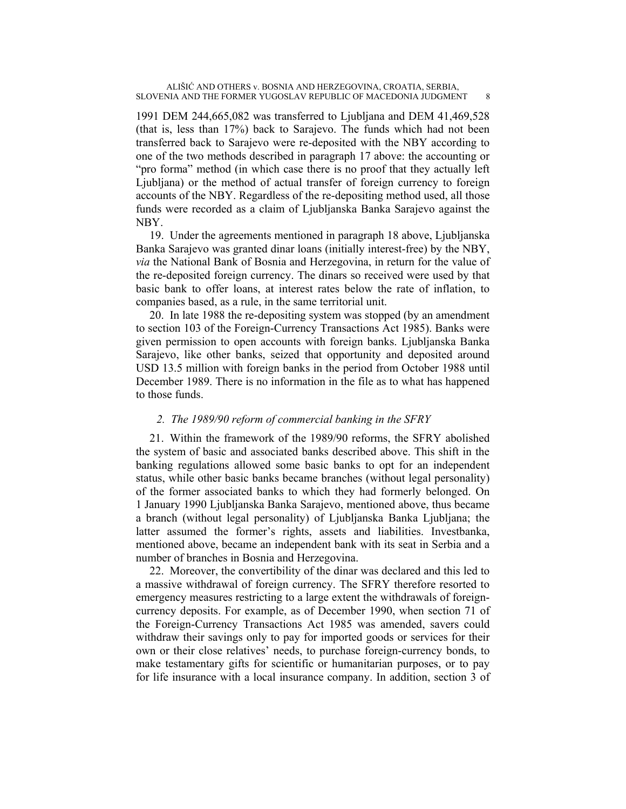1991 DEM 244,665,082 was transferred to Ljubljana and DEM 41,469,528 (that is, less than 17%) back to Sarajevo. The funds which had not been transferred back to Sarajevo were re-deposited with the NBY according to one of the two methods described in paragraph 17 above: the accounting or "pro forma" method (in which case there is no proof that they actually left Ljubljana) or the method of actual transfer of foreign currency to foreign accounts of the NBY. Regardless of the re-depositing method used, all those funds were recorded as a claim of Ljubljanska Banka Sarajevo against the NBY.

19. Under the agreements mentioned in paragraph 18 above, Ljubljanska Banka Sarajevo was granted dinar loans (initially interest-free) by the NBY, *via* the National Bank of Bosnia and Herzegovina, in return for the value of the re-deposited foreign currency. The dinars so received were used by that basic bank to offer loans, at interest rates below the rate of inflation, to companies based, as a rule, in the same territorial unit.

20. In late 1988 the re-depositing system was stopped (by an amendment to section 103 of the Foreign-Currency Transactions Act 1985). Banks were given permission to open accounts with foreign banks. Ljubljanska Banka Sarajevo, like other banks, seized that opportunity and deposited around USD 13.5 million with foreign banks in the period from October 1988 until December 1989. There is no information in the file as to what has happened to those funds.

## *2. The 1989/90 reform of commercial banking in the SFRY*

21. Within the framework of the 1989/90 reforms, the SFRY abolished the system of basic and associated banks described above. This shift in the banking regulations allowed some basic banks to opt for an independent status, while other basic banks became branches (without legal personality) of the former associated banks to which they had formerly belonged. On 1 January 1990 Ljubljanska Banka Sarajevo, mentioned above, thus became a branch (without legal personality) of Ljubljanska Banka Ljubljana; the latter assumed the former's rights, assets and liabilities. Investbanka, mentioned above, became an independent bank with its seat in Serbia and a number of branches in Bosnia and Herzegovina.

22. Moreover, the convertibility of the dinar was declared and this led to a massive withdrawal of foreign currency. The SFRY therefore resorted to emergency measures restricting to a large extent the withdrawals of foreigncurrency deposits. For example, as of December 1990, when section 71 of the Foreign-Currency Transactions Act 1985 was amended, savers could withdraw their savings only to pay for imported goods or services for their own or their close relatives' needs, to purchase foreign-currency bonds, to make testamentary gifts for scientific or humanitarian purposes, or to pay for life insurance with a local insurance company. In addition, section 3 of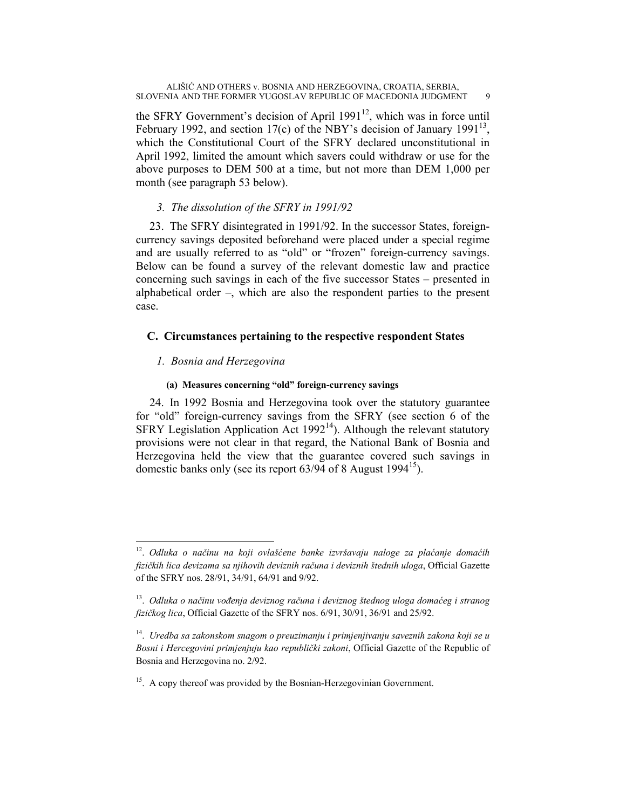the SFRY Government's decision of April  $1991^{12}$ , which was in force until February 1992, and section 17(c) of the NBY's decision of January 1991<sup>13</sup>, which the Constitutional Court of the SFRY declared unconstitutional in April 1992, limited the amount which savers could withdraw or use for the above purposes to DEM 500 at a time, but not more than DEM 1,000 per month (see paragraph 53 below).

## *3. The dissolution of the SFRY in 1991/92*

23. The SFRY disintegrated in 1991/92. In the successor States, foreigncurrency savings deposited beforehand were placed under a special regime and are usually referred to as "old" or "frozen" foreign-currency savings. Below can be found a survey of the relevant domestic law and practice concerning such savings in each of the five successor States – presented in alphabetical order –, which are also the respondent parties to the present case.

## **C. Circumstances pertaining to the respective respondent States**

## *1. Bosnia and Herzegovina*

 $\overline{a}$ 

## **(a) Measures concerning "old" foreign-currency savings**

24. In 1992 Bosnia and Herzegovina took over the statutory guarantee for "old" foreign-currency savings from the SFRY (see section 6 of the SFRY Legislation Application Act  $1992<sup>14</sup>$ ). Although the relevant statutory provisions were not clear in that regard, the National Bank of Bosnia and Herzegovina held the view that the guarantee covered such savings in domestic banks only (see its report  $63/94$  of 8 August 1994<sup>15</sup>).

<sup>12.</sup> *Odluka o načinu na koji ovlašćene banke izvršavaju naloge za plaćanje domaćih fizičkih lica devizama sa njihovih deviznih računa i deviznih štednih uloga*, Official Gazette of the SFRY nos. 28/91, 34/91, 64/91 and 9/92.

<sup>13.</sup> *Odluka o načinu vođenja deviznog računa i deviznog štednog uloga domaćeg i stranog fizičkog lica*, Official Gazette of the SFRY nos. 6/91, 30/91, 36/91 and 25/92.

<sup>14.</sup> *Uredba sa zakonskom snagom o preuzimanju i primjenjivanju saveznih zakona koji se u Bosni i Hercegovini primjenjuju kao republički zakoni*, Official Gazette of the Republic of Bosnia and Herzegovina no. 2/92.

<sup>&</sup>lt;sup>15</sup>. A copy thereof was provided by the Bosnian-Herzegovinian Government.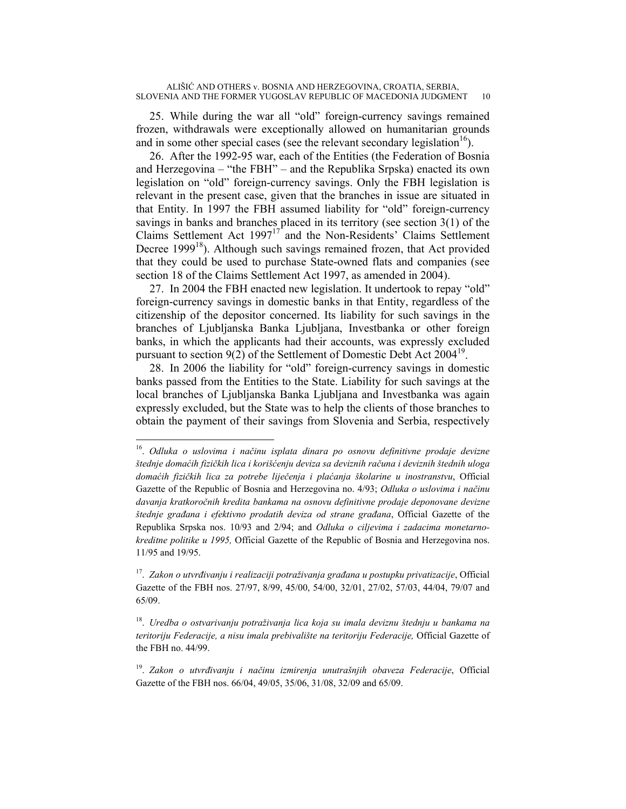25. While during the war all "old" foreign-currency savings remained frozen, withdrawals were exceptionally allowed on humanitarian grounds and in some other special cases (see the relevant secondary legislation<sup>16</sup>).

26. After the 1992-95 war, each of the Entities (the Federation of Bosnia and Herzegovina – "the FBH" – and the Republika Srpska) enacted its own legislation on "old" foreign-currency savings. Only the FBH legislation is relevant in the present case, given that the branches in issue are situated in that Entity. In 1997 the FBH assumed liability for "old" foreign-currency savings in banks and branches placed in its territory (see section 3(1) of the Claims Settlement Act 199717 and the Non-Residents' Claims Settlement Decree 1999 $<sup>18</sup>$ ). Although such savings remained frozen, that Act provided</sup> that they could be used to purchase State-owned flats and companies (see section 18 of the Claims Settlement Act 1997, as amended in 2004).

27. In 2004 the FBH enacted new legislation. It undertook to repay "old" foreign-currency savings in domestic banks in that Entity, regardless of the citizenship of the depositor concerned. Its liability for such savings in the branches of Ljubljanska Banka Ljubljana, Investbanka or other foreign banks, in which the applicants had their accounts, was expressly excluded pursuant to section  $9(2)$  of the Settlement of Domestic Debt Act  $2004^{19}$ .

28. In 2006 the liability for "old" foreign-currency savings in domestic banks passed from the Entities to the State. Liability for such savings at the local branches of Ljubljanska Banka Ljubljana and Investbanka was again expressly excluded, but the State was to help the clients of those branches to obtain the payment of their savings from Slovenia and Serbia, respectively

 $\overline{a}$ 

<sup>16.</sup> *Odluka o uslovima i načinu isplata dinara po osnovu definitivne prodaje devizne štednje domaćih fizičkih lica i korišćenju deviza sa deviznih računa i deviznih štednih uloga domaćih fizičkih lica za potrebe liječenja i plaćanja školarine u inostranstvu*, Official Gazette of the Republic of Bosnia and Herzegovina no. 4/93; *Odluka o uslovima i načinu davanja kratkoročnih kredita bankama na osnovu definitivne prodaje deponovane devizne štednje građana i efektivno prodatih deviza od strane građana*, Official Gazette of the Republika Srpska nos. 10/93 and 2/94; and *Odluka o ciljevima i zadacima monetarnokreditne politike u 1995,* Official Gazette of the Republic of Bosnia and Herzegovina nos. 11/95 and 19/95.

<sup>17.</sup> *Zakon o utvrđivanju i realizaciji potraživanja građana u postupku privatizacije*, Official Gazette of the FBH nos. 27/97, 8/99, 45/00, 54/00, 32/01, 27/02, 57/03, 44/04, 79/07 and 65/09.

<sup>18.</sup> *Uredba o ostvarivanju potraživanja lica koja su imala deviznu štednju u bankama na teritoriju Federacije, a nisu imala prebivalište na teritoriju Federacije,* Official Gazette of the FBH no. 44/99.

<sup>19.</sup> *Zakon o utvrđivanju i načinu izmirenja unutrašnjih obaveza Federacije*, Official Gazette of the FBH nos. 66/04, 49/05, 35/06, 31/08, 32/09 and 65/09.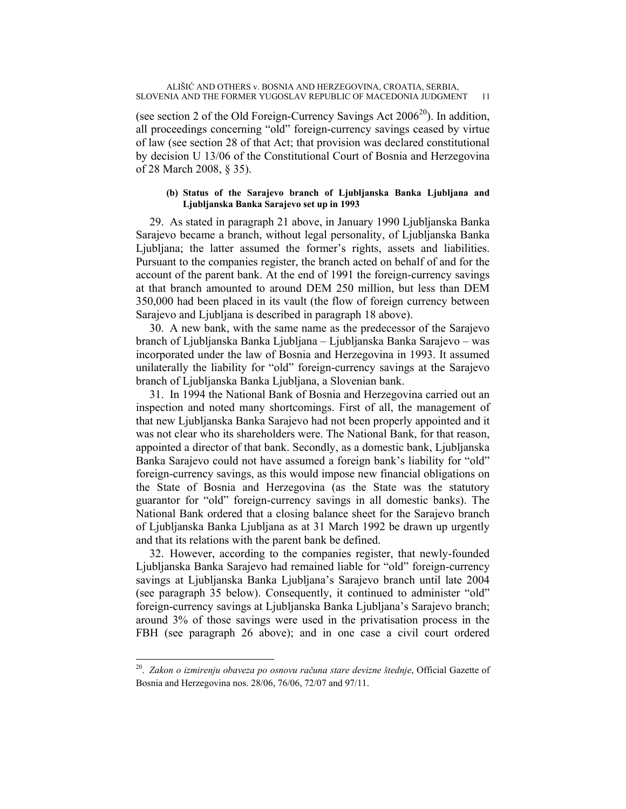(see section 2 of the Old Foreign-Currency Savings Act  $2006^{20}$ ). In addition, all proceedings concerning "old" foreign-currency savings ceased by virtue of law (see section 28 of that Act; that provision was declared constitutional by decision U 13/06 of the Constitutional Court of Bosnia and Herzegovina of 28 March 2008, § 35).

## **(b) Status of the Sarajevo branch of Ljubljanska Banka Ljubljana and Ljubljanska Banka Sarajevo set up in 1993**

29. As stated in paragraph 21 above, in January 1990 Ljubljanska Banka Sarajevo became a branch, without legal personality, of Ljubljanska Banka Ljubljana; the latter assumed the former's rights, assets and liabilities. Pursuant to the companies register, the branch acted on behalf of and for the account of the parent bank. At the end of 1991 the foreign-currency savings at that branch amounted to around DEM 250 million, but less than DEM 350,000 had been placed in its vault (the flow of foreign currency between Sarajevo and Ljubljana is described in paragraph 18 above).

30. A new bank, with the same name as the predecessor of the Sarajevo branch of Ljubljanska Banka Ljubljana – Ljubljanska Banka Sarajevo – was incorporated under the law of Bosnia and Herzegovina in 1993. It assumed unilaterally the liability for "old" foreign-currency savings at the Sarajevo branch of Ljubljanska Banka Ljubljana, a Slovenian bank.

31. In 1994 the National Bank of Bosnia and Herzegovina carried out an inspection and noted many shortcomings. First of all, the management of that new Ljubljanska Banka Sarajevo had not been properly appointed and it was not clear who its shareholders were. The National Bank, for that reason, appointed a director of that bank. Secondly, as a domestic bank, Ljubljanska Banka Sarajevo could not have assumed a foreign bank's liability for "old" foreign-currency savings, as this would impose new financial obligations on the State of Bosnia and Herzegovina (as the State was the statutory guarantor for "old" foreign-currency savings in all domestic banks). The National Bank ordered that a closing balance sheet for the Sarajevo branch of Ljubljanska Banka Ljubljana as at 31 March 1992 be drawn up urgently and that its relations with the parent bank be defined.

32. However, according to the companies register, that newly-founded Ljubljanska Banka Sarajevo had remained liable for "old" foreign-currency savings at Ljubljanska Banka Ljubljana's Sarajevo branch until late 2004 (see paragraph 35 below). Consequently, it continued to administer "old" foreign-currency savings at Ljubljanska Banka Ljubljana's Sarajevo branch; around 3% of those savings were used in the privatisation process in the FBH (see paragraph 26 above); and in one case a civil court ordered

 $\overline{a}$ 

<sup>20.</sup> *Zakon o izmirenju obaveza po osnovu računa stare devizne štednje*, Official Gazette of Bosnia and Herzegovina nos. 28/06, 76/06, 72/07 and 97/11.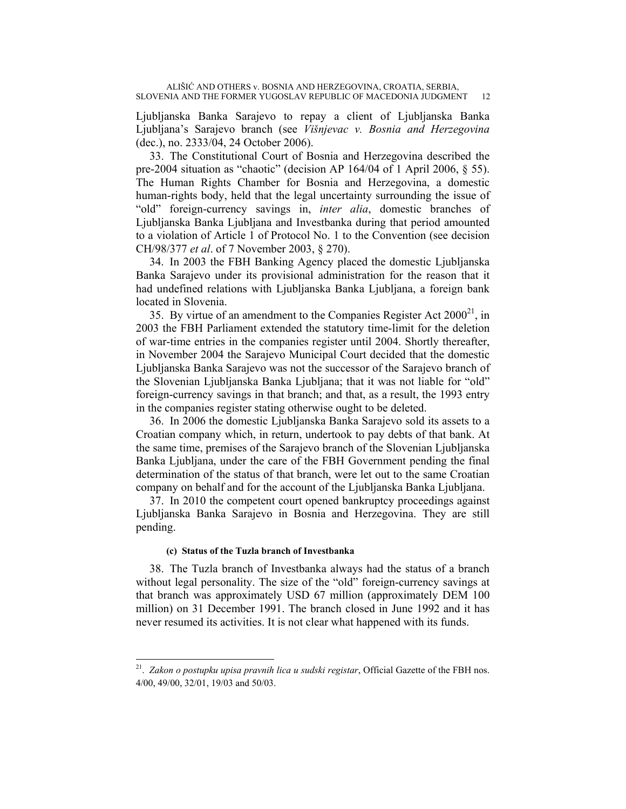Ljubljanska Banka Sarajevo to repay a client of Ljubljanska Banka Ljubljana's Sarajevo branch (see *Višnjevac v. Bosnia and Herzegovina* (dec.), no. 2333/04, 24 October 2006).

33. The Constitutional Court of Bosnia and Herzegovina described the pre-2004 situation as "chaotic" (decision AP 164/04 of 1 April 2006, § 55). The Human Rights Chamber for Bosnia and Herzegovina, a domestic human-rights body, held that the legal uncertainty surrounding the issue of "old" foreign-currency savings in, *inter alia*, domestic branches of Ljubljanska Banka Ljubljana and Investbanka during that period amounted to a violation of Article 1 of Protocol No. 1 to the Convention (see decision CH/98/377 *et al*. of 7 November 2003, § 270).

34. In 2003 the FBH Banking Agency placed the domestic Ljubljanska Banka Sarajevo under its provisional administration for the reason that it had undefined relations with Ljubljanska Banka Ljubljana, a foreign bank located in Slovenia.

35. By virtue of an amendment to the Companies Register Act  $2000^{21}$ , in 2003 the FBH Parliament extended the statutory time-limit for the deletion of war-time entries in the companies register until 2004. Shortly thereafter, in November 2004 the Sarajevo Municipal Court decided that the domestic Ljubljanska Banka Sarajevo was not the successor of the Sarajevo branch of the Slovenian Ljubljanska Banka Ljubljana; that it was not liable for "old" foreign-currency savings in that branch; and that, as a result, the 1993 entry in the companies register stating otherwise ought to be deleted.

36. In 2006 the domestic Ljubljanska Banka Sarajevo sold its assets to a Croatian company which, in return, undertook to pay debts of that bank. At the same time, premises of the Sarajevo branch of the Slovenian Ljubljanska Banka Ljubljana, under the care of the FBH Government pending the final determination of the status of that branch, were let out to the same Croatian company on behalf and for the account of the Ljubljanska Banka Ljubljana.

37. In 2010 the competent court opened bankruptcy proceedings against Ljubljanska Banka Sarajevo in Bosnia and Herzegovina. They are still pending.

## **(c) Status of the Tuzla branch of Investbanka**

 $\overline{a}$ 

38. The Tuzla branch of Investbanka always had the status of a branch without legal personality. The size of the "old" foreign-currency savings at that branch was approximately USD 67 million (approximately DEM 100 million) on 31 December 1991. The branch closed in June 1992 and it has never resumed its activities. It is not clear what happened with its funds.

<sup>21.</sup> *Zakon o postupku upisa pravnih lica u sudski registar*, Official Gazette of the FBH nos. 4/00, 49/00, 32/01, 19/03 and 50/03.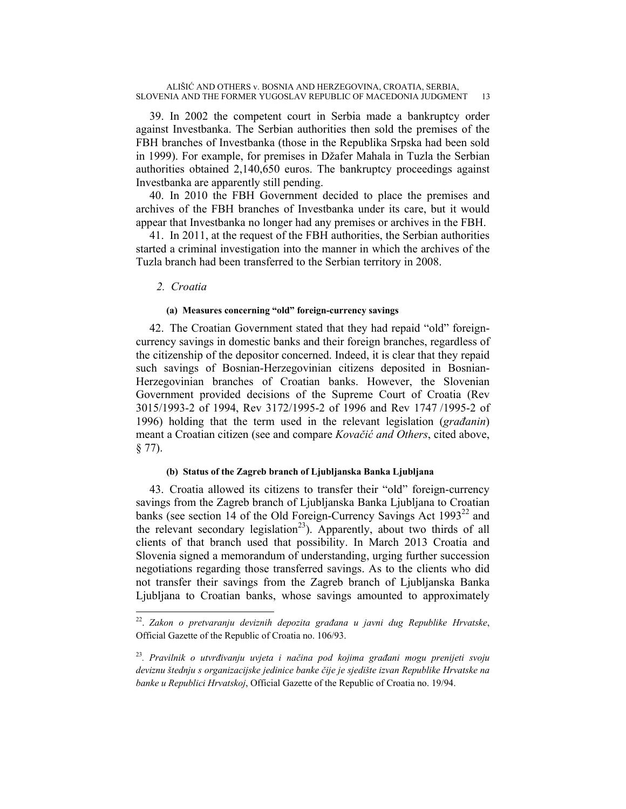39. In 2002 the competent court in Serbia made a bankruptcy order against Investbanka. The Serbian authorities then sold the premises of the FBH branches of Investbanka (those in the Republika Srpska had been sold in 1999). For example, for premises in Džafer Mahala in Tuzla the Serbian authorities obtained 2,140,650 euros. The bankruptcy proceedings against Investbanka are apparently still pending.

40. In 2010 the FBH Government decided to place the premises and archives of the FBH branches of Investbanka under its care, but it would appear that Investbanka no longer had any premises or archives in the FBH.

41. In 2011, at the request of the FBH authorities, the Serbian authorities started a criminal investigation into the manner in which the archives of the Tuzla branch had been transferred to the Serbian territory in 2008.

## *2. Croatia*

#### **(a) Measures concerning "old" foreign-currency savings**

42. The Croatian Government stated that they had repaid "old" foreigncurrency savings in domestic banks and their foreign branches, regardless of the citizenship of the depositor concerned. Indeed, it is clear that they repaid such savings of Bosnian-Herzegovinian citizens deposited in Bosnian-Herzegovinian branches of Croatian banks. However, the Slovenian Government provided decisions of the Supreme Court of Croatia (Rev 3015/1993-2 of 1994, Rev 3172/1995-2 of 1996 and Rev 1747 /1995-2 of 1996) holding that the term used in the relevant legislation (*građanin*) meant a Croatian citizen (see and compare *Kovačić and Others*, cited above, § 77).

## **(b) Status of the Zagreb branch of Ljubljanska Banka Ljubljana**

43. Croatia allowed its citizens to transfer their "old" foreign-currency savings from the Zagreb branch of Ljubljanska Banka Ljubljana to Croatian banks (see section 14 of the Old Foreign-Currency Savings Act  $1993^{22}$  and the relevant secondary legislation<sup>23</sup>). Apparently, about two thirds of all clients of that branch used that possibility. In March 2013 Croatia and Slovenia signed a memorandum of understanding, urging further succession negotiations regarding those transferred savings. As to the clients who did not transfer their savings from the Zagreb branch of Ljubljanska Banka Ljubljana to Croatian banks, whose savings amounted to approximately

<sup>22.</sup> *Zakon o pretvaranju deviznih depozita građana u javni dug Republike Hrvatske*, Official Gazette of the Republic of Croatia no. 106/93.

<sup>23</sup>*. Pravilnik o utvrđivanju uvjeta i načina pod kojima građani mogu prenijeti svoju deviznu štednju s organizacijske jedinice banke čije je sjedište izvan Republike Hrvatske na banke u Republici Hrvatskoj*, Official Gazette of the Republic of Croatia no. 19/94.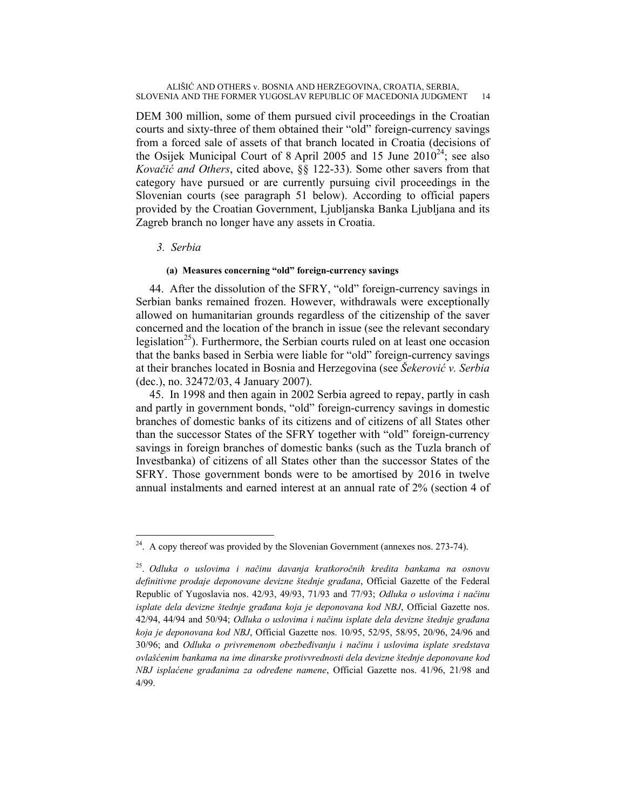DEM 300 million, some of them pursued civil proceedings in the Croatian courts and sixty-three of them obtained their "old" foreign-currency savings from a forced sale of assets of that branch located in Croatia (decisions of the Osijek Municipal Court of 8 April 2005 and 15 June  $2010^{24}$ ; see also *Kovačić and Others*, cited above, §§ 122-33). Some other savers from that category have pursued or are currently pursuing civil proceedings in the Slovenian courts (see paragraph 51 below). According to official papers provided by the Croatian Government, Ljubljanska Banka Ljubljana and its Zagreb branch no longer have any assets in Croatia.

## *3. Serbia*

 $\overline{a}$ 

## **(a) Measures concerning "old" foreign-currency savings**

44. After the dissolution of the SFRY, "old" foreign-currency savings in Serbian banks remained frozen. However, withdrawals were exceptionally allowed on humanitarian grounds regardless of the citizenship of the saver concerned and the location of the branch in issue (see the relevant secondary legislation<sup>25</sup>). Furthermore, the Serbian courts ruled on at least one occasion that the banks based in Serbia were liable for "old" foreign-currency savings at their branches located in Bosnia and Herzegovina (see *Šekerović v. Serbia* (dec.), no. 32472/03, 4 January 2007).

45. In 1998 and then again in 2002 Serbia agreed to repay, partly in cash and partly in government bonds, "old" foreign-currency savings in domestic branches of domestic banks of its citizens and of citizens of all States other than the successor States of the SFRY together with "old" foreign-currency savings in foreign branches of domestic banks (such as the Tuzla branch of Investbanka) of citizens of all States other than the successor States of the SFRY. Those government bonds were to be amortised by 2016 in twelve annual instalments and earned interest at an annual rate of 2% (section 4 of

 $2<sup>24</sup>$ . A copy thereof was provided by the Slovenian Government (annexes nos. 273-74).

<sup>25.</sup> *Odluka o uslovima i načinu davanja kratkoročnih kredita bankama na osnovu definitivne prodaje deponovane devizne štednje građana*, Official Gazette of the Federal Republic of Yugoslavia nos. 42/93, 49/93, 71/93 and 77/93; *Odluka o uslovima i načinu isplate dela devizne štednje građana koja je deponovana kod NBJ*, Official Gazette nos. 42/94, 44/94 and 50/94; *Odluka o uslovima i načinu isplate dela devizne štednje građana koja je deponovana kod NBJ*, Official Gazette nos. 10/95, 52/95, 58/95, 20/96, 24/96 and 30/96; and *Odluka o privremenom obezbeđivanju i načinu i uslovima isplate sredstava ovlašćenim bankama na ime dinarske protivvrednosti dela devizne štednje deponovane kod NBJ isplaćene građanima za određene namene*, Official Gazette nos. 41/96, 21/98 and 4/99.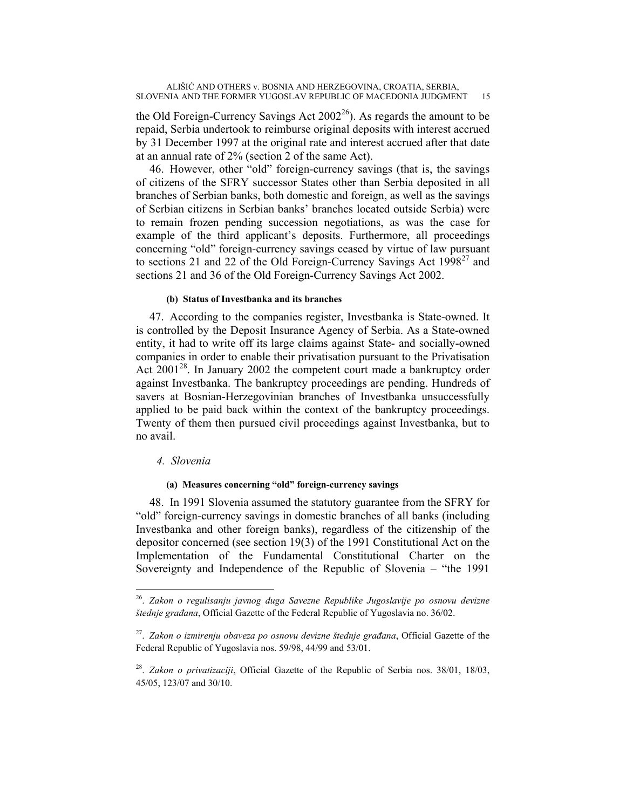the Old Foreign-Currency Savings Act  $2002^{26}$ ). As regards the amount to be repaid, Serbia undertook to reimburse original deposits with interest accrued by 31 December 1997 at the original rate and interest accrued after that date at an annual rate of 2% (section 2 of the same Act).

46. However, other "old" foreign-currency savings (that is, the savings of citizens of the SFRY successor States other than Serbia deposited in all branches of Serbian banks, both domestic and foreign, as well as the savings of Serbian citizens in Serbian banks' branches located outside Serbia) were to remain frozen pending succession negotiations, as was the case for example of the third applicant's deposits. Furthermore, all proceedings concerning "old" foreign-currency savings ceased by virtue of law pursuant to sections 21 and 22 of the Old Foreign-Currency Savings Act  $1998^{27}$  and sections 21 and 36 of the Old Foreign-Currency Savings Act 2002.

## **(b) Status of Investbanka and its branches**

47. According to the companies register, Investbanka is State-owned. It is controlled by the Deposit Insurance Agency of Serbia. As a State-owned entity, it had to write off its large claims against State- and socially-owned companies in order to enable their privatisation pursuant to the Privatisation Act 2001<sup>28</sup>. In January 2002 the competent court made a bankruptcy order against Investbanka. The bankruptcy proceedings are pending. Hundreds of savers at Bosnian-Herzegovinian branches of Investbanka unsuccessfully applied to be paid back within the context of the bankruptcy proceedings. Twenty of them then pursued civil proceedings against Investbanka, but to no avail.

## *4. Slovenia*

 $\overline{a}$ 

## **(a) Measures concerning "old" foreign-currency savings**

48. In 1991 Slovenia assumed the statutory guarantee from the SFRY for "old" foreign-currency savings in domestic branches of all banks (including Investbanka and other foreign banks), regardless of the citizenship of the depositor concerned (see section 19(3) of the 1991 Constitutional Act on the Implementation of the Fundamental Constitutional Charter on the Sovereignty and Independence of the Republic of Slovenia – "the 1991

<sup>26.</sup> *Zakon o regulisanju javnog duga Savezne Republike Jugoslavije po osnovu devizne štednje građana*, Official Gazette of the Federal Republic of Yugoslavia no. 36/02.

<sup>27.</sup> *Zakon o izmirenju obaveza po osnovu devizne štednje građana*, Official Gazette of the Federal Republic of Yugoslavia nos. 59/98, 44/99 and 53/01.

<sup>28.</sup> *Zakon o privatizaciji*, Official Gazette of the Republic of Serbia nos. 38/01, 18/03, 45/05, 123/07 and 30/10.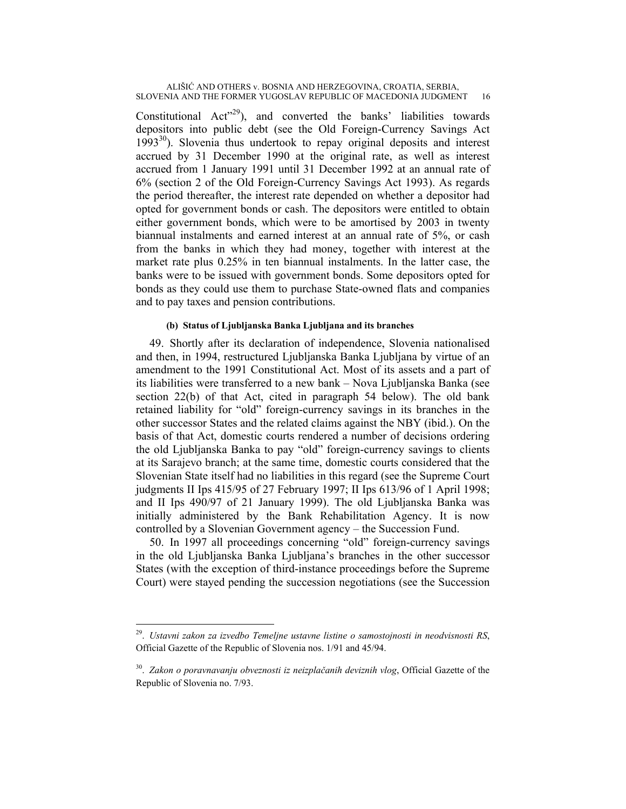Constitutional  $Act^{\prime29}$ ), and converted the banks' liabilities towards depositors into public debt (see the Old Foreign-Currency Savings Act  $1993^{30}$ ). Slovenia thus undertook to repay original deposits and interest accrued by 31 December 1990 at the original rate, as well as interest accrued from 1 January 1991 until 31 December 1992 at an annual rate of 6% (section 2 of the Old Foreign-Currency Savings Act 1993). As regards the period thereafter, the interest rate depended on whether a depositor had opted for government bonds or cash. The depositors were entitled to obtain either government bonds, which were to be amortised by 2003 in twenty biannual instalments and earned interest at an annual rate of 5%, or cash from the banks in which they had money, together with interest at the market rate plus 0.25% in ten biannual instalments. In the latter case, the banks were to be issued with government bonds. Some depositors opted for bonds as they could use them to purchase State-owned flats and companies and to pay taxes and pension contributions.

## **(b) Status of Ljubljanska Banka Ljubljana and its branches**

49. Shortly after its declaration of independence, Slovenia nationalised and then, in 1994, restructured Ljubljanska Banka Ljubljana by virtue of an amendment to the 1991 Constitutional Act. Most of its assets and a part of its liabilities were transferred to a new bank – Nova Ljubljanska Banka (see section 22(b) of that Act, cited in paragraph 54 below). The old bank retained liability for "old" foreign-currency savings in its branches in the other successor States and the related claims against the NBY (ibid.). On the basis of that Act, domestic courts rendered a number of decisions ordering the old Ljubljanska Banka to pay "old" foreign-currency savings to clients at its Sarajevo branch; at the same time, domestic courts considered that the Slovenian State itself had no liabilities in this regard (see the Supreme Court judgments II Ips 415/95 of 27 February 1997; II Ips 613/96 of 1 April 1998; and II Ips 490/97 of 21 January 1999). The old Ljubljanska Banka was initially administered by the Bank Rehabilitation Agency. It is now controlled by a Slovenian Government agency – the Succession Fund.

50. In 1997 all proceedings concerning "old" foreign-currency savings in the old Ljubljanska Banka Ljubljana's branches in the other successor States (with the exception of third-instance proceedings before the Supreme Court) were stayed pending the succession negotiations (see the Succession

 $\overline{a}$ 

<sup>29.</sup> *Ustavni zakon za izvedbo Temeljne ustavne listine o samostojnosti in neodvisnosti RS*, Official Gazette of the Republic of Slovenia nos. 1/91 and 45/94.

<sup>30.</sup> *Zakon o poravnavanju obveznosti iz neizplačanih deviznih vlog*, Official Gazette of the Republic of Slovenia no. 7/93.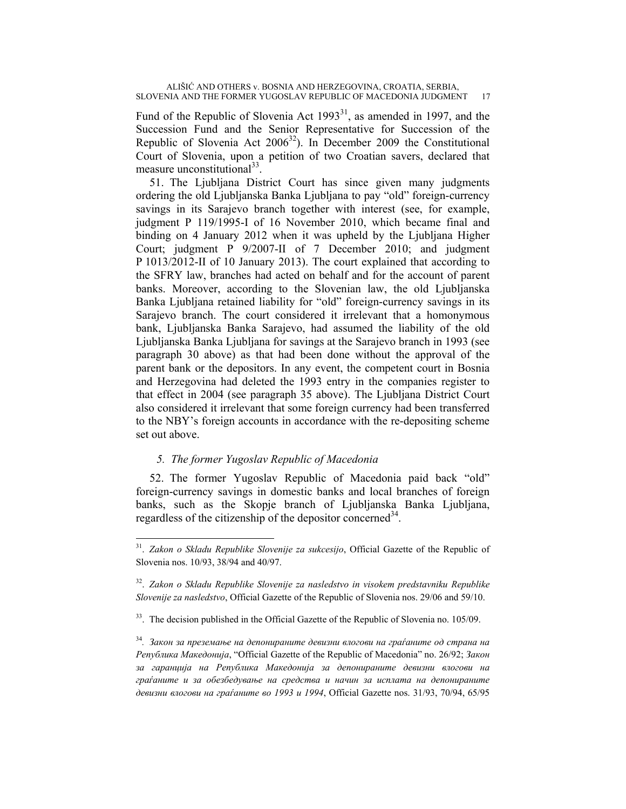Fund of the Republic of Slovenia Act  $1993<sup>31</sup>$ , as amended in 1997, and the Succession Fund and the Senior Representative for Succession of the Republic of Slovenia Act  $2006^{32}$ ). In December 2009 the Constitutional Court of Slovenia, upon a petition of two Croatian savers, declared that measure unconstitutional $33$ .

51. The Ljubljana District Court has since given many judgments ordering the old Ljubljanska Banka Ljubljana to pay "old" foreign-currency savings in its Sarajevo branch together with interest (see, for example, judgment P 119/1995-I of 16 November 2010, which became final and binding on 4 January 2012 when it was upheld by the Ljubljana Higher Court; judgment P 9/2007-II of 7 December 2010; and judgment P 1013/2012-II of 10 January 2013). The court explained that according to the SFRY law, branches had acted on behalf and for the account of parent banks. Moreover, according to the Slovenian law, the old Ljubljanska Banka Ljubljana retained liability for "old" foreign-currency savings in its Sarajevo branch. The court considered it irrelevant that a homonymous bank, Ljubljanska Banka Sarajevo, had assumed the liability of the old Ljubljanska Banka Ljubljana for savings at the Sarajevo branch in 1993 (see paragraph 30 above) as that had been done without the approval of the parent bank or the depositors. In any event, the competent court in Bosnia and Herzegovina had deleted the 1993 entry in the companies register to that effect in 2004 (see paragraph 35 above). The Ljubljana District Court also considered it irrelevant that some foreign currency had been transferred to the NBY's foreign accounts in accordance with the re-depositing scheme set out above.

## *5. The former Yugoslav Republic of Macedonia*

 $\overline{a}$ 

52. The former Yugoslav Republic of Macedonia paid back "old" foreign-currency savings in domestic banks and local branches of foreign banks, such as the Skopje branch of Ljubljanska Banka Ljubljana, regardless of the citizenship of the depositor concerned  $34$ .

<sup>31.</sup> *Zakon o Skladu Republike Slovenije za sukcesijo*, Official Gazette of the Republic of Slovenia nos. 10/93, 38/94 and 40/97.

<sup>32.</sup> *Zakon o Skladu Republike Slovenije za nasledstvo in visokem predstavniku Republike Slovenije za nasledstvo*, Official Gazette of the Republic of Slovenia nos. 29/06 and 59/10.

<sup>&</sup>lt;sup>33</sup>. The decision published in the Official Gazette of the Republic of Slovenia no. 105/09.

<sup>34</sup>*. Закон за преземање на депонираните девизни влогови на граѓаните од страна на Република Македонија*, "Official Gazette of the Republic of Macedonia" no. 26/92; *Закон за гаранција на Република Македонија за депонираните девизни влогови на граѓаните и за обезбедување на средства и начин за исплата на депонираните девизни влогови на граѓаните во 1993 и 1994*, Official Gazette nos. 31/93, 70/94, 65/95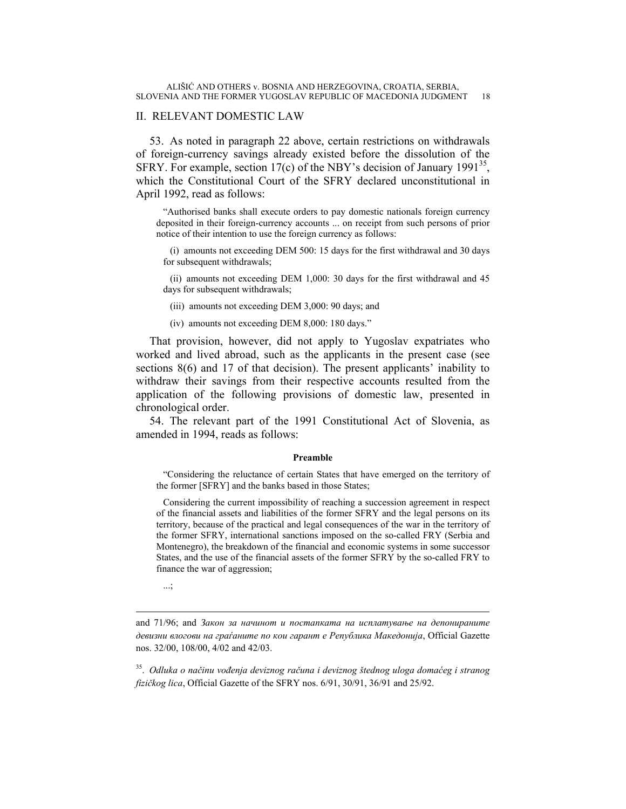## II. RELEVANT DOMESTIC LAW

53. As noted in paragraph 22 above, certain restrictions on withdrawals of foreign-currency savings already existed before the dissolution of the SFRY. For example, section 17(c) of the NBY's decision of January 1991<sup>35</sup>, which the Constitutional Court of the SFRY declared unconstitutional in April 1992, read as follows:

"Authorised banks shall execute orders to pay domestic nationals foreign currency deposited in their foreign-currency accounts ... on receipt from such persons of prior notice of their intention to use the foreign currency as follows:

(i) amounts not exceeding DEM 500: 15 days for the first withdrawal and 30 days for subsequent withdrawals;

(ii) amounts not exceeding DEM 1,000: 30 days for the first withdrawal and 45 days for subsequent withdrawals;

(iii) amounts not exceeding DEM 3,000: 90 days; and

(iv) amounts not exceeding DEM 8,000: 180 days."

That provision, however, did not apply to Yugoslav expatriates who worked and lived abroad, such as the applicants in the present case (see sections 8(6) and 17 of that decision). The present applicants' inability to withdraw their savings from their respective accounts resulted from the application of the following provisions of domestic law, presented in chronological order.

54. The relevant part of the 1991 Constitutional Act of Slovenia, as amended in 1994, reads as follows:

#### **Preamble**

"Considering the reluctance of certain States that have emerged on the territory of the former [SFRY] and the banks based in those States;

Considering the current impossibility of reaching a succession agreement in respect of the financial assets and liabilities of the former SFRY and the legal persons on its territory, because of the practical and legal consequences of the war in the territory of the former SFRY, international sanctions imposed on the so-called FRY (Serbia and Montenegro), the breakdown of the financial and economic systems in some successor States, and the use of the financial assets of the former SFRY by the so-called FRY to finance the war of aggression;

...;

and 71/96; and *Закон за начинот и постапката на исплатување на депонираните девизни влогови на граѓаните по кои гарант е Република Македонија*, Official Gazette nos. 32/00, 108/00, 4/02 and 42/03.

35. *Odluka o načinu vođenja deviznog računa i deviznog štednog uloga domaćeg i stranog fizičkog lica*, Official Gazette of the SFRY nos. 6/91, 30/91, 36/91 and 25/92.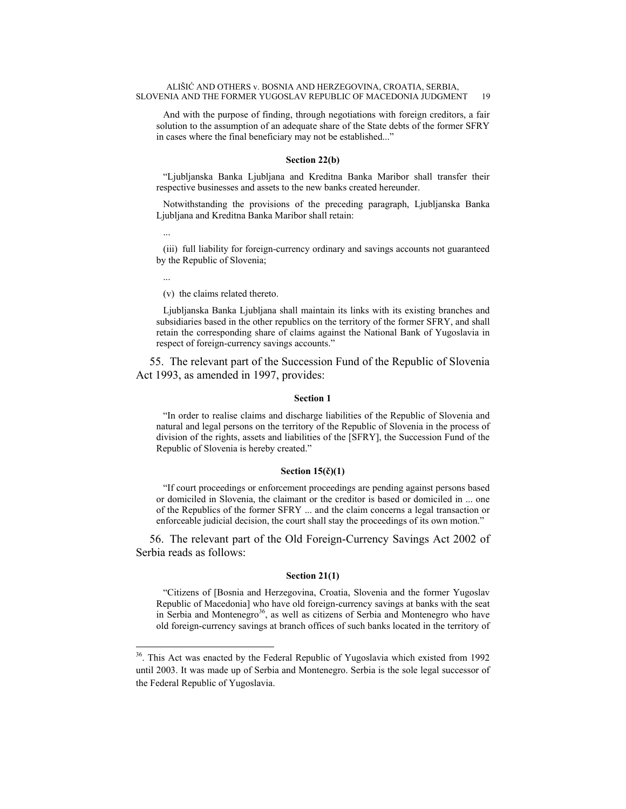And with the purpose of finding, through negotiations with foreign creditors, a fair solution to the assumption of an adequate share of the State debts of the former SFRY in cases where the final beneficiary may not be established..."

#### **Section 22(b)**

"Ljubljanska Banka Ljubljana and Kreditna Banka Maribor shall transfer their respective businesses and assets to the new banks created hereunder.

Notwithstanding the provisions of the preceding paragraph, Ljubljanska Banka Ljubljana and Kreditna Banka Maribor shall retain:

(iii) full liability for foreign-currency ordinary and savings accounts not guaranteed by the Republic of Slovenia;

...

 $\overline{a}$ 

...

(v) the claims related thereto.

Ljubljanska Banka Ljubljana shall maintain its links with its existing branches and subsidiaries based in the other republics on the territory of the former SFRY, and shall retain the corresponding share of claims against the National Bank of Yugoslavia in respect of foreign-currency savings accounts."

55. The relevant part of the Succession Fund of the Republic of Slovenia Act 1993, as amended in 1997, provides:

#### **Section 1**

"In order to realise claims and discharge liabilities of the Republic of Slovenia and natural and legal persons on the territory of the Republic of Slovenia in the process of division of the rights, assets and liabilities of the [SFRY], the Succession Fund of the Republic of Slovenia is hereby created."

#### **Section 15(č)(1)**

"If court proceedings or enforcement proceedings are pending against persons based or domiciled in Slovenia, the claimant or the creditor is based or domiciled in ... one of the Republics of the former SFRY ... and the claim concerns a legal transaction or enforceable judicial decision, the court shall stay the proceedings of its own motion."

56. The relevant part of the Old Foreign-Currency Savings Act 2002 of Serbia reads as follows:

#### **Section 21(1)**

"Citizens of [Bosnia and Herzegovina, Croatia, Slovenia and the former Yugoslav Republic of Macedonia] who have old foreign-currency savings at banks with the seat in Serbia and Montenegro<sup>36</sup>, as well as citizens of Serbia and Montenegro who have old foreign-currency savings at branch offices of such banks located in the territory of

<sup>&</sup>lt;sup>36</sup>. This Act was enacted by the Federal Republic of Yugoslavia which existed from 1992 until 2003. It was made up of Serbia and Montenegro. Serbia is the sole legal successor of the Federal Republic of Yugoslavia.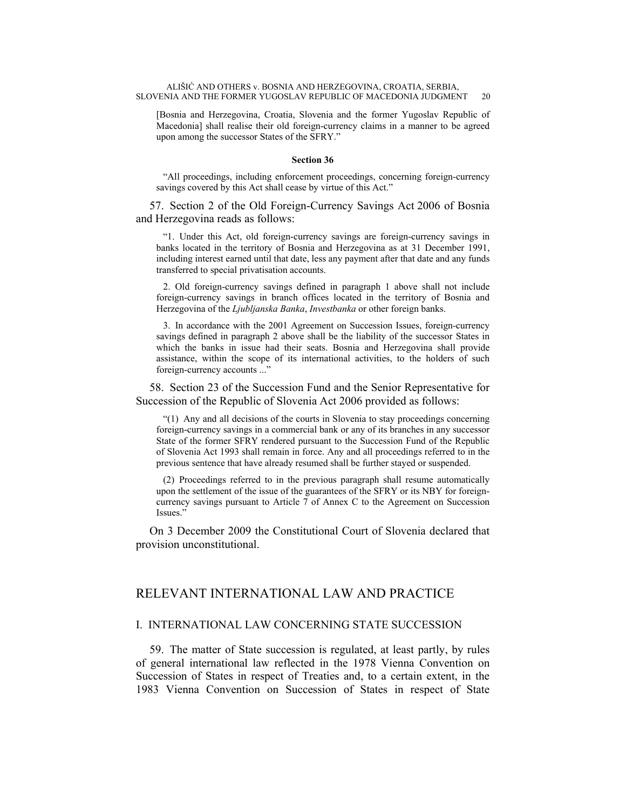[Bosnia and Herzegovina, Croatia, Slovenia and the former Yugoslav Republic of Macedonia] shall realise their old foreign-currency claims in a manner to be agreed upon among the successor States of the SFRY."

#### **Section 36**

"All proceedings, including enforcement proceedings, concerning foreign-currency savings covered by this Act shall cease by virtue of this Act."

57. Section 2 of the Old Foreign-Currency Savings Act 2006 of Bosnia and Herzegovina reads as follows:

"1. Under this Act, old foreign-currency savings are foreign-currency savings in banks located in the territory of Bosnia and Herzegovina as at 31 December 1991, including interest earned until that date, less any payment after that date and any funds transferred to special privatisation accounts.

2. Old foreign-currency savings defined in paragraph 1 above shall not include foreign-currency savings in branch offices located in the territory of Bosnia and Herzegovina of the *Ljubljanska Banka*, *Investbanka* or other foreign banks.

3. In accordance with the 2001 Agreement on Succession Issues, foreign-currency savings defined in paragraph 2 above shall be the liability of the successor States in which the banks in issue had their seats. Bosnia and Herzegovina shall provide assistance, within the scope of its international activities, to the holders of such foreign-currency accounts ..."

58. Section 23 of the Succession Fund and the Senior Representative for Succession of the Republic of Slovenia Act 2006 provided as follows:

"(1) Any and all decisions of the courts in Slovenia to stay proceedings concerning foreign-currency savings in a commercial bank or any of its branches in any successor State of the former SFRY rendered pursuant to the Succession Fund of the Republic of Slovenia Act 1993 shall remain in force. Any and all proceedings referred to in the previous sentence that have already resumed shall be further stayed or suspended.

(2) Proceedings referred to in the previous paragraph shall resume automatically upon the settlement of the issue of the guarantees of the SFRY or its NBY for foreigncurrency savings pursuant to Article 7 of Annex C to the Agreement on Succession Issues."

On 3 December 2009 the Constitutional Court of Slovenia declared that provision unconstitutional.

## RELEVANT INTERNATIONAL LAW AND PRACTICE

## I. INTERNATIONAL LAW CONCERNING STATE SUCCESSION

59. The matter of State succession is regulated, at least partly, by rules of general international law reflected in the 1978 Vienna Convention on Succession of States in respect of Treaties and, to a certain extent, in the 1983 Vienna Convention on Succession of States in respect of State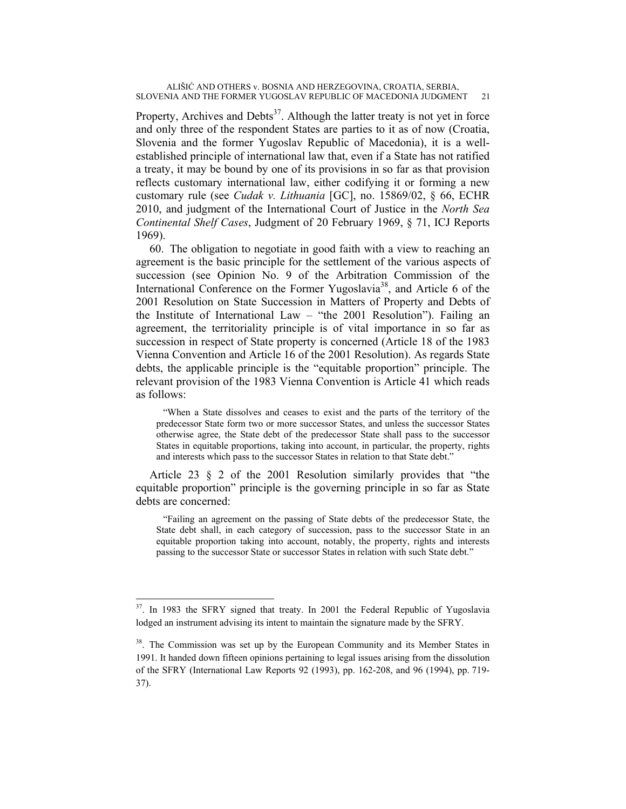Property, Archives and Debts<sup>37</sup>. Although the latter treaty is not yet in force and only three of the respondent States are parties to it as of now (Croatia, Slovenia and the former Yugoslav Republic of Macedonia), it is a wellestablished principle of international law that, even if a State has not ratified a treaty, it may be bound by one of its provisions in so far as that provision reflects customary international law, either codifying it or forming a new customary rule (see *Cudak v. Lithuania* [GC], no. 15869/02, § 66, ECHR 2010, and judgment of the International Court of Justice in the *North Sea Continental Shelf Cases*, Judgment of 20 February 1969, § 71, ICJ Reports 1969).

60. The obligation to negotiate in good faith with a view to reaching an agreement is the basic principle for the settlement of the various aspects of succession (see Opinion No. 9 of the Arbitration Commission of the International Conference on the Former Yugoslavia<sup>38</sup>, and Article 6 of the 2001 Resolution on State Succession in Matters of Property and Debts of the Institute of International Law – "the 2001 Resolution"). Failing an agreement, the territoriality principle is of vital importance in so far as succession in respect of State property is concerned (Article 18 of the 1983 Vienna Convention and Article 16 of the 2001 Resolution). As regards State debts, the applicable principle is the "equitable proportion" principle. The relevant provision of the 1983 Vienna Convention is Article 41 which reads as follows:

"When a State dissolves and ceases to exist and the parts of the territory of the predecessor State form two or more successor States, and unless the successor States otherwise agree, the State debt of the predecessor State shall pass to the successor States in equitable proportions, taking into account, in particular, the property, rights and interests which pass to the successor States in relation to that State debt."

Article 23 § 2 of the 2001 Resolution similarly provides that "the equitable proportion" principle is the governing principle in so far as State debts are concerned:

"Failing an agreement on the passing of State debts of the predecessor State, the State debt shall, in each category of succession, pass to the successor State in an equitable proportion taking into account, notably, the property, rights and interests passing to the successor State or successor States in relation with such State debt."

 $\overline{a}$ 

<sup>&</sup>lt;sup>37</sup>. In 1983 the SFRY signed that treaty. In 2001 the Federal Republic of Yugoslavia lodged an instrument advising its intent to maintain the signature made by the SFRY.

<sup>&</sup>lt;sup>38</sup>. The Commission was set up by the European Community and its Member States in 1991. It handed down fifteen opinions pertaining to legal issues arising from the dissolution of the SFRY (International Law Reports 92 (1993), pp. 162-208, and 96 (1994), pp. 719- 37).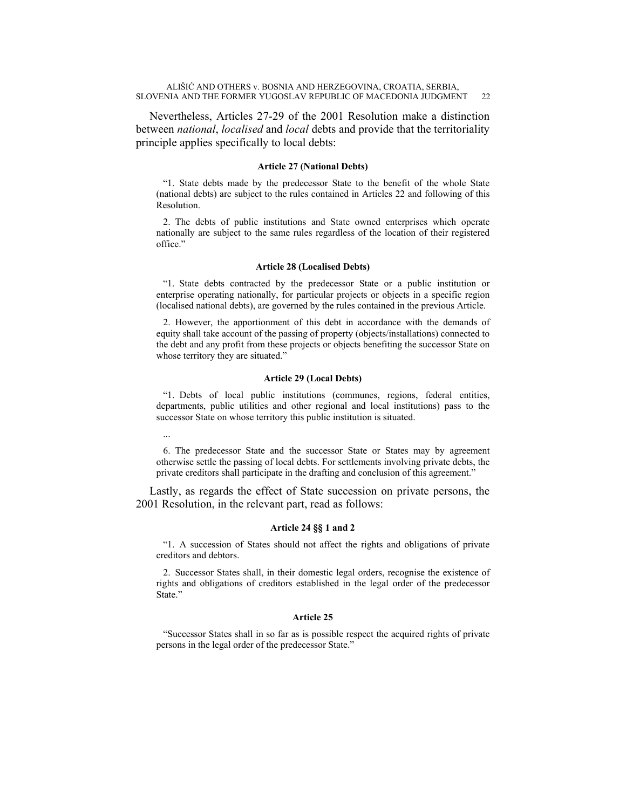Nevertheless, Articles 27-29 of the 2001 Resolution make a distinction between *national*, *localised* and *local* debts and provide that the territoriality principle applies specifically to local debts:

#### **Article 27 (National Debts)**

"1. State debts made by the predecessor State to the benefit of the whole State (national debts) are subject to the rules contained in Articles 22 and following of this Resolution.

2. The debts of public institutions and State owned enterprises which operate nationally are subject to the same rules regardless of the location of their registered office."

#### **Article 28 (Localised Debts)**

"1. State debts contracted by the predecessor State or a public institution or enterprise operating nationally, for particular projects or objects in a specific region (localised national debts), are governed by the rules contained in the previous Article.

2. However, the apportionment of this debt in accordance with the demands of equity shall take account of the passing of property (objects/installations) connected to the debt and any profit from these projects or objects benefiting the successor State on whose territory they are situated."

#### **Article 29 (Local Debts)**

...

"1. Debts of local public institutions (communes, regions, federal entities, departments, public utilities and other regional and local institutions) pass to the successor State on whose territory this public institution is situated.

6. The predecessor State and the successor State or States may by agreement otherwise settle the passing of local debts. For settlements involving private debts, the private creditors shall participate in the drafting and conclusion of this agreement."

Lastly, as regards the effect of State succession on private persons, the 2001 Resolution, in the relevant part, read as follows:

#### **Article 24 §§ 1 and 2**

"1. A succession of States should not affect the rights and obligations of private creditors and debtors.

2. Successor States shall, in their domestic legal orders, recognise the existence of rights and obligations of creditors established in the legal order of the predecessor State."

#### **Article 25**

"Successor States shall in so far as is possible respect the acquired rights of private persons in the legal order of the predecessor State."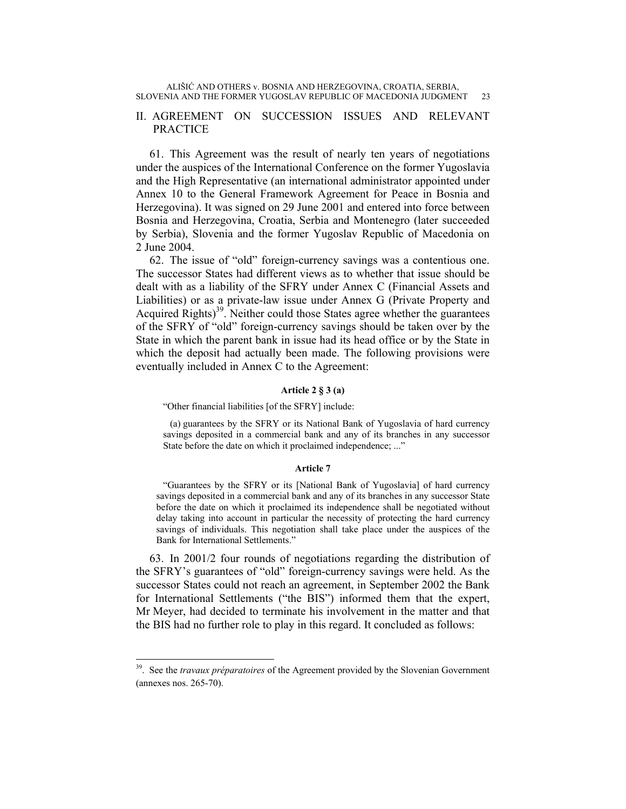## II. AGREEMENT ON SUCCESSION ISSUES AND RELEVANT PRACTICE

61. This Agreement was the result of nearly ten years of negotiations under the auspices of the International Conference on the former Yugoslavia and the High Representative (an international administrator appointed under Annex 10 to the General Framework Agreement for Peace in Bosnia and Herzegovina). It was signed on 29 June 2001 and entered into force between Bosnia and Herzegovina, Croatia, Serbia and Montenegro (later succeeded by Serbia), Slovenia and the former Yugoslav Republic of Macedonia on 2 June 2004.

62. The issue of "old" foreign-currency savings was a contentious one. The successor States had different views as to whether that issue should be dealt with as a liability of the SFRY under Annex C (Financial Assets and Liabilities) or as a private-law issue under Annex G (Private Property and Acquired Rights)<sup>39</sup>. Neither could those States agree whether the guarantees of the SFRY of "old" foreign-currency savings should be taken over by the State in which the parent bank in issue had its head office or by the State in which the deposit had actually been made. The following provisions were eventually included in Annex C to the Agreement:

#### **Article 2 § 3 (a)**

"Other financial liabilities [of the SFRY] include:

 $\overline{a}$ 

(a) guarantees by the SFRY or its National Bank of Yugoslavia of hard currency savings deposited in a commercial bank and any of its branches in any successor State before the date on which it proclaimed independence; ..."

#### **Article 7**

"Guarantees by the SFRY or its [National Bank of Yugoslavia] of hard currency savings deposited in a commercial bank and any of its branches in any successor State before the date on which it proclaimed its independence shall be negotiated without delay taking into account in particular the necessity of protecting the hard currency savings of individuals. This negotiation shall take place under the auspices of the Bank for International Settlements."

63. In 2001/2 four rounds of negotiations regarding the distribution of the SFRY's guarantees of "old" foreign-currency savings were held. As the successor States could not reach an agreement, in September 2002 the Bank for International Settlements ("the BIS") informed them that the expert, Mr Meyer, had decided to terminate his involvement in the matter and that the BIS had no further role to play in this regard. It concluded as follows:

<sup>39.</sup> See the *travaux préparatoires* of the Agreement provided by the Slovenian Government (annexes nos. 265-70).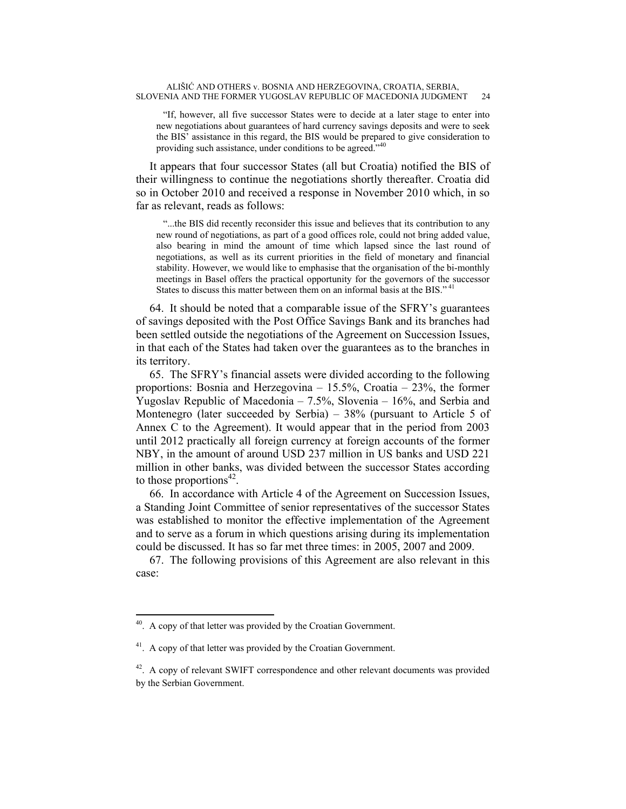"If, however, all five successor States were to decide at a later stage to enter into new negotiations about guarantees of hard currency savings deposits and were to seek the BIS' assistance in this regard, the BIS would be prepared to give consideration to providing such assistance, under conditions to be agreed."<sup>40</sup>

It appears that four successor States (all but Croatia) notified the BIS of their willingness to continue the negotiations shortly thereafter. Croatia did so in October 2010 and received a response in November 2010 which, in so far as relevant, reads as follows:

"...the BIS did recently reconsider this issue and believes that its contribution to any new round of negotiations, as part of a good offices role, could not bring added value, also bearing in mind the amount of time which lapsed since the last round of negotiations, as well as its current priorities in the field of monetary and financial stability. However, we would like to emphasise that the organisation of the bi-monthly meetings in Basel offers the practical opportunity for the governors of the successor States to discuss this matter between them on an informal basis at the BIS."<sup>41</sup>

64. It should be noted that a comparable issue of the SFRY's guarantees of savings deposited with the Post Office Savings Bank and its branches had been settled outside the negotiations of the Agreement on Succession Issues, in that each of the States had taken over the guarantees as to the branches in its territory.

65. The SFRY's financial assets were divided according to the following proportions: Bosnia and Herzegovina – 15.5%, Croatia – 23%, the former Yugoslav Republic of Macedonia – 7.5%, Slovenia – 16%, and Serbia and Montenegro (later succeeded by Serbia) – 38% (pursuant to Article 5 of Annex C to the Agreement). It would appear that in the period from 2003 until 2012 practically all foreign currency at foreign accounts of the former NBY, in the amount of around USD 237 million in US banks and USD 221 million in other banks, was divided between the successor States according to those proportions<sup>42</sup>.

66. In accordance with Article 4 of the Agreement on Succession Issues, a Standing Joint Committee of senior representatives of the successor States was established to monitor the effective implementation of the Agreement and to serve as a forum in which questions arising during its implementation could be discussed. It has so far met three times: in 2005, 2007 and 2009.

67. The following provisions of this Agreement are also relevant in this case:

<sup>&</sup>lt;sup>40</sup>. A copy of that letter was provided by the Croatian Government.

<sup>&</sup>lt;sup>41</sup>. A copy of that letter was provided by the Croatian Government.

<sup>&</sup>lt;sup>42</sup>. A copy of relevant SWIFT correspondence and other relevant documents was provided by the Serbian Government.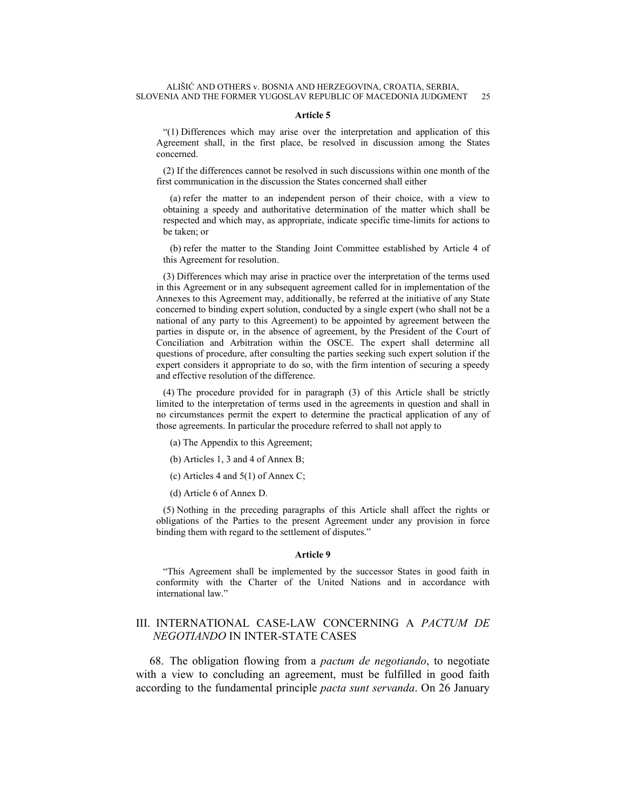#### **Article 5**

"(1) Differences which may arise over the interpretation and application of this Agreement shall, in the first place, be resolved in discussion among the States concerned.

(2) If the differences cannot be resolved in such discussions within one month of the first communication in the discussion the States concerned shall either

(a) refer the matter to an independent person of their choice, with a view to obtaining a speedy and authoritative determination of the matter which shall be respected and which may, as appropriate, indicate specific time-limits for actions to be taken; or

(b) refer the matter to the Standing Joint Committee established by Article 4 of this Agreement for resolution.

(3) Differences which may arise in practice over the interpretation of the terms used in this Agreement or in any subsequent agreement called for in implementation of the Annexes to this Agreement may, additionally, be referred at the initiative of any State concerned to binding expert solution, conducted by a single expert (who shall not be a national of any party to this Agreement) to be appointed by agreement between the parties in dispute or, in the absence of agreement, by the President of the Court of Conciliation and Arbitration within the OSCE. The expert shall determine all questions of procedure, after consulting the parties seeking such expert solution if the expert considers it appropriate to do so, with the firm intention of securing a speedy and effective resolution of the difference.

(4) The procedure provided for in paragraph (3) of this Article shall be strictly limited to the interpretation of terms used in the agreements in question and shall in no circumstances permit the expert to determine the practical application of any of those agreements. In particular the procedure referred to shall not apply to

- (a) The Appendix to this Agreement;
- (b) Articles 1, 3 and 4 of Annex B;
- (c) Articles 4 and 5(1) of Annex C;
- (d) Article 6 of Annex D.

(5) Nothing in the preceding paragraphs of this Article shall affect the rights or obligations of the Parties to the present Agreement under any provision in force binding them with regard to the settlement of disputes."

#### **Article 9**

"This Agreement shall be implemented by the successor States in good faith in conformity with the Charter of the United Nations and in accordance with international law."

## III. INTERNATIONAL CASE-LAW CONCERNING A *PACTUM DE NEGOTIANDO* IN INTER-STATE CASES

68. The obligation flowing from a *pactum de negotiando*, to negotiate with a view to concluding an agreement, must be fulfilled in good faith according to the fundamental principle *pacta sunt servanda*. On 26 January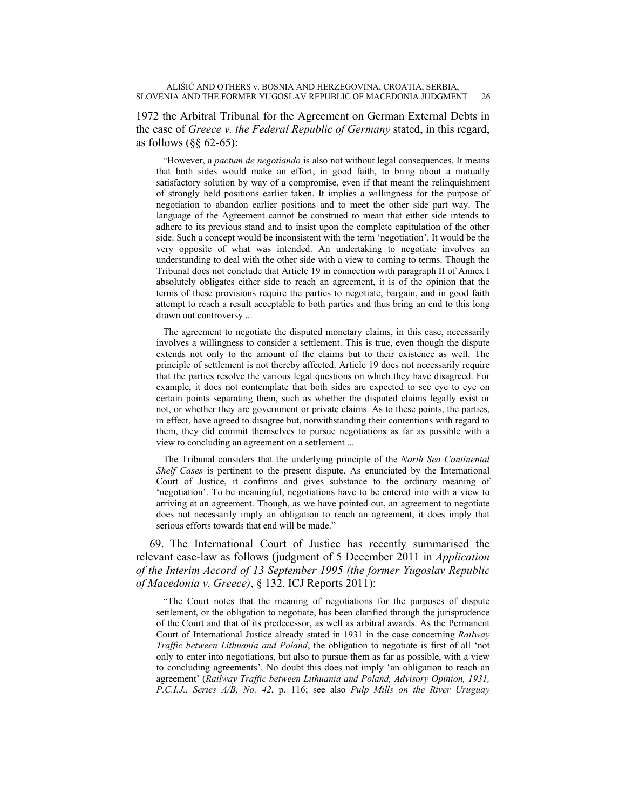## 1972 the Arbitral Tribunal for the Agreement on German External Debts in the case of *Greece v. the Federal Republic of Germany* stated, in this regard, as follows  $(\S \S 62 - 65)$ :

"However, a *pactum de negotiando* is also not without legal consequences. It means that both sides would make an effort, in good faith, to bring about a mutually satisfactory solution by way of a compromise, even if that meant the relinquishment of strongly held positions earlier taken. It implies a willingness for the purpose of negotiation to abandon earlier positions and to meet the other side part way. The language of the Agreement cannot be construed to mean that either side intends to adhere to its previous stand and to insist upon the complete capitulation of the other side. Such a concept would be inconsistent with the term 'negotiation'. It would be the very opposite of what was intended. An undertaking to negotiate involves an understanding to deal with the other side with a view to coming to terms. Though the Tribunal does not conclude that Article 19 in connection with paragraph II of Annex I absolutely obligates either side to reach an agreement, it is of the opinion that the terms of these provisions require the parties to negotiate, bargain, and in good faith attempt to reach a result acceptable to both parties and thus bring an end to this long drawn out controversy ...

The agreement to negotiate the disputed monetary claims, in this case, necessarily involves a willingness to consider a settlement. This is true, even though the dispute extends not only to the amount of the claims but to their existence as well. The principle of settlement is not thereby affected. Article 19 does not necessarily require that the parties resolve the various legal questions on which they have disagreed. For example, it does not contemplate that both sides are expected to see eye to eye on certain points separating them, such as whether the disputed claims legally exist or not, or whether they are government or private claims. As to these points, the parties, in effect, have agreed to disagree but, notwithstanding their contentions with regard to them, they did commit themselves to pursue negotiations as far as possible with a view to concluding an agreement on a settlement ...

The Tribunal considers that the underlying principle of the *North Sea Continental Shelf Cases* is pertinent to the present dispute. As enunciated by the International Court of Justice, it confirms and gives substance to the ordinary meaning of 'negotiation'. To be meaningful, negotiations have to be entered into with a view to arriving at an agreement. Though, as we have pointed out, an agreement to negotiate does not necessarily imply an obligation to reach an agreement, it does imply that serious efforts towards that end will be made."

69. The International Court of Justice has recently summarised the relevant case-law as follows (judgment of 5 December 2011 in *Application of the Interim Accord of 13 September 1995 (the former Yugoslav Republic of Macedonia v. Greece)*, § 132, ICJ Reports 2011):

"The Court notes that the meaning of negotiations for the purposes of dispute settlement, or the obligation to negotiate, has been clarified through the jurisprudence of the Court and that of its predecessor, as well as arbitral awards. As the Permanent Court of International Justice already stated in 1931 in the case concerning *Railway Traffic between Lithuania and Poland*, the obligation to negotiate is first of all 'not only to enter into negotiations, but also to pursue them as far as possible, with a view to concluding agreements'. No doubt this does not imply 'an obligation to reach an agreement' (*Railway Traffic between Lithuania and Poland, Advisory Opinion, 1931, P.C.I.J., Series A/B, No. 42*, p. 116; see also *Pulp Mills on the River Uruguay*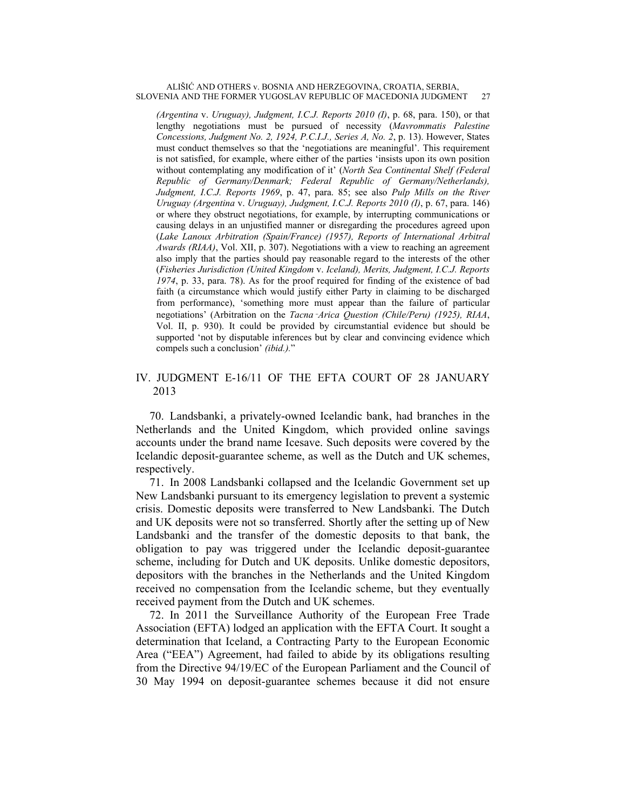*(Argentina* v. *Uruguay), Judgment, I.C.J. Reports 2010 (I)*, p. 68, para. 150), or that lengthy negotiations must be pursued of necessity (*Mavrommatis Palestine Concessions, Judgment No. 2, 1924, P.C.I.J., Series A, No. 2*, p. 13). However, States must conduct themselves so that the 'negotiations are meaningful'. This requirement is not satisfied, for example, where either of the parties 'insists upon its own position without contemplating any modification of it' (*North Sea Continental Shelf (Federal Republic of Germany/Denmark; Federal Republic of Germany/Netherlands), Judgment, I.C.J. Reports 1969*, p. 47, para. 85; see also *Pulp Mills on the River Uruguay (Argentina* v. *Uruguay), Judgment, I.C.J. Reports 2010 (I)*, p. 67, para. 146) or where they obstruct negotiations, for example, by interrupting communications or causing delays in an unjustified manner or disregarding the procedures agreed upon (*Lake Lanoux Arbitration (Spain/France) (1957), Reports of International Arbitral Awards (RIAA)*, Vol. XII, p. 307). Negotiations with a view to reaching an agreement also imply that the parties should pay reasonable regard to the interests of the other (*Fisheries Jurisdiction (United Kingdom* v. *Iceland), Merits, Judgment, I.C.J. Reports 1974*, p. 33, para. 78). As for the proof required for finding of the existence of bad faith (a circumstance which would justify either Party in claiming to be discharged from performance), 'something more must appear than the failure of particular negotiations' (Arbitration on the *Tacna*‑*Arica Question (Chile/Peru) (1925), RIAA*, Vol. II, p. 930). It could be provided by circumstantial evidence but should be supported 'not by disputable inferences but by clear and convincing evidence which compels such a conclusion' *(ibid.).*"

## IV. JUDGMENT E-16/11 OF THE EFTA COURT OF 28 JANUARY 2013

70. Landsbanki, a privately-owned Icelandic bank, had branches in the Netherlands and the United Kingdom, which provided online savings accounts under the brand name Icesave. Such deposits were covered by the Icelandic deposit-guarantee scheme, as well as the Dutch and UK schemes, respectively.

71. In 2008 Landsbanki collapsed and the Icelandic Government set up New Landsbanki pursuant to its emergency legislation to prevent a systemic crisis. Domestic deposits were transferred to New Landsbanki. The Dutch and UK deposits were not so transferred. Shortly after the setting up of New Landsbanki and the transfer of the domestic deposits to that bank, the obligation to pay was triggered under the Icelandic deposit-guarantee scheme, including for Dutch and UK deposits. Unlike domestic depositors, depositors with the branches in the Netherlands and the United Kingdom received no compensation from the Icelandic scheme, but they eventually received payment from the Dutch and UK schemes.

72. In 2011 the Surveillance Authority of the European Free Trade Association (EFTA) lodged an application with the EFTA Court. It sought a determination that Iceland, a Contracting Party to the European Economic Area ("EEA") Agreement, had failed to abide by its obligations resulting from the Directive 94/19/EC of the European Parliament and the Council of 30 May 1994 on deposit-guarantee schemes because it did not ensure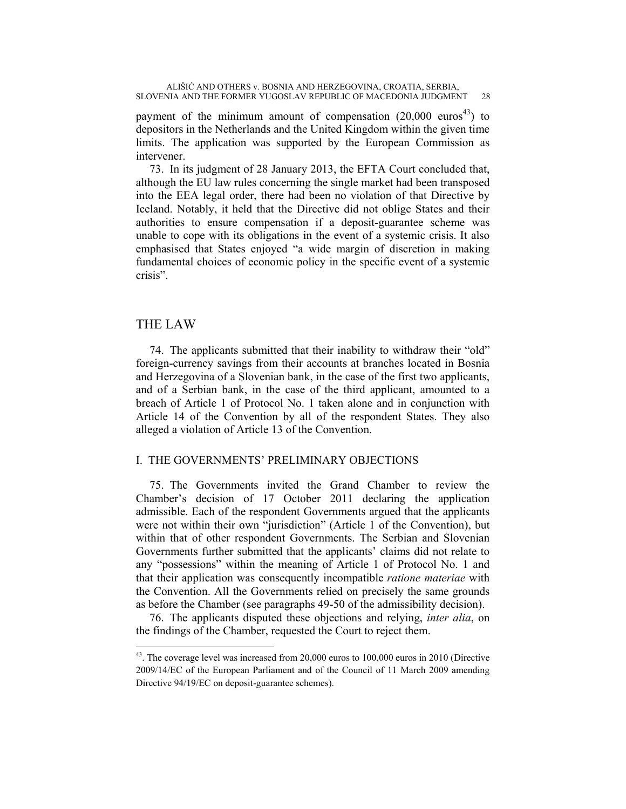payment of the minimum amount of compensation  $(20,000 \text{ euros}^{43})$  to depositors in the Netherlands and the United Kingdom within the given time limits. The application was supported by the European Commission as intervener.

73. In its judgment of 28 January 2013, the EFTA Court concluded that, although the EU law rules concerning the single market had been transposed into the EEA legal order, there had been no violation of that Directive by Iceland. Notably, it held that the Directive did not oblige States and their authorities to ensure compensation if a deposit-guarantee scheme was unable to cope with its obligations in the event of a systemic crisis. It also emphasised that States enjoyed "a wide margin of discretion in making fundamental choices of economic policy in the specific event of a systemic crisis".

## THE LAW

 $\overline{a}$ 

74. The applicants submitted that their inability to withdraw their "old" foreign-currency savings from their accounts at branches located in Bosnia and Herzegovina of a Slovenian bank, in the case of the first two applicants, and of a Serbian bank, in the case of the third applicant, amounted to a breach of Article 1 of Protocol No. 1 taken alone and in conjunction with Article 14 of the Convention by all of the respondent States. They also alleged a violation of Article 13 of the Convention.

## I. THE GOVERNMENTS' PRELIMINARY OBJECTIONS

75. The Governments invited the Grand Chamber to review the Chamber's decision of 17 October 2011 declaring the application admissible. Each of the respondent Governments argued that the applicants were not within their own "jurisdiction" (Article 1 of the Convention), but within that of other respondent Governments. The Serbian and Slovenian Governments further submitted that the applicants' claims did not relate to any "possessions" within the meaning of Article 1 of Protocol No. 1 and that their application was consequently incompatible *ratione materiae* with the Convention. All the Governments relied on precisely the same grounds as before the Chamber (see paragraphs 49-50 of the admissibility decision).

76. The applicants disputed these objections and relying, *inter alia*, on the findings of the Chamber, requested the Court to reject them.

<sup>&</sup>lt;sup>43</sup>. The coverage level was increased from 20,000 euros to 100,000 euros in 2010 (Directive 2009/14/EC of the European Parliament and of the Council of 11 March 2009 amending Directive 94/19/EC on deposit-guarantee schemes).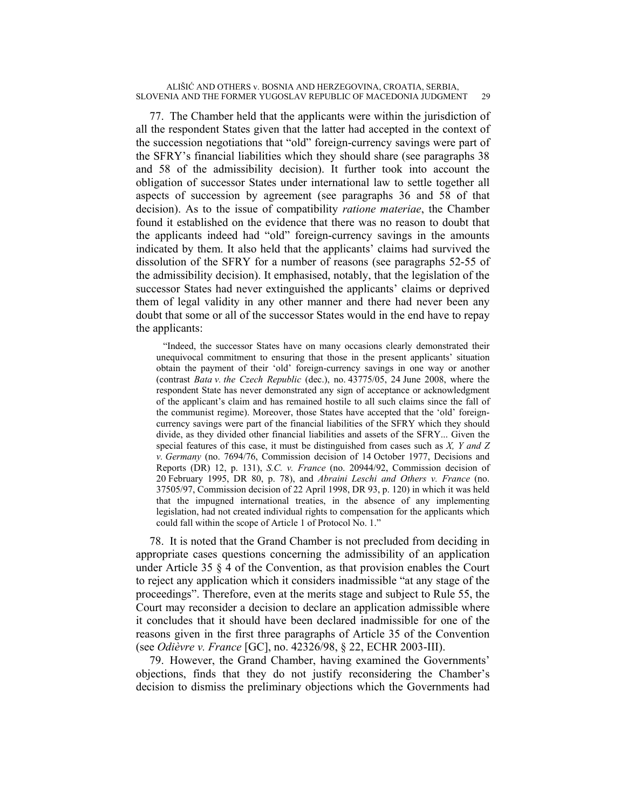77. The Chamber held that the applicants were within the jurisdiction of all the respondent States given that the latter had accepted in the context of the succession negotiations that "old" foreign-currency savings were part of the SFRY's financial liabilities which they should share (see paragraphs 38 and 58 of the admissibility decision). It further took into account the obligation of successor States under international law to settle together all aspects of succession by agreement (see paragraphs 36 and 58 of that decision). As to the issue of compatibility *ratione materiae*, the Chamber found it established on the evidence that there was no reason to doubt that the applicants indeed had "old" foreign-currency savings in the amounts indicated by them. It also held that the applicants' claims had survived the dissolution of the SFRY for a number of reasons (see paragraphs 52-55 of the admissibility decision). It emphasised, notably, that the legislation of the successor States had never extinguished the applicants' claims or deprived them of legal validity in any other manner and there had never been any doubt that some or all of the successor States would in the end have to repay the applicants:

"Indeed, the successor States have on many occasions clearly demonstrated their unequivocal commitment to ensuring that those in the present applicants' situation obtain the payment of their 'old' foreign-currency savings in one way or another (contrast *Bata v. the Czech Republic* (dec.), no. 43775/05, 24 June 2008, where the respondent State has never demonstrated any sign of acceptance or acknowledgment of the applicant's claim and has remained hostile to all such claims since the fall of the communist regime). Moreover, those States have accepted that the 'old' foreigncurrency savings were part of the financial liabilities of the SFRY which they should divide, as they divided other financial liabilities and assets of the SFRY... Given the special features of this case, it must be distinguished from cases such as *X, Y and Z v. Germany* (no. 7694/76, Commission decision of 14 October 1977, Decisions and Reports (DR) 12, p. 131), *S.C. v. France* (no. 20944/92, Commission decision of 20 February 1995, DR 80, p. 78), and *Abraini Leschi and Others v. France* (no. 37505/97, Commission decision of 22 April 1998, DR 93, p. 120) in which it was held that the impugned international treaties, in the absence of any implementing legislation, had not created individual rights to compensation for the applicants which could fall within the scope of Article 1 of Protocol No. 1."

78. It is noted that the Grand Chamber is not precluded from deciding in appropriate cases questions concerning the admissibility of an application under Article 35  $\S$  4 of the Convention, as that provision enables the Court to reject any application which it considers inadmissible "at any stage of the proceedings". Therefore, even at the merits stage and subject to Rule 55, the Court may reconsider a decision to declare an application admissible where it concludes that it should have been declared inadmissible for one of the reasons given in the first three paragraphs of Article 35 of the Convention (see *Odièvre v. France* [GC], no. 42326/98, § 22, ECHR 2003-III).

79. However, the Grand Chamber, having examined the Governments' objections, finds that they do not justify reconsidering the Chamber's decision to dismiss the preliminary objections which the Governments had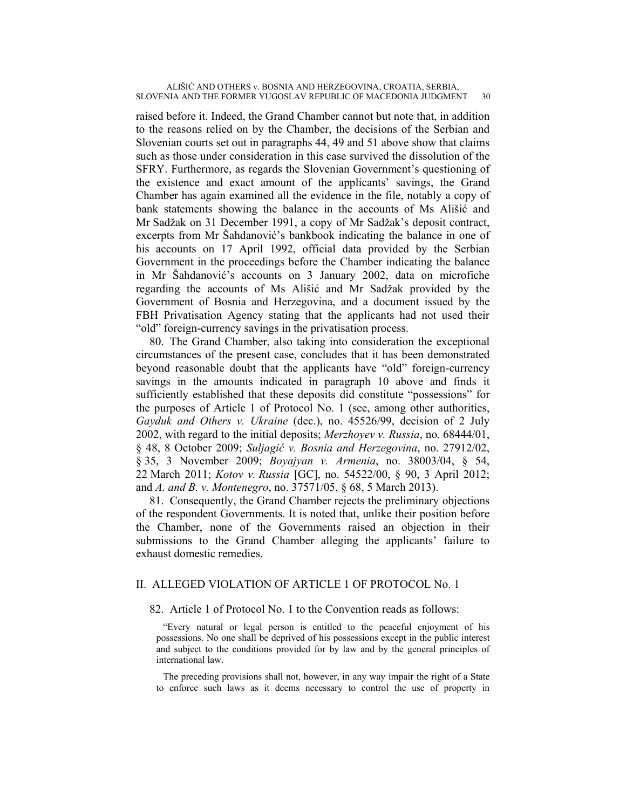raised before it. Indeed, the Grand Chamber cannot but note that, in addition to the reasons relied on by the Chamber, the decisions of the Serbian and Slovenian courts set out in paragraphs 44, 49 and 51 above show that claims such as those under consideration in this case survived the dissolution of the SFRY. Furthermore, as regards the Slovenian Government's questioning of the existence and exact amount of the applicants' savings, the Grand Chamber has again examined all the evidence in the file, notably a copy of bank statements showing the balance in the accounts of Ms Ališić and Mr Sadžak on 31 December 1991, a copy of Mr Sadžak's deposit contract, excerpts from Mr Šahdanović's bankbook indicating the balance in one of his accounts on 17 April 1992, official data provided by the Serbian Government in the proceedings before the Chamber indicating the balance in Mr Šahdanović's accounts on 3 January 2002, data on microfiche regarding the accounts of Ms Ališić and Mr Sadžak provided by the Government of Bosnia and Herzegovina, and a document issued by the FBH Privatisation Agency stating that the applicants had not used their "old" foreign-currency savings in the privatisation process.

80. The Grand Chamber, also taking into consideration the exceptional circumstances of the present case, concludes that it has been demonstrated beyond reasonable doubt that the applicants have "old" foreign-currency savings in the amounts indicated in paragraph 10 above and finds it sufficiently established that these deposits did constitute "possessions" for the purposes of Article 1 of Protocol No. 1 (see, among other authorities, *Gayduk and Others v. Ukraine* (dec.), no. 45526/99, decision of 2 July 2002, with regard to the initial deposits; *Merzhoyev v. Russia*, no. 68444/01, § 48, 8 October 2009; *Suljagić v. Bosnia and Herzegovina*, no. 27912/02, § 35, 3 November 2009; *Boyajyan v. Armenia*, no. 38003/04, § 54, 22 March 2011; *Kotov v. Russia* [GC], no. 54522/00, § 90, 3 April 2012; and *A. and B. v. Montenegro*, no. 37571/05, § 68, 5 March 2013).

81. Consequently, the Grand Chamber rejects the preliminary objections of the respondent Governments. It is noted that, unlike their position before the Chamber, none of the Governments raised an objection in their submissions to the Grand Chamber alleging the applicants' failure to exhaust domestic remedies.

## II. ALLEGED VIOLATION OF ARTICLE 1 OF PROTOCOL No. 1

## 82. Article 1 of Protocol No. 1 to the Convention reads as follows:

"Every natural or legal person is entitled to the peaceful enjoyment of his possessions. No one shall be deprived of his possessions except in the public interest and subject to the conditions provided for by law and by the general principles of international law.

The preceding provisions shall not, however, in any way impair the right of a State to enforce such laws as it deems necessary to control the use of property in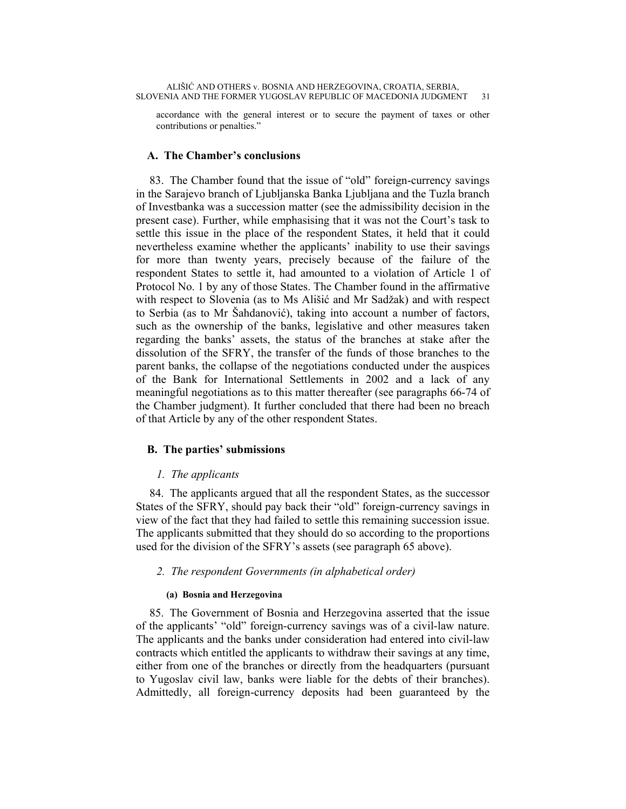accordance with the general interest or to secure the payment of taxes or other contributions or penalties."

## **A. The Chamber's conclusions**

83. The Chamber found that the issue of "old" foreign-currency savings in the Sarajevo branch of Ljubljanska Banka Ljubljana and the Tuzla branch of Investbanka was a succession matter (see the admissibility decision in the present case). Further, while emphasising that it was not the Court's task to settle this issue in the place of the respondent States, it held that it could nevertheless examine whether the applicants' inability to use their savings for more than twenty years, precisely because of the failure of the respondent States to settle it, had amounted to a violation of Article 1 of Protocol No. 1 by any of those States. The Chamber found in the affirmative with respect to Slovenia (as to Ms Ališić and Mr Sadžak) and with respect to Serbia (as to Mr Šahdanović), taking into account a number of factors, such as the ownership of the banks, legislative and other measures taken regarding the banks' assets, the status of the branches at stake after the dissolution of the SFRY, the transfer of the funds of those branches to the parent banks, the collapse of the negotiations conducted under the auspices of the Bank for International Settlements in 2002 and a lack of any meaningful negotiations as to this matter thereafter (see paragraphs 66-74 of the Chamber judgment). It further concluded that there had been no breach of that Article by any of the other respondent States.

## **B. The parties' submissions**

## *1. The applicants*

84. The applicants argued that all the respondent States, as the successor States of the SFRY, should pay back their "old" foreign-currency savings in view of the fact that they had failed to settle this remaining succession issue. The applicants submitted that they should do so according to the proportions used for the division of the SFRY's assets (see paragraph 65 above).

## *2. The respondent Governments (in alphabetical order)*

## **(a) Bosnia and Herzegovina**

85. The Government of Bosnia and Herzegovina asserted that the issue of the applicants' "old" foreign-currency savings was of a civil-law nature. The applicants and the banks under consideration had entered into civil-law contracts which entitled the applicants to withdraw their savings at any time, either from one of the branches or directly from the headquarters (pursuant to Yugoslav civil law, banks were liable for the debts of their branches). Admittedly, all foreign-currency deposits had been guaranteed by the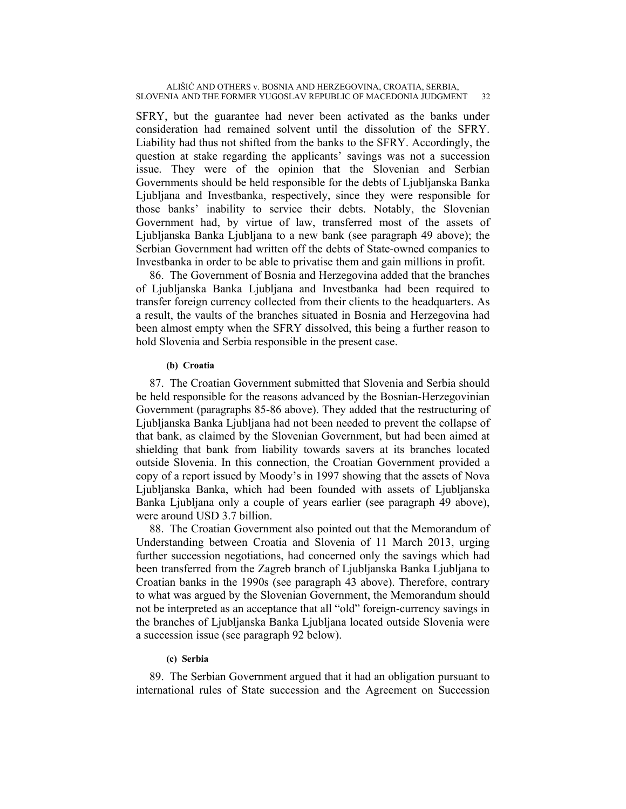SFRY, but the guarantee had never been activated as the banks under consideration had remained solvent until the dissolution of the SFRY. Liability had thus not shifted from the banks to the SFRY. Accordingly, the question at stake regarding the applicants' savings was not a succession issue. They were of the opinion that the Slovenian and Serbian Governments should be held responsible for the debts of Ljubljanska Banka Ljubljana and Investbanka, respectively, since they were responsible for those banks' inability to service their debts. Notably, the Slovenian Government had, by virtue of law, transferred most of the assets of Ljubljanska Banka Ljubljana to a new bank (see paragraph 49 above); the Serbian Government had written off the debts of State-owned companies to Investbanka in order to be able to privatise them and gain millions in profit.

86. The Government of Bosnia and Herzegovina added that the branches of Ljubljanska Banka Ljubljana and Investbanka had been required to transfer foreign currency collected from their clients to the headquarters. As a result, the vaults of the branches situated in Bosnia and Herzegovina had been almost empty when the SFRY dissolved, this being a further reason to hold Slovenia and Serbia responsible in the present case.

### **(b) Croatia**

87. The Croatian Government submitted that Slovenia and Serbia should be held responsible for the reasons advanced by the Bosnian-Herzegovinian Government (paragraphs 85-86 above). They added that the restructuring of Ljubljanska Banka Ljubljana had not been needed to prevent the collapse of that bank, as claimed by the Slovenian Government, but had been aimed at shielding that bank from liability towards savers at its branches located outside Slovenia. In this connection, the Croatian Government provided a copy of a report issued by Moody's in 1997 showing that the assets of Nova Ljubljanska Banka, which had been founded with assets of Ljubljanska Banka Ljubljana only a couple of years earlier (see paragraph 49 above), were around USD 3.7 billion.

88. The Croatian Government also pointed out that the Memorandum of Understanding between Croatia and Slovenia of 11 March 2013, urging further succession negotiations, had concerned only the savings which had been transferred from the Zagreb branch of Ljubljanska Banka Ljubljana to Croatian banks in the 1990s (see paragraph 43 above). Therefore, contrary to what was argued by the Slovenian Government, the Memorandum should not be interpreted as an acceptance that all "old" foreign-currency savings in the branches of Ljubljanska Banka Ljubljana located outside Slovenia were a succession issue (see paragraph 92 below).

## **(c) Serbia**

89. The Serbian Government argued that it had an obligation pursuant to international rules of State succession and the Agreement on Succession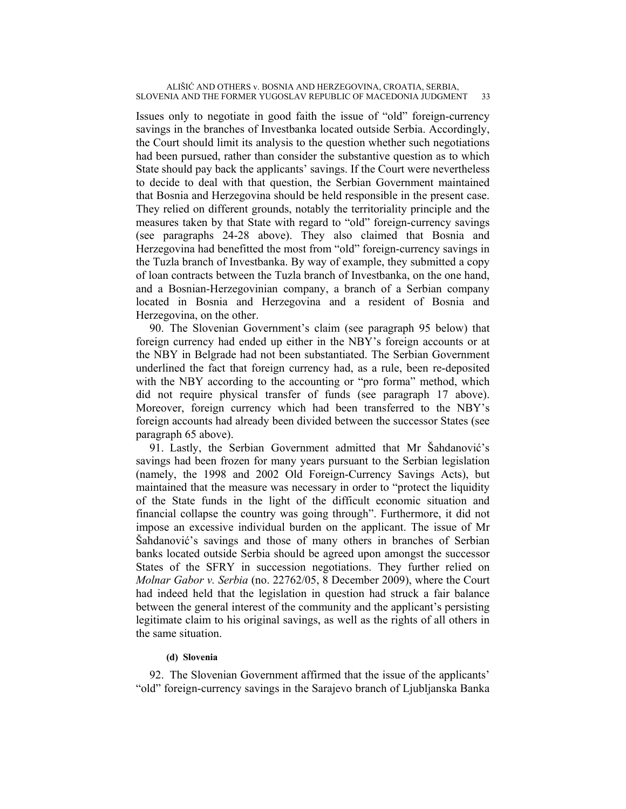Issues only to negotiate in good faith the issue of "old" foreign-currency savings in the branches of Investbanka located outside Serbia. Accordingly, the Court should limit its analysis to the question whether such negotiations had been pursued, rather than consider the substantive question as to which State should pay back the applicants' savings. If the Court were nevertheless to decide to deal with that question, the Serbian Government maintained that Bosnia and Herzegovina should be held responsible in the present case. They relied on different grounds, notably the territoriality principle and the measures taken by that State with regard to "old" foreign-currency savings (see paragraphs 24-28 above). They also claimed that Bosnia and Herzegovina had benefitted the most from "old" foreign-currency savings in the Tuzla branch of Investbanka. By way of example, they submitted a copy of loan contracts between the Tuzla branch of Investbanka, on the one hand, and a Bosnian-Herzegovinian company, a branch of a Serbian company located in Bosnia and Herzegovina and a resident of Bosnia and Herzegovina, on the other.

90. The Slovenian Government's claim (see paragraph 95 below) that foreign currency had ended up either in the NBY's foreign accounts or at the NBY in Belgrade had not been substantiated. The Serbian Government underlined the fact that foreign currency had, as a rule, been re-deposited with the NBY according to the accounting or "pro forma" method, which did not require physical transfer of funds (see paragraph 17 above). Moreover, foreign currency which had been transferred to the NBY's foreign accounts had already been divided between the successor States (see paragraph 65 above).

91. Lastly, the Serbian Government admitted that Mr Šahdanović's savings had been frozen for many years pursuant to the Serbian legislation (namely, the 1998 and 2002 Old Foreign-Currency Savings Acts), but maintained that the measure was necessary in order to "protect the liquidity of the State funds in the light of the difficult economic situation and financial collapse the country was going through". Furthermore, it did not impose an excessive individual burden on the applicant. The issue of Mr Šahdanović's savings and those of many others in branches of Serbian banks located outside Serbia should be agreed upon amongst the successor States of the SFRY in succession negotiations. They further relied on *Molnar Gabor v. Serbia* (no. 22762/05, 8 December 2009), where the Court had indeed held that the legislation in question had struck a fair balance between the general interest of the community and the applicant's persisting legitimate claim to his original savings, as well as the rights of all others in the same situation.

## **(d) Slovenia**

92. The Slovenian Government affirmed that the issue of the applicants' "old" foreign-currency savings in the Sarajevo branch of Ljubljanska Banka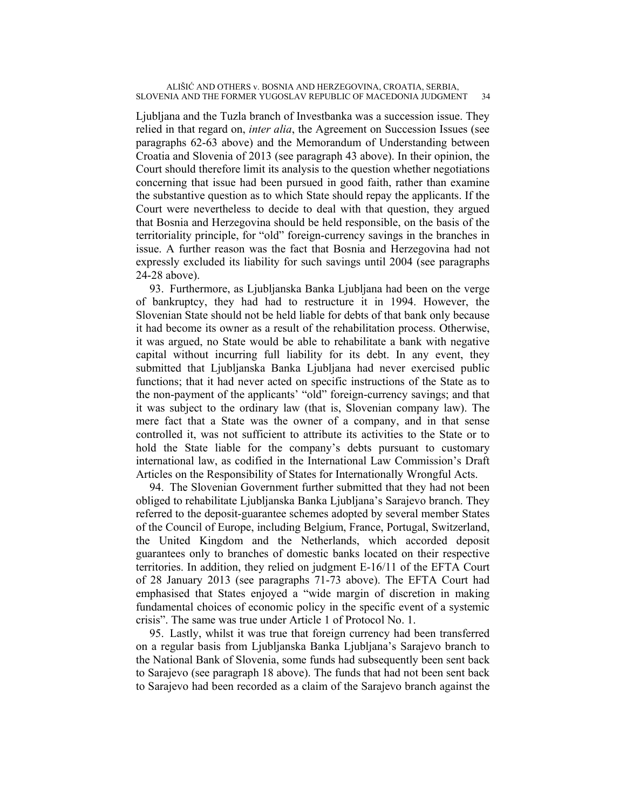Ljubljana and the Tuzla branch of Investbanka was a succession issue. They relied in that regard on, *inter alia*, the Agreement on Succession Issues (see paragraphs 62-63 above) and the Memorandum of Understanding between Croatia and Slovenia of 2013 (see paragraph 43 above). In their opinion, the Court should therefore limit its analysis to the question whether negotiations concerning that issue had been pursued in good faith, rather than examine the substantive question as to which State should repay the applicants. If the Court were nevertheless to decide to deal with that question, they argued that Bosnia and Herzegovina should be held responsible, on the basis of the territoriality principle, for "old" foreign-currency savings in the branches in issue. A further reason was the fact that Bosnia and Herzegovina had not expressly excluded its liability for such savings until 2004 (see paragraphs 24-28 above).

93. Furthermore, as Ljubljanska Banka Ljubljana had been on the verge of bankruptcy, they had had to restructure it in 1994. However, the Slovenian State should not be held liable for debts of that bank only because it had become its owner as a result of the rehabilitation process. Otherwise, it was argued, no State would be able to rehabilitate a bank with negative capital without incurring full liability for its debt. In any event, they submitted that Ljubljanska Banka Ljubljana had never exercised public functions; that it had never acted on specific instructions of the State as to the non-payment of the applicants' "old" foreign-currency savings; and that it was subject to the ordinary law (that is, Slovenian company law). The mere fact that a State was the owner of a company, and in that sense controlled it, was not sufficient to attribute its activities to the State or to hold the State liable for the company's debts pursuant to customary international law, as codified in the International Law Commission's Draft Articles on the Responsibility of States for Internationally Wrongful Acts.

94. The Slovenian Government further submitted that they had not been obliged to rehabilitate Ljubljanska Banka Ljubljana's Sarajevo branch. They referred to the deposit-guarantee schemes adopted by several member States of the Council of Europe, including Belgium, France, Portugal, Switzerland, the United Kingdom and the Netherlands, which accorded deposit guarantees only to branches of domestic banks located on their respective territories. In addition, they relied on judgment E-16/11 of the EFTA Court of 28 January 2013 (see paragraphs 71-73 above). The EFTA Court had emphasised that States enjoyed a "wide margin of discretion in making fundamental choices of economic policy in the specific event of a systemic crisis". The same was true under Article 1 of Protocol No. 1.

95. Lastly, whilst it was true that foreign currency had been transferred on a regular basis from Ljubljanska Banka Ljubljana's Sarajevo branch to the National Bank of Slovenia, some funds had subsequently been sent back to Sarajevo (see paragraph 18 above). The funds that had not been sent back to Sarajevo had been recorded as a claim of the Sarajevo branch against the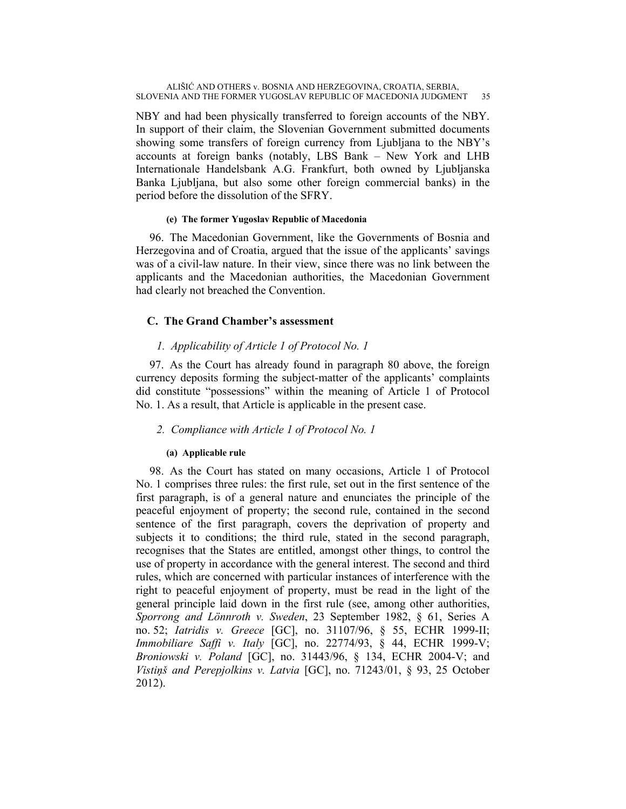NBY and had been physically transferred to foreign accounts of the NBY. In support of their claim, the Slovenian Government submitted documents showing some transfers of foreign currency from Ljubljana to the NBY's accounts at foreign banks (notably, LBS Bank – New York and LHB Internationale Handelsbank A.G. Frankfurt, both owned by Ljubljanska Banka Ljubljana, but also some other foreign commercial banks) in the period before the dissolution of the SFRY.

## **(e) The former Yugoslav Republic of Macedonia**

96. The Macedonian Government, like the Governments of Bosnia and Herzegovina and of Croatia, argued that the issue of the applicants' savings was of a civil-law nature. In their view, since there was no link between the applicants and the Macedonian authorities, the Macedonian Government had clearly not breached the Convention.

## **C. The Grand Chamber's assessment**

## *1. Applicability of Article 1 of Protocol No. 1*

97. As the Court has already found in paragraph 80 above, the foreign currency deposits forming the subject-matter of the applicants' complaints did constitute "possessions" within the meaning of Article 1 of Protocol No. 1. As a result, that Article is applicable in the present case.

## *2. Compliance with Article 1 of Protocol No. 1*

## **(a) Applicable rule**

98. As the Court has stated on many occasions, Article 1 of Protocol No. 1 comprises three rules: the first rule, set out in the first sentence of the first paragraph, is of a general nature and enunciates the principle of the peaceful enjoyment of property; the second rule, contained in the second sentence of the first paragraph, covers the deprivation of property and subjects it to conditions; the third rule, stated in the second paragraph, recognises that the States are entitled, amongst other things, to control the use of property in accordance with the general interest. The second and third rules, which are concerned with particular instances of interference with the right to peaceful enjoyment of property, must be read in the light of the general principle laid down in the first rule (see, among other authorities, *Sporrong and Lönnroth v. Sweden*, 23 September 1982, § 61, Series A no. 52; *Iatridis v. Greece* [GC], no. 31107/96, § 55, ECHR 1999-II; *Immobiliare Saffi v. Italy* [GC], no. 22774/93, § 44, ECHR 1999-V; *Broniowski v. Poland* [GC], no. 31443/96, § 134, ECHR 2004-V; and *Vistiņš and Perepjolkins v. Latvia* [GC], no. 71243/01, § 93, 25 October 2012).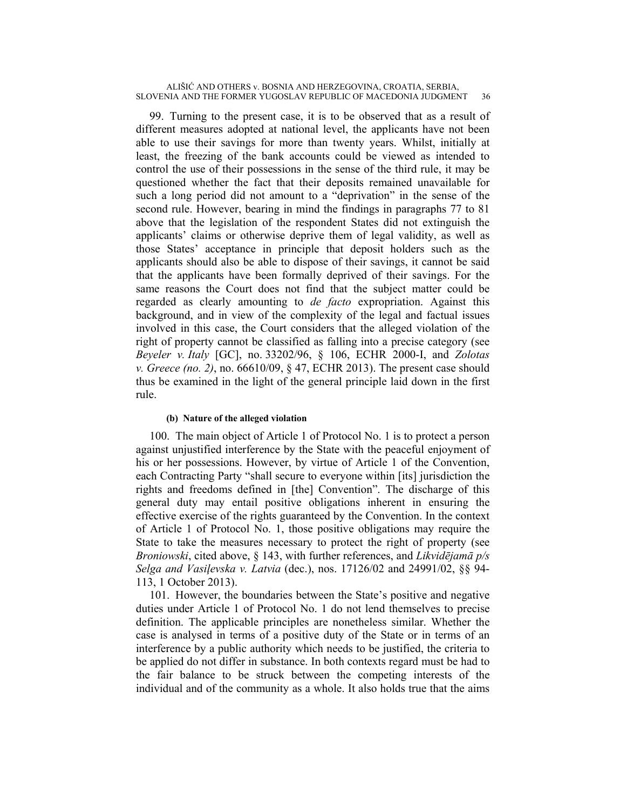99. Turning to the present case, it is to be observed that as a result of different measures adopted at national level, the applicants have not been able to use their savings for more than twenty years. Whilst, initially at least, the freezing of the bank accounts could be viewed as intended to control the use of their possessions in the sense of the third rule, it may be questioned whether the fact that their deposits remained unavailable for such a long period did not amount to a "deprivation" in the sense of the second rule. However, bearing in mind the findings in paragraphs 77 to 81 above that the legislation of the respondent States did not extinguish the applicants' claims or otherwise deprive them of legal validity, as well as those States' acceptance in principle that deposit holders such as the applicants should also be able to dispose of their savings, it cannot be said that the applicants have been formally deprived of their savings. For the same reasons the Court does not find that the subject matter could be regarded as clearly amounting to *de facto* expropriation. Against this background, and in view of the complexity of the legal and factual issues involved in this case, the Court considers that the alleged violation of the right of property cannot be classified as falling into a precise category (see *Beyeler v. Italy* [GC], no. 33202/96, § 106, ECHR 2000-I, and *Zolotas v. Greece (no. 2)*, no. 66610/09, § 47, ECHR 2013). The present case should thus be examined in the light of the general principle laid down in the first rule.

## **(b) Nature of the alleged violation**

100. The main object of Article 1 of Protocol No. 1 is to protect a person against unjustified interference by the State with the peaceful enjoyment of his or her possessions. However, by virtue of Article 1 of the Convention, each Contracting Party "shall secure to everyone within [its] jurisdiction the rights and freedoms defined in [the] Convention". The discharge of this general duty may entail positive obligations inherent in ensuring the effective exercise of the rights guaranteed by the Convention. In the context of Article 1 of Protocol No. 1, those positive obligations may require the State to take the measures necessary to protect the right of property (see *Broniowski*, cited above, § 143, with further references, and *Likvidējamā p/s Selga and Vasiļevska v. Latvia* (dec.), nos. 17126/02 and 24991/02, §§ 94- 113, 1 October 2013).

101. However, the boundaries between the State's positive and negative duties under Article 1 of Protocol No. 1 do not lend themselves to precise definition. The applicable principles are nonetheless similar. Whether the case is analysed in terms of a positive duty of the State or in terms of an interference by a public authority which needs to be justified, the criteria to be applied do not differ in substance. In both contexts regard must be had to the fair balance to be struck between the competing interests of the individual and of the community as a whole. It also holds true that the aims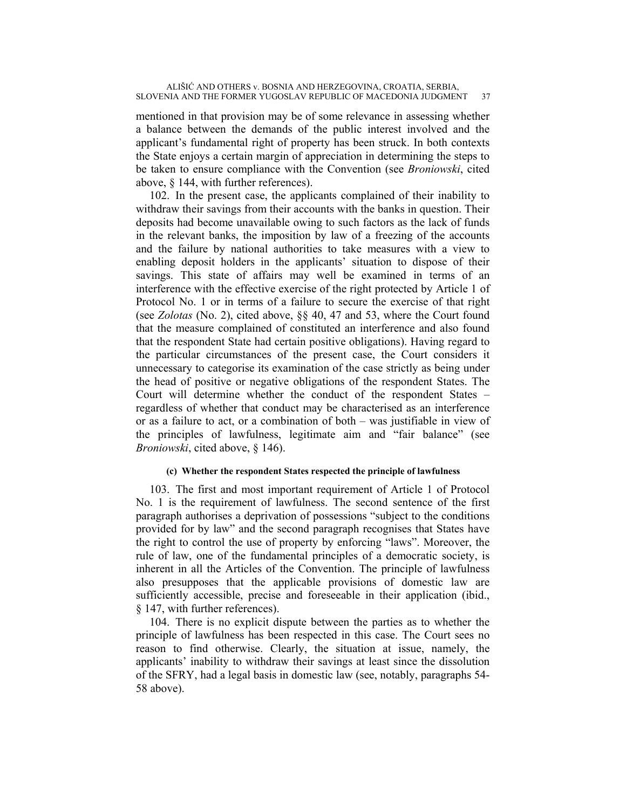mentioned in that provision may be of some relevance in assessing whether a balance between the demands of the public interest involved and the applicant's fundamental right of property has been struck. In both contexts the State enjoys a certain margin of appreciation in determining the steps to be taken to ensure compliance with the Convention (see *Broniowski*, cited above, § 144, with further references).

102. In the present case, the applicants complained of their inability to withdraw their savings from their accounts with the banks in question. Their deposits had become unavailable owing to such factors as the lack of funds in the relevant banks, the imposition by law of a freezing of the accounts and the failure by national authorities to take measures with a view to enabling deposit holders in the applicants' situation to dispose of their savings. This state of affairs may well be examined in terms of an interference with the effective exercise of the right protected by Article 1 of Protocol No. 1 or in terms of a failure to secure the exercise of that right (see *Zolotas* (No. 2), cited above, §§ 40, 47 and 53, where the Court found that the measure complained of constituted an interference and also found that the respondent State had certain positive obligations). Having regard to the particular circumstances of the present case, the Court considers it unnecessary to categorise its examination of the case strictly as being under the head of positive or negative obligations of the respondent States. The Court will determine whether the conduct of the respondent States – regardless of whether that conduct may be characterised as an interference or as a failure to act, or a combination of both – was justifiable in view of the principles of lawfulness, legitimate aim and "fair balance" (see *Broniowski*, cited above, § 146).

## **(c) Whether the respondent States respected the principle of lawfulness**

103. The first and most important requirement of Article 1 of Protocol No. 1 is the requirement of lawfulness. The second sentence of the first paragraph authorises a deprivation of possessions "subject to the conditions provided for by law" and the second paragraph recognises that States have the right to control the use of property by enforcing "laws". Moreover, the rule of law, one of the fundamental principles of a democratic society, is inherent in all the Articles of the Convention. The principle of lawfulness also presupposes that the applicable provisions of domestic law are sufficiently accessible, precise and foreseeable in their application (ibid., § 147, with further references).

104. There is no explicit dispute between the parties as to whether the principle of lawfulness has been respected in this case. The Court sees no reason to find otherwise. Clearly, the situation at issue, namely, the applicants' inability to withdraw their savings at least since the dissolution of the SFRY, had a legal basis in domestic law (see, notably, paragraphs 54- 58 above).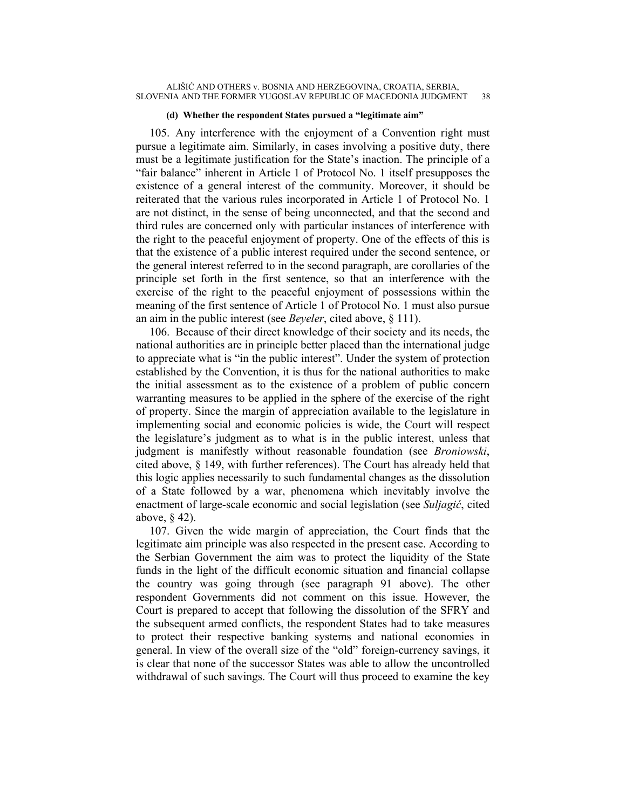#### **(d) Whether the respondent States pursued a "legitimate aim"**

105. Any interference with the enjoyment of a Convention right must pursue a legitimate aim. Similarly, in cases involving a positive duty, there must be a legitimate justification for the State's inaction. The principle of a "fair balance" inherent in Article 1 of Protocol No. 1 itself presupposes the existence of a general interest of the community. Moreover, it should be reiterated that the various rules incorporated in Article 1 of Protocol No. 1 are not distinct, in the sense of being unconnected, and that the second and third rules are concerned only with particular instances of interference with the right to the peaceful enjoyment of property. One of the effects of this is that the existence of a public interest required under the second sentence, or the general interest referred to in the second paragraph, are corollaries of the principle set forth in the first sentence, so that an interference with the exercise of the right to the peaceful enjoyment of possessions within the meaning of the first sentence of Article 1 of Protocol No. 1 must also pursue an aim in the public interest (see *Beyeler*, cited above, § 111).

106. Because of their direct knowledge of their society and its needs, the national authorities are in principle better placed than the international judge to appreciate what is "in the public interest". Under the system of protection established by the Convention, it is thus for the national authorities to make the initial assessment as to the existence of a problem of public concern warranting measures to be applied in the sphere of the exercise of the right of property. Since the margin of appreciation available to the legislature in implementing social and economic policies is wide, the Court will respect the legislature's judgment as to what is in the public interest, unless that judgment is manifestly without reasonable foundation (see *Broniowski*, cited above, § 149, with further references). The Court has already held that this logic applies necessarily to such fundamental changes as the dissolution of a State followed by a war, phenomena which inevitably involve the enactment of large-scale economic and social legislation (see *Suljagić*, cited above, § 42).

107. Given the wide margin of appreciation, the Court finds that the legitimate aim principle was also respected in the present case. According to the Serbian Government the aim was to protect the liquidity of the State funds in the light of the difficult economic situation and financial collapse the country was going through (see paragraph 91 above). The other respondent Governments did not comment on this issue. However, the Court is prepared to accept that following the dissolution of the SFRY and the subsequent armed conflicts, the respondent States had to take measures to protect their respective banking systems and national economies in general. In view of the overall size of the "old" foreign-currency savings, it is clear that none of the successor States was able to allow the uncontrolled withdrawal of such savings. The Court will thus proceed to examine the key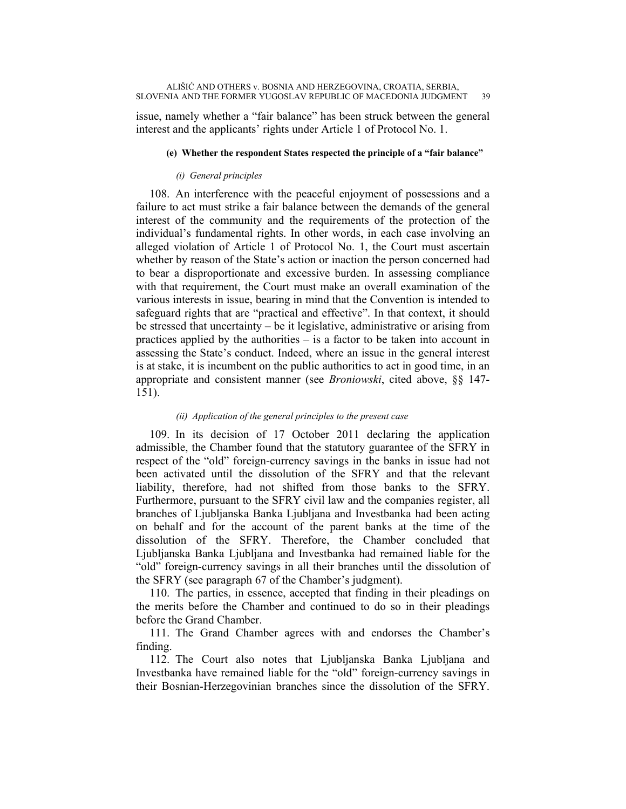issue, namely whether a "fair balance" has been struck between the general interest and the applicants' rights under Article 1 of Protocol No. 1.

### **(e) Whether the respondent States respected the principle of a "fair balance"**

### *(i) General principles*

108. An interference with the peaceful enjoyment of possessions and a failure to act must strike a fair balance between the demands of the general interest of the community and the requirements of the protection of the individual's fundamental rights. In other words, in each case involving an alleged violation of Article 1 of Protocol No. 1, the Court must ascertain whether by reason of the State's action or inaction the person concerned had to bear a disproportionate and excessive burden. In assessing compliance with that requirement, the Court must make an overall examination of the various interests in issue, bearing in mind that the Convention is intended to safeguard rights that are "practical and effective". In that context, it should be stressed that uncertainty – be it legislative, administrative or arising from practices applied by the authorities – is a factor to be taken into account in assessing the State's conduct. Indeed, where an issue in the general interest is at stake, it is incumbent on the public authorities to act in good time, in an appropriate and consistent manner (see *Broniowski*, cited above, §§ 147- 151).

## *(ii) Application of the general principles to the present case*

109. In its decision of 17 October 2011 declaring the application admissible, the Chamber found that the statutory guarantee of the SFRY in respect of the "old" foreign-currency savings in the banks in issue had not been activated until the dissolution of the SFRY and that the relevant liability, therefore, had not shifted from those banks to the SFRY. Furthermore, pursuant to the SFRY civil law and the companies register, all branches of Ljubljanska Banka Ljubljana and Investbanka had been acting on behalf and for the account of the parent banks at the time of the dissolution of the SFRY. Therefore, the Chamber concluded that Ljubljanska Banka Ljubljana and Investbanka had remained liable for the "old" foreign-currency savings in all their branches until the dissolution of the SFRY (see paragraph 67 of the Chamber's judgment).

110. The parties, in essence, accepted that finding in their pleadings on the merits before the Chamber and continued to do so in their pleadings before the Grand Chamber.

111. The Grand Chamber agrees with and endorses the Chamber's finding.

112. The Court also notes that Ljubljanska Banka Ljubljana and Investbanka have remained liable for the "old" foreign-currency savings in their Bosnian-Herzegovinian branches since the dissolution of the SFRY.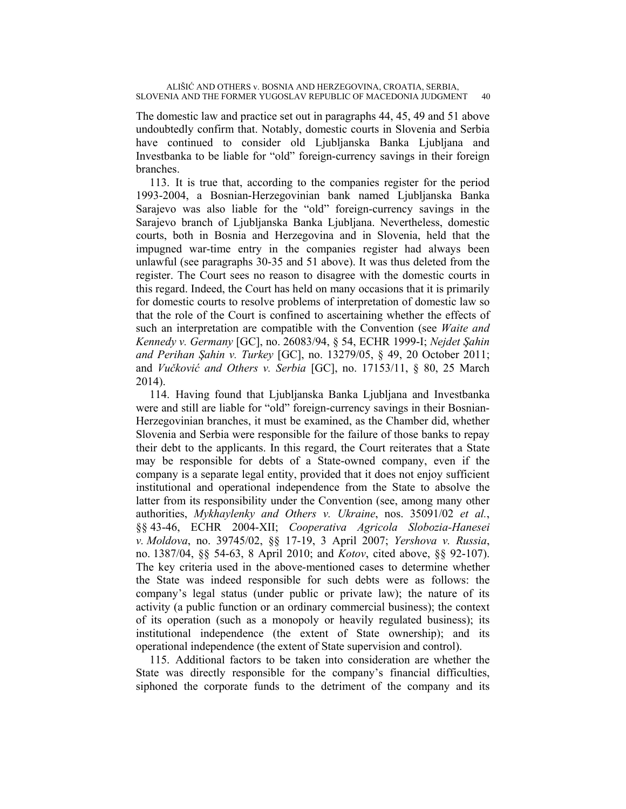The domestic law and practice set out in paragraphs 44, 45, 49 and 51 above undoubtedly confirm that. Notably, domestic courts in Slovenia and Serbia have continued to consider old Ljubljanska Banka Ljubljana and Investbanka to be liable for "old" foreign-currency savings in their foreign branches.

113. It is true that, according to the companies register for the period 1993-2004, a Bosnian-Herzegovinian bank named Ljubljanska Banka Sarajevo was also liable for the "old" foreign-currency savings in the Sarajevo branch of Ljubljanska Banka Ljubljana. Nevertheless, domestic courts, both in Bosnia and Herzegovina and in Slovenia, held that the impugned war-time entry in the companies register had always been unlawful (see paragraphs 30-35 and 51 above). It was thus deleted from the register. The Court sees no reason to disagree with the domestic courts in this regard. Indeed, the Court has held on many occasions that it is primarily for domestic courts to resolve problems of interpretation of domestic law so that the role of the Court is confined to ascertaining whether the effects of such an interpretation are compatible with the Convention (see *Waite and Kennedy v. Germany* [GC], no. 26083/94, § 54, ECHR 1999-I; *Nejdet Şahin and Perihan Şahin v. Turkey* [GC], no. 13279/05, § 49, 20 October 2011; and *Vučković and Others v. Serbia* [GC], no. 17153/11, § 80, 25 March 2014).

114. Having found that Ljubljanska Banka Ljubljana and Investbanka were and still are liable for "old" foreign-currency savings in their Bosnian-Herzegovinian branches, it must be examined, as the Chamber did, whether Slovenia and Serbia were responsible for the failure of those banks to repay their debt to the applicants. In this regard, the Court reiterates that a State may be responsible for debts of a State-owned company, even if the company is a separate legal entity, provided that it does not enjoy sufficient institutional and operational independence from the State to absolve the latter from its responsibility under the Convention (see, among many other authorities, *Mykhaylenky and Others v. Ukraine*, nos. 35091/02 *et al.*, §§ 43-46, ECHR 2004-XII; *Cooperativa Agricola Slobozia-Hanesei v. Moldova*, no. 39745/02, §§ 17-19, 3 April 2007; *Yershova v. Russia*, no. 1387/04, §§ 54-63, 8 April 2010; and *Kotov*, cited above, §§ 92-107). The key criteria used in the above-mentioned cases to determine whether the State was indeed responsible for such debts were as follows: the company's legal status (under public or private law); the nature of its activity (a public function or an ordinary commercial business); the context of its operation (such as a monopoly or heavily regulated business); its institutional independence (the extent of State ownership); and its operational independence (the extent of State supervision and control).

115. Additional factors to be taken into consideration are whether the State was directly responsible for the company's financial difficulties, siphoned the corporate funds to the detriment of the company and its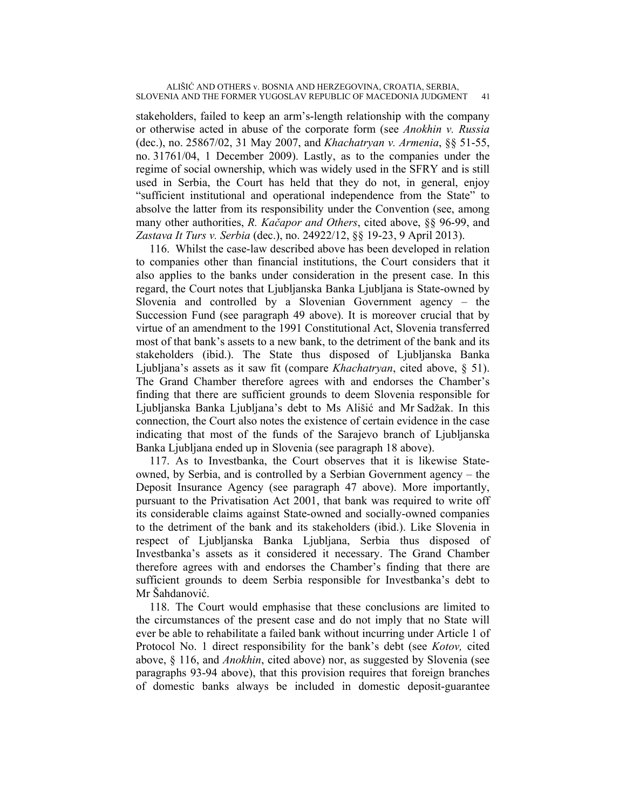stakeholders, failed to keep an arm's-length relationship with the company or otherwise acted in abuse of the corporate form (see *Anokhin v. Russia* (dec.), no. 25867/02, 31 May 2007, and *Khachatryan v. Armenia*, §§ 51-55, no. 31761/04, 1 December 2009). Lastly, as to the companies under the regime of social ownership, which was widely used in the SFRY and is still used in Serbia, the Court has held that they do not, in general, enjoy "sufficient institutional and operational independence from the State" to absolve the latter from its responsibility under the Convention (see, among many other authorities, *R. Kačapor and Others*, cited above, §§ 96-99, and *Zastava It Turs v. Serbia* (dec.), no. 24922/12, §§ 19-23, 9 April 2013).

116. Whilst the case-law described above has been developed in relation to companies other than financial institutions, the Court considers that it also applies to the banks under consideration in the present case. In this regard, the Court notes that Ljubljanska Banka Ljubljana is State-owned by Slovenia and controlled by a Slovenian Government agency – the Succession Fund (see paragraph 49 above). It is moreover crucial that by virtue of an amendment to the 1991 Constitutional Act, Slovenia transferred most of that bank's assets to a new bank, to the detriment of the bank and its stakeholders (ibid.). The State thus disposed of Ljubljanska Banka Ljubljana's assets as it saw fit (compare *Khachatryan*, cited above, § 51). The Grand Chamber therefore agrees with and endorses the Chamber's finding that there are sufficient grounds to deem Slovenia responsible for Ljubljanska Banka Ljubljana's debt to Ms Ališić and Mr Sadžak. In this connection, the Court also notes the existence of certain evidence in the case indicating that most of the funds of the Sarajevo branch of Ljubljanska Banka Ljubljana ended up in Slovenia (see paragraph 18 above).

117. As to Investbanka, the Court observes that it is likewise Stateowned, by Serbia, and is controlled by a Serbian Government agency – the Deposit Insurance Agency (see paragraph 47 above). More importantly, pursuant to the Privatisation Act 2001, that bank was required to write off its considerable claims against State-owned and socially-owned companies to the detriment of the bank and its stakeholders (ibid.). Like Slovenia in respect of Ljubljanska Banka Ljubljana, Serbia thus disposed of Investbanka's assets as it considered it necessary. The Grand Chamber therefore agrees with and endorses the Chamber's finding that there are sufficient grounds to deem Serbia responsible for Investbanka's debt to Mr Šahdanović.

118. The Court would emphasise that these conclusions are limited to the circumstances of the present case and do not imply that no State will ever be able to rehabilitate a failed bank without incurring under Article 1 of Protocol No. 1 direct responsibility for the bank's debt (see *Kotov,* cited above, § 116, and *Anokhin*, cited above) nor, as suggested by Slovenia (see paragraphs 93-94 above), that this provision requires that foreign branches of domestic banks always be included in domestic deposit-guarantee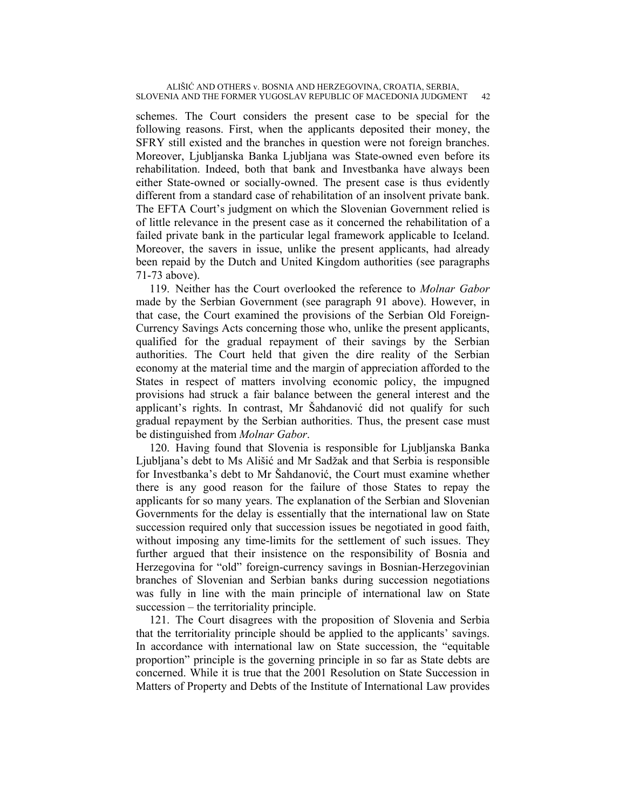schemes. The Court considers the present case to be special for the following reasons. First, when the applicants deposited their money, the SFRY still existed and the branches in question were not foreign branches. Moreover, Ljubljanska Banka Ljubljana was State-owned even before its rehabilitation. Indeed, both that bank and Investbanka have always been either State-owned or socially-owned. The present case is thus evidently different from a standard case of rehabilitation of an insolvent private bank. The EFTA Court's judgment on which the Slovenian Government relied is of little relevance in the present case as it concerned the rehabilitation of a failed private bank in the particular legal framework applicable to Iceland. Moreover, the savers in issue, unlike the present applicants, had already been repaid by the Dutch and United Kingdom authorities (see paragraphs 71-73 above).

119. Neither has the Court overlooked the reference to *Molnar Gabor* made by the Serbian Government (see paragraph 91 above). However, in that case, the Court examined the provisions of the Serbian Old Foreign-Currency Savings Acts concerning those who, unlike the present applicants, qualified for the gradual repayment of their savings by the Serbian authorities. The Court held that given the dire reality of the Serbian economy at the material time and the margin of appreciation afforded to the States in respect of matters involving economic policy, the impugned provisions had struck a fair balance between the general interest and the applicant's rights. In contrast, Mr Šahdanović did not qualify for such gradual repayment by the Serbian authorities. Thus, the present case must be distinguished from *Molnar Gabor*.

120. Having found that Slovenia is responsible for Ljubljanska Banka Ljubljana's debt to Ms Ališić and Mr Sadžak and that Serbia is responsible for Investbanka's debt to Mr Šahdanović, the Court must examine whether there is any good reason for the failure of those States to repay the applicants for so many years. The explanation of the Serbian and Slovenian Governments for the delay is essentially that the international law on State succession required only that succession issues be negotiated in good faith, without imposing any time-limits for the settlement of such issues. They further argued that their insistence on the responsibility of Bosnia and Herzegovina for "old" foreign-currency savings in Bosnian-Herzegovinian branches of Slovenian and Serbian banks during succession negotiations was fully in line with the main principle of international law on State succession – the territoriality principle.

121. The Court disagrees with the proposition of Slovenia and Serbia that the territoriality principle should be applied to the applicants' savings. In accordance with international law on State succession, the "equitable proportion" principle is the governing principle in so far as State debts are concerned. While it is true that the 2001 Resolution on State Succession in Matters of Property and Debts of the Institute of International Law provides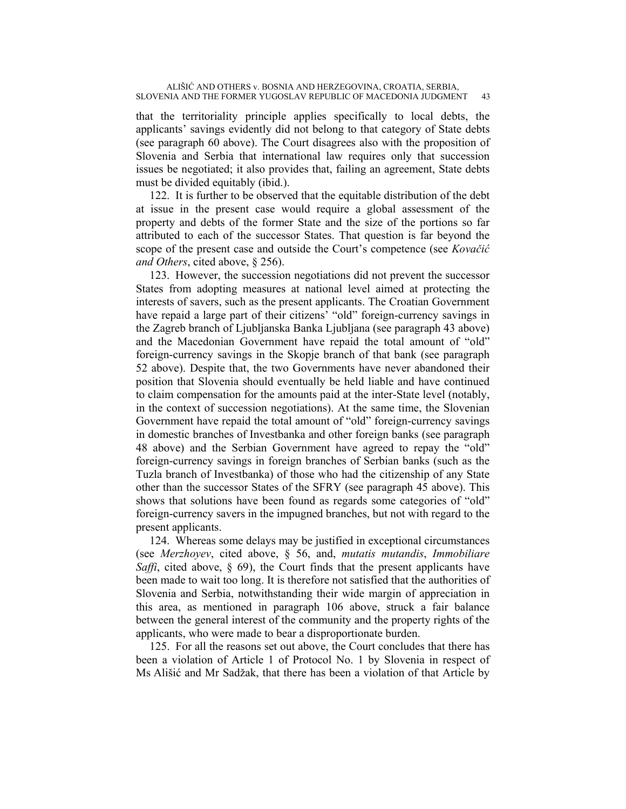that the territoriality principle applies specifically to local debts, the applicants' savings evidently did not belong to that category of State debts (see paragraph 60 above). The Court disagrees also with the proposition of Slovenia and Serbia that international law requires only that succession issues be negotiated; it also provides that, failing an agreement, State debts must be divided equitably (ibid.).

122. It is further to be observed that the equitable distribution of the debt at issue in the present case would require a global assessment of the property and debts of the former State and the size of the portions so far attributed to each of the successor States. That question is far beyond the scope of the present case and outside the Court's competence (see *Kovačić and Others*, cited above, § 256).

123. However, the succession negotiations did not prevent the successor States from adopting measures at national level aimed at protecting the interests of savers, such as the present applicants. The Croatian Government have repaid a large part of their citizens' "old" foreign-currency savings in the Zagreb branch of Ljubljanska Banka Ljubljana (see paragraph 43 above) and the Macedonian Government have repaid the total amount of "old" foreign-currency savings in the Skopje branch of that bank (see paragraph 52 above). Despite that, the two Governments have never abandoned their position that Slovenia should eventually be held liable and have continued to claim compensation for the amounts paid at the inter-State level (notably, in the context of succession negotiations). At the same time, the Slovenian Government have repaid the total amount of "old" foreign-currency savings in domestic branches of Investbanka and other foreign banks (see paragraph 48 above) and the Serbian Government have agreed to repay the "old" foreign-currency savings in foreign branches of Serbian banks (such as the Tuzla branch of Investbanka) of those who had the citizenship of any State other than the successor States of the SFRY (see paragraph 45 above). This shows that solutions have been found as regards some categories of "old" foreign-currency savers in the impugned branches, but not with regard to the present applicants.

124. Whereas some delays may be justified in exceptional circumstances (see *Merzhoyev*, cited above, § 56, and, *mutatis mutandis*, *Immobiliare Saffi*, cited above, § 69), the Court finds that the present applicants have been made to wait too long. It is therefore not satisfied that the authorities of Slovenia and Serbia, notwithstanding their wide margin of appreciation in this area, as mentioned in paragraph 106 above, struck a fair balance between the general interest of the community and the property rights of the applicants, who were made to bear a disproportionate burden.

125. For all the reasons set out above, the Court concludes that there has been a violation of Article 1 of Protocol No. 1 by Slovenia in respect of Ms Ališić and Mr Sadžak, that there has been a violation of that Article by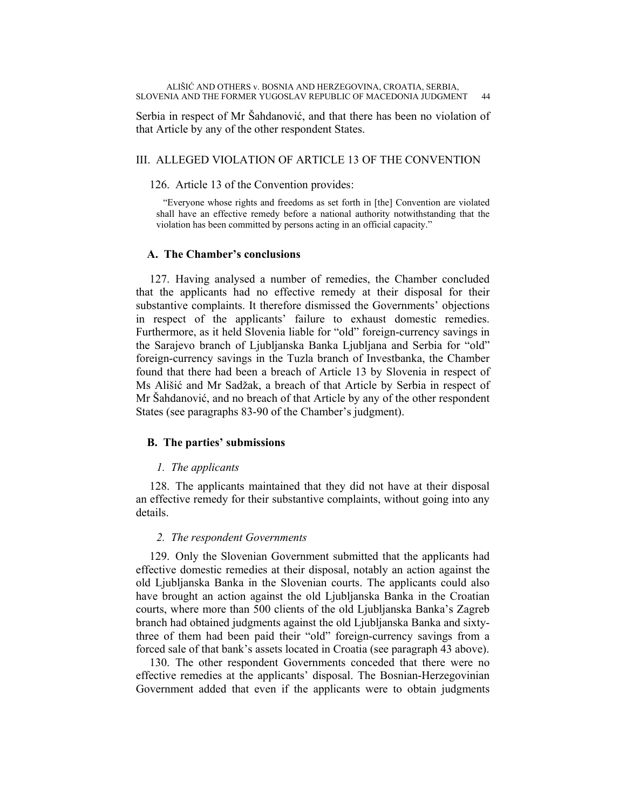Serbia in respect of Mr Šahdanović, and that there has been no violation of that Article by any of the other respondent States.

## III. ALLEGED VIOLATION OF ARTICLE 13 OF THE CONVENTION

### 126. Article 13 of the Convention provides:

"Everyone whose rights and freedoms as set forth in [the] Convention are violated shall have an effective remedy before a national authority notwithstanding that the violation has been committed by persons acting in an official capacity."

## **A. The Chamber's conclusions**

127. Having analysed a number of remedies, the Chamber concluded that the applicants had no effective remedy at their disposal for their substantive complaints. It therefore dismissed the Governments' objections in respect of the applicants' failure to exhaust domestic remedies. Furthermore, as it held Slovenia liable for "old" foreign-currency savings in the Sarajevo branch of Ljubljanska Banka Ljubljana and Serbia for "old" foreign-currency savings in the Tuzla branch of Investbanka, the Chamber found that there had been a breach of Article 13 by Slovenia in respect of Ms Ališić and Mr Sadžak, a breach of that Article by Serbia in respect of Mr Šahdanović, and no breach of that Article by any of the other respondent States (see paragraphs 83-90 of the Chamber's judgment).

## **B. The parties' submissions**

### *1. The applicants*

128. The applicants maintained that they did not have at their disposal an effective remedy for their substantive complaints, without going into any details.

## *2. The respondent Governments*

129. Only the Slovenian Government submitted that the applicants had effective domestic remedies at their disposal, notably an action against the old Ljubljanska Banka in the Slovenian courts. The applicants could also have brought an action against the old Ljubljanska Banka in the Croatian courts, where more than 500 clients of the old Ljubljanska Banka's Zagreb branch had obtained judgments against the old Ljubljanska Banka and sixtythree of them had been paid their "old" foreign-currency savings from a forced sale of that bank's assets located in Croatia (see paragraph 43 above).

130. The other respondent Governments conceded that there were no effective remedies at the applicants' disposal. The Bosnian-Herzegovinian Government added that even if the applicants were to obtain judgments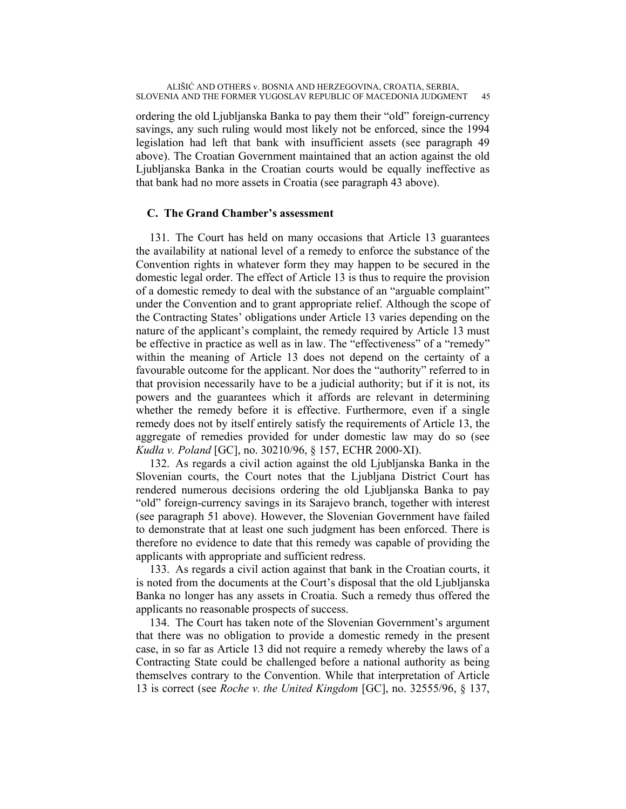ordering the old Ljubljanska Banka to pay them their "old" foreign-currency savings, any such ruling would most likely not be enforced, since the 1994 legislation had left that bank with insufficient assets (see paragraph 49 above). The Croatian Government maintained that an action against the old Ljubljanska Banka in the Croatian courts would be equally ineffective as that bank had no more assets in Croatia (see paragraph 43 above).

## **C. The Grand Chamber's assessment**

131. The Court has held on many occasions that Article 13 guarantees the availability at national level of a remedy to enforce the substance of the Convention rights in whatever form they may happen to be secured in the domestic legal order. The effect of Article 13 is thus to require the provision of a domestic remedy to deal with the substance of an "arguable complaint" under the Convention and to grant appropriate relief. Although the scope of the Contracting States' obligations under Article 13 varies depending on the nature of the applicant's complaint, the remedy required by Article 13 must be effective in practice as well as in law. The "effectiveness" of a "remedy" within the meaning of Article 13 does not depend on the certainty of a favourable outcome for the applicant. Nor does the "authority" referred to in that provision necessarily have to be a judicial authority; but if it is not, its powers and the guarantees which it affords are relevant in determining whether the remedy before it is effective. Furthermore, even if a single remedy does not by itself entirely satisfy the requirements of Article 13, the aggregate of remedies provided for under domestic law may do so (see *Kudła v. Poland* [GC], no. 30210/96, § 157, ECHR 2000-XI).

132. As regards a civil action against the old Ljubljanska Banka in the Slovenian courts, the Court notes that the Ljubljana District Court has rendered numerous decisions ordering the old Ljubljanska Banka to pay "old" foreign-currency savings in its Sarajevo branch, together with interest (see paragraph 51 above). However, the Slovenian Government have failed to demonstrate that at least one such judgment has been enforced. There is therefore no evidence to date that this remedy was capable of providing the applicants with appropriate and sufficient redress.

133. As regards a civil action against that bank in the Croatian courts, it is noted from the documents at the Court's disposal that the old Ljubljanska Banka no longer has any assets in Croatia. Such a remedy thus offered the applicants no reasonable prospects of success.

134. The Court has taken note of the Slovenian Government's argument that there was no obligation to provide a domestic remedy in the present case, in so far as Article 13 did not require a remedy whereby the laws of a Contracting State could be challenged before a national authority as being themselves contrary to the Convention. While that interpretation of Article 13 is correct (see *Roche v. the United Kingdom* [GC], no. 32555/96, § 137,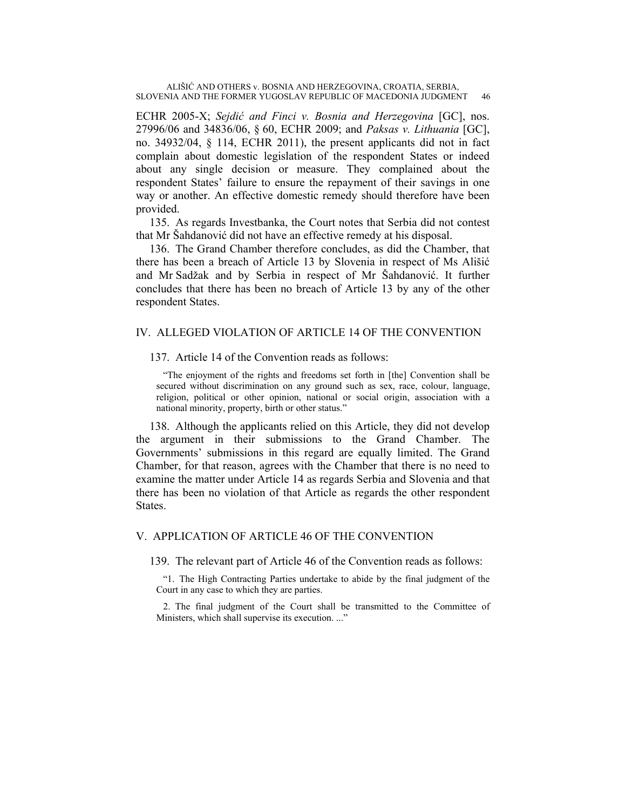ECHR 2005-X; *Sejdić and Finci v. Bosnia and Herzegovina* [GC], nos. 27996/06 and 34836/06, § 60, ECHR 2009; and *Paksas v. Lithuania* [GC], no. 34932/04, § 114, ECHR 2011), the present applicants did not in fact complain about domestic legislation of the respondent States or indeed about any single decision or measure. They complained about the respondent States' failure to ensure the repayment of their savings in one way or another. An effective domestic remedy should therefore have been provided.

135. As regards Investbanka, the Court notes that Serbia did not contest that Mr Šahdanović did not have an effective remedy at his disposal.

136. The Grand Chamber therefore concludes, as did the Chamber, that there has been a breach of Article 13 by Slovenia in respect of Ms Ališić and Mr Sadžak and by Serbia in respect of Mr Šahdanović. It further concludes that there has been no breach of Article 13 by any of the other respondent States.

## IV. ALLEGED VIOLATION OF ARTICLE 14 OF THE CONVENTION

## 137. Article 14 of the Convention reads as follows:

"The enjoyment of the rights and freedoms set forth in [the] Convention shall be secured without discrimination on any ground such as sex, race, colour, language, religion, political or other opinion, national or social origin, association with a national minority, property, birth or other status."

138. Although the applicants relied on this Article, they did not develop the argument in their submissions to the Grand Chamber. The Governments' submissions in this regard are equally limited. The Grand Chamber, for that reason, agrees with the Chamber that there is no need to examine the matter under Article 14 as regards Serbia and Slovenia and that there has been no violation of that Article as regards the other respondent States.

## V. APPLICATION OF ARTICLE 46 OF THE CONVENTION

139. The relevant part of Article 46 of the Convention reads as follows:

"1. The High Contracting Parties undertake to abide by the final judgment of the Court in any case to which they are parties.

2. The final judgment of the Court shall be transmitted to the Committee of Ministers, which shall supervise its execution. ..."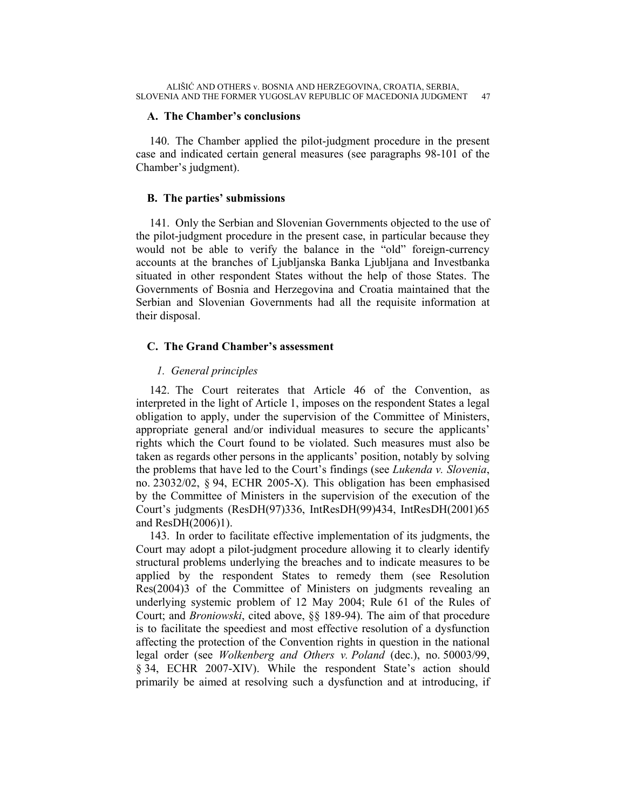## **A. The Chamber's conclusions**

140. The Chamber applied the pilot-judgment procedure in the present case and indicated certain general measures (see paragraphs 98-101 of the Chamber's judgment).

## **B. The parties' submissions**

141. Only the Serbian and Slovenian Governments objected to the use of the pilot-judgment procedure in the present case, in particular because they would not be able to verify the balance in the "old" foreign-currency accounts at the branches of Ljubljanska Banka Ljubljana and Investbanka situated in other respondent States without the help of those States. The Governments of Bosnia and Herzegovina and Croatia maintained that the Serbian and Slovenian Governments had all the requisite information at their disposal.

## **C. The Grand Chamber's assessment**

## *1. General principles*

142. The Court reiterates that Article 46 of the Convention, as interpreted in the light of Article 1, imposes on the respondent States a legal obligation to apply, under the supervision of the Committee of Ministers, appropriate general and/or individual measures to secure the applicants' rights which the Court found to be violated. Such measures must also be taken as regards other persons in the applicants' position, notably by solving the problems that have led to the Court's findings (see *Lukenda v. Slovenia*, no. 23032/02, § 94, ECHR 2005-X). This obligation has been emphasised by the Committee of Ministers in the supervision of the execution of the Court's judgments (ResDH(97)336, IntResDH(99)434, IntResDH(2001)65 and ResDH(2006)1).

143. In order to facilitate effective implementation of its judgments, the Court may adopt a pilot-judgment procedure allowing it to clearly identify structural problems underlying the breaches and to indicate measures to be applied by the respondent States to remedy them (see Resolution Res(2004)3 of the Committee of Ministers on judgments revealing an underlying systemic problem of 12 May 2004; Rule 61 of the Rules of Court; and *Broniowski*, cited above, §§ 189-94). The aim of that procedure is to facilitate the speediest and most effective resolution of a dysfunction affecting the protection of the Convention rights in question in the national legal order (see *Wolkenberg and Others v. Poland* (dec.), no. 50003/99, § 34, ECHR 2007-XIV). While the respondent State's action should primarily be aimed at resolving such a dysfunction and at introducing, if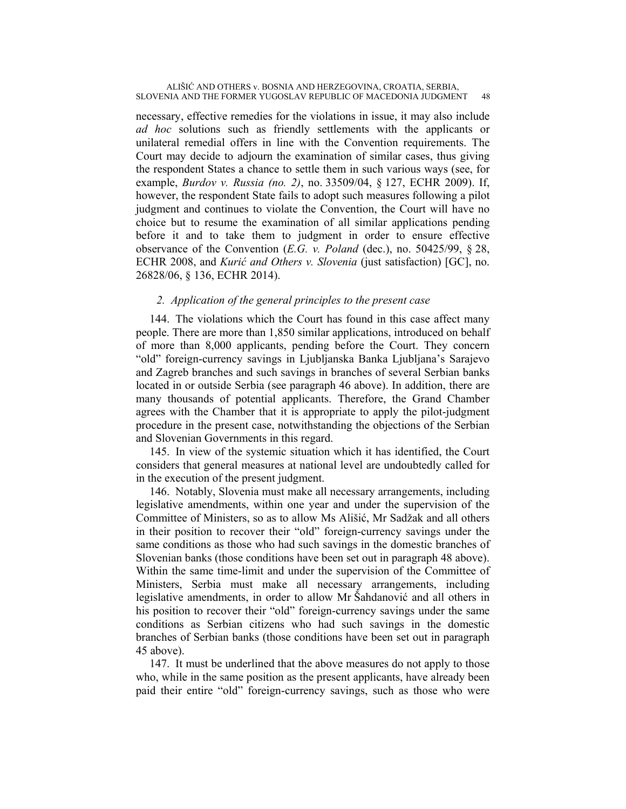necessary, effective remedies for the violations in issue, it may also include *ad hoc* solutions such as friendly settlements with the applicants or unilateral remedial offers in line with the Convention requirements. The Court may decide to adjourn the examination of similar cases, thus giving the respondent States a chance to settle them in such various ways (see, for example, *Burdov v. Russia (no. 2)*, no. 33509/04, § 127, ECHR 2009). If, however, the respondent State fails to adopt such measures following a pilot judgment and continues to violate the Convention, the Court will have no choice but to resume the examination of all similar applications pending before it and to take them to judgment in order to ensure effective observance of the Convention (*E.G. v. Poland* (dec.), no. 50425/99, § 28, ECHR 2008, and *Kurić and Others v. Slovenia* (just satisfaction) [GC], no. 26828/06, § 136, ECHR 2014).

## *2. Application of the general principles to the present case*

144. The violations which the Court has found in this case affect many people. There are more than 1,850 similar applications, introduced on behalf of more than 8,000 applicants, pending before the Court. They concern "old" foreign-currency savings in Ljubljanska Banka Ljubljana's Sarajevo and Zagreb branches and such savings in branches of several Serbian banks located in or outside Serbia (see paragraph 46 above). In addition, there are many thousands of potential applicants. Therefore, the Grand Chamber agrees with the Chamber that it is appropriate to apply the pilot-judgment procedure in the present case, notwithstanding the objections of the Serbian and Slovenian Governments in this regard.

145. In view of the systemic situation which it has identified, the Court considers that general measures at national level are undoubtedly called for in the execution of the present judgment.

146. Notably, Slovenia must make all necessary arrangements, including legislative amendments, within one year and under the supervision of the Committee of Ministers, so as to allow Ms Ališić, Mr Sadžak and all others in their position to recover their "old" foreign-currency savings under the same conditions as those who had such savings in the domestic branches of Slovenian banks (those conditions have been set out in paragraph 48 above). Within the same time-limit and under the supervision of the Committee of Ministers, Serbia must make all necessary arrangements, including legislative amendments, in order to allow Mr Šahdanović and all others in his position to recover their "old" foreign-currency savings under the same conditions as Serbian citizens who had such savings in the domestic branches of Serbian banks (those conditions have been set out in paragraph 45 above).

147. It must be underlined that the above measures do not apply to those who, while in the same position as the present applicants, have already been paid their entire "old" foreign-currency savings, such as those who were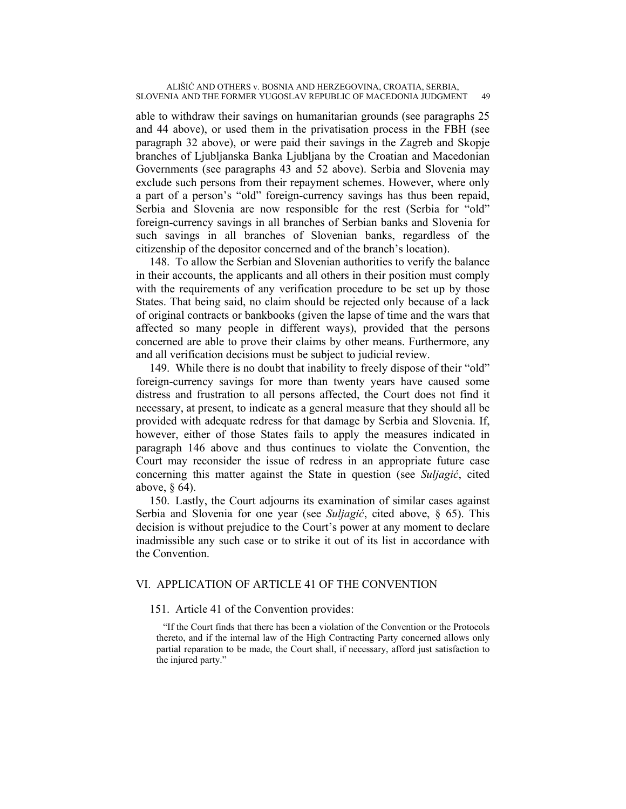able to withdraw their savings on humanitarian grounds (see paragraphs 25 and 44 above), or used them in the privatisation process in the FBH (see paragraph 32 above), or were paid their savings in the Zagreb and Skopje branches of Ljubljanska Banka Ljubljana by the Croatian and Macedonian Governments (see paragraphs 43 and 52 above). Serbia and Slovenia may exclude such persons from their repayment schemes. However, where only a part of a person's "old" foreign-currency savings has thus been repaid, Serbia and Slovenia are now responsible for the rest (Serbia for "old" foreign-currency savings in all branches of Serbian banks and Slovenia for such savings in all branches of Slovenian banks, regardless of the citizenship of the depositor concerned and of the branch's location).

148. To allow the Serbian and Slovenian authorities to verify the balance in their accounts, the applicants and all others in their position must comply with the requirements of any verification procedure to be set up by those States. That being said, no claim should be rejected only because of a lack of original contracts or bankbooks (given the lapse of time and the wars that affected so many people in different ways), provided that the persons concerned are able to prove their claims by other means. Furthermore, any and all verification decisions must be subject to judicial review.

149. While there is no doubt that inability to freely dispose of their "old" foreign-currency savings for more than twenty years have caused some distress and frustration to all persons affected, the Court does not find it necessary, at present, to indicate as a general measure that they should all be provided with adequate redress for that damage by Serbia and Slovenia. If, however, either of those States fails to apply the measures indicated in paragraph 146 above and thus continues to violate the Convention, the Court may reconsider the issue of redress in an appropriate future case concerning this matter against the State in question (see *Suljagić*, cited above, § 64).

150. Lastly, the Court adjourns its examination of similar cases against Serbia and Slovenia for one year (see *Suljagić*, cited above, § 65). This decision is without prejudice to the Court's power at any moment to declare inadmissible any such case or to strike it out of its list in accordance with the Convention.

## VI. APPLICATION OF ARTICLE 41 OF THE CONVENTION

## 151. Article 41 of the Convention provides:

"If the Court finds that there has been a violation of the Convention or the Protocols thereto, and if the internal law of the High Contracting Party concerned allows only partial reparation to be made, the Court shall, if necessary, afford just satisfaction to the injured party."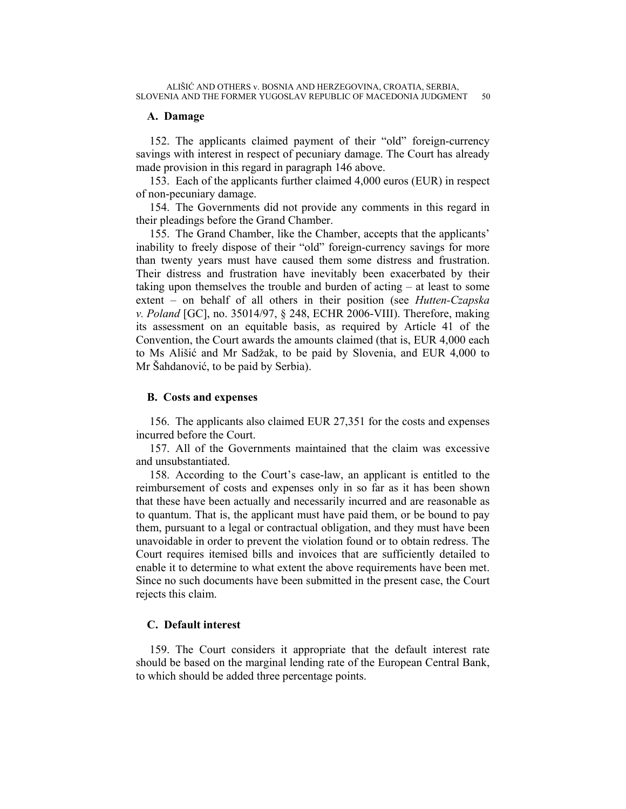## **A. Damage**

152. The applicants claimed payment of their "old" foreign-currency savings with interest in respect of pecuniary damage. The Court has already made provision in this regard in paragraph 146 above.

153. Each of the applicants further claimed 4,000 euros (EUR) in respect of non-pecuniary damage.

154. The Governments did not provide any comments in this regard in their pleadings before the Grand Chamber.

155. The Grand Chamber, like the Chamber, accepts that the applicants' inability to freely dispose of their "old" foreign-currency savings for more than twenty years must have caused them some distress and frustration. Their distress and frustration have inevitably been exacerbated by their taking upon themselves the trouble and burden of acting – at least to some extent – on behalf of all others in their position (see *Hutten-Czapska v. Poland* [GC], no. 35014/97, § 248, ECHR 2006-VIII). Therefore, making its assessment on an equitable basis, as required by Article 41 of the Convention, the Court awards the amounts claimed (that is, EUR 4,000 each to Ms Ališić and Mr Sadžak, to be paid by Slovenia, and EUR 4,000 to Mr Šahdanović, to be paid by Serbia).

#### **B. Costs and expenses**

156. The applicants also claimed EUR 27,351 for the costs and expenses incurred before the Court.

157. All of the Governments maintained that the claim was excessive and unsubstantiated.

158. According to the Court's case-law, an applicant is entitled to the reimbursement of costs and expenses only in so far as it has been shown that these have been actually and necessarily incurred and are reasonable as to quantum. That is, the applicant must have paid them, or be bound to pay them, pursuant to a legal or contractual obligation, and they must have been unavoidable in order to prevent the violation found or to obtain redress. The Court requires itemised bills and invoices that are sufficiently detailed to enable it to determine to what extent the above requirements have been met. Since no such documents have been submitted in the present case, the Court rejects this claim.

## **C. Default interest**

159. The Court considers it appropriate that the default interest rate should be based on the marginal lending rate of the European Central Bank, to which should be added three percentage points.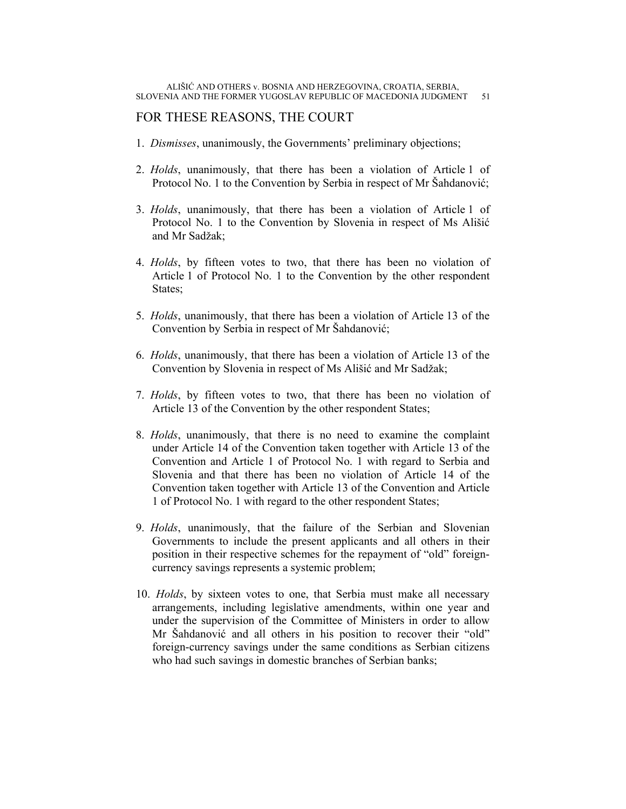## FOR THESE REASONS, THE COURT

- 1. *Dismisses*, unanimously, the Governments' preliminary objections;
- 2. *Holds*, unanimously, that there has been a violation of Article 1 of Protocol No. 1 to the Convention by Serbia in respect of Mr Šahdanović;
- 3. *Holds*, unanimously, that there has been a violation of Article 1 of Protocol No. 1 to the Convention by Slovenia in respect of Ms Ališić and Mr Sadžak;
- 4. *Holds*, by fifteen votes to two, that there has been no violation of Article 1 of Protocol No. 1 to the Convention by the other respondent States;
- 5. *Holds*, unanimously, that there has been a violation of Article 13 of the Convention by Serbia in respect of Mr Šahdanović;
- 6. *Holds*, unanimously, that there has been a violation of Article 13 of the Convention by Slovenia in respect of Ms Ališić and Mr Sadžak;
- 7. *Holds*, by fifteen votes to two, that there has been no violation of Article 13 of the Convention by the other respondent States;
- 8. *Holds*, unanimously, that there is no need to examine the complaint under Article 14 of the Convention taken together with Article 13 of the Convention and Article 1 of Protocol No. 1 with regard to Serbia and Slovenia and that there has been no violation of Article 14 of the Convention taken together with Article 13 of the Convention and Article 1 of Protocol No. 1 with regard to the other respondent States;
- 9. *Holds*, unanimously, that the failure of the Serbian and Slovenian Governments to include the present applicants and all others in their position in their respective schemes for the repayment of "old" foreigncurrency savings represents a systemic problem;
- 10. *Holds*, by sixteen votes to one, that Serbia must make all necessary arrangements, including legislative amendments, within one year and under the supervision of the Committee of Ministers in order to allow Mr Šahdanović and all others in his position to recover their "old" foreign-currency savings under the same conditions as Serbian citizens who had such savings in domestic branches of Serbian banks;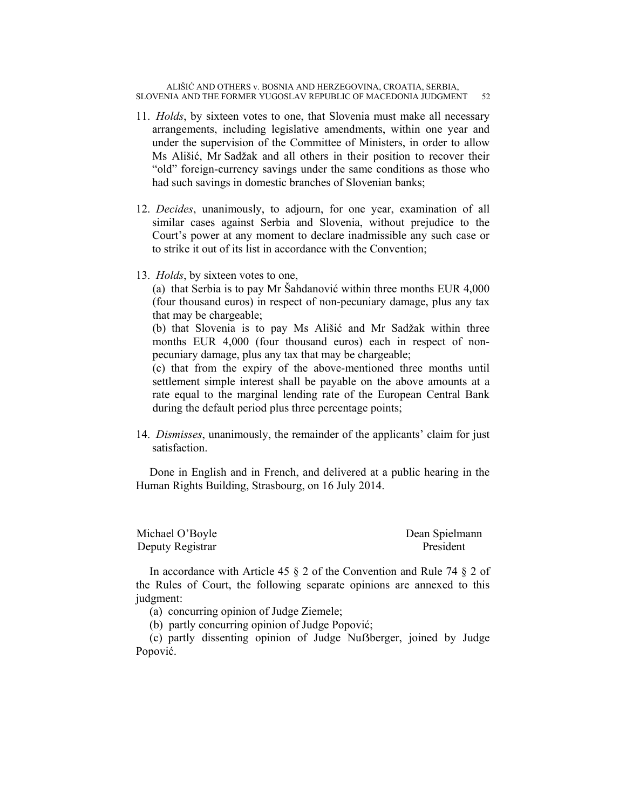- 11. *Holds*, by sixteen votes to one, that Slovenia must make all necessary arrangements, including legislative amendments, within one year and under the supervision of the Committee of Ministers, in order to allow Ms Ališić, Mr Sadžak and all others in their position to recover their "old" foreign-currency savings under the same conditions as those who had such savings in domestic branches of Slovenian banks;
- 12. *Decides*, unanimously, to adjourn, for one year, examination of all similar cases against Serbia and Slovenia, without prejudice to the Court's power at any moment to declare inadmissible any such case or to strike it out of its list in accordance with the Convention;
- 13. *Holds*, by sixteen votes to one,

(a) that Serbia is to pay Mr Šahdanović within three months EUR 4,000 (four thousand euros) in respect of non-pecuniary damage, plus any tax that may be chargeable;

(b) that Slovenia is to pay Ms Ališić and Mr Sadžak within three months EUR 4,000 (four thousand euros) each in respect of nonpecuniary damage, plus any tax that may be chargeable;

(c) that from the expiry of the above-mentioned three months until settlement simple interest shall be payable on the above amounts at a rate equal to the marginal lending rate of the European Central Bank during the default period plus three percentage points;

14. *Dismisses*, unanimously, the remainder of the applicants' claim for just satisfaction.

Done in English and in French, and delivered at a public hearing in the Human Rights Building, Strasbourg, on 16 July 2014.

| Michael O'Boyle  | Dean Spielmann |
|------------------|----------------|
| Deputy Registrar | President      |

In accordance with Article 45 § 2 of the Convention and Rule 74 § 2 of the Rules of Court, the following separate opinions are annexed to this judgment:

(a) concurring opinion of Judge Ziemele;

(b) partly concurring opinion of Judge Popović;

(c) partly dissenting opinion of Judge Nuẞberger, joined by Judge Popović.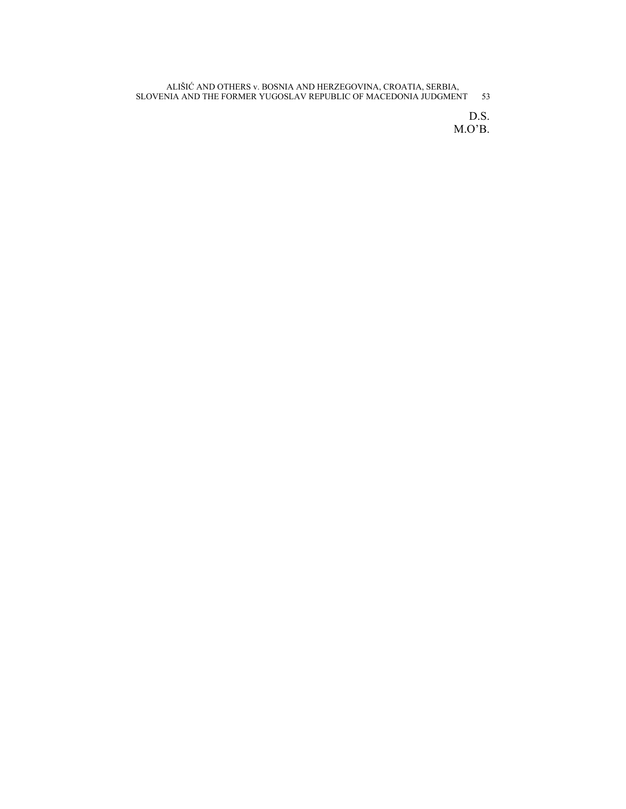> D.S. M.O'B.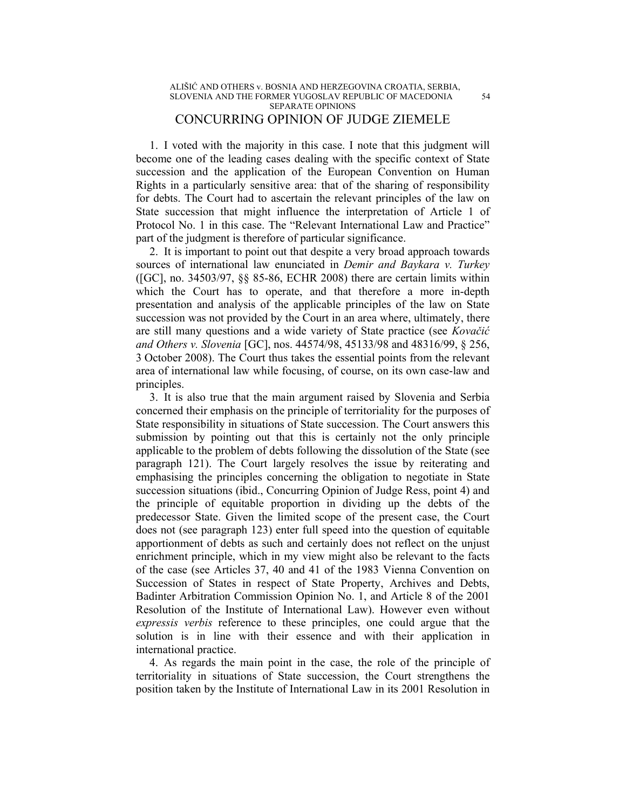1. I voted with the majority in this case. I note that this judgment will become one of the leading cases dealing with the specific context of State succession and the application of the European Convention on Human Rights in a particularly sensitive area: that of the sharing of responsibility for debts. The Court had to ascertain the relevant principles of the law on State succession that might influence the interpretation of Article 1 of Protocol No. 1 in this case. The "Relevant International Law and Practice" part of the judgment is therefore of particular significance.

2. It is important to point out that despite a very broad approach towards sources of international law enunciated in *Demir and Baykara v. Turkey* ([GC], no. 34503/97, §§ 85-86, ECHR 2008) there are certain limits within which the Court has to operate, and that therefore a more in-depth presentation and analysis of the applicable principles of the law on State succession was not provided by the Court in an area where, ultimately, there are still many questions and a wide variety of State practice (see *Kovačić and Others v. Slovenia* [GC], nos. 44574/98, 45133/98 and 48316/99, § 256, 3 October 2008). The Court thus takes the essential points from the relevant area of international law while focusing, of course, on its own case-law and principles.

3. It is also true that the main argument raised by Slovenia and Serbia concerned their emphasis on the principle of territoriality for the purposes of State responsibility in situations of State succession. The Court answers this submission by pointing out that this is certainly not the only principle applicable to the problem of debts following the dissolution of the State (see paragraph 121). The Court largely resolves the issue by reiterating and emphasising the principles concerning the obligation to negotiate in State succession situations (ibid., Concurring Opinion of Judge Ress, point 4) and the principle of equitable proportion in dividing up the debts of the predecessor State. Given the limited scope of the present case, the Court does not (see paragraph 123) enter full speed into the question of equitable apportionment of debts as such and certainly does not reflect on the unjust enrichment principle, which in my view might also be relevant to the facts of the case (see Articles 37, 40 and 41 of the 1983 Vienna Convention on Succession of States in respect of State Property, Archives and Debts, Badinter Arbitration Commission Opinion No. 1, and Article 8 of the 2001 Resolution of the Institute of International Law). However even without *expressis verbis* reference to these principles, one could argue that the solution is in line with their essence and with their application in international practice.

4. As regards the main point in the case, the role of the principle of territoriality in situations of State succession, the Court strengthens the position taken by the Institute of International Law in its 2001 Resolution in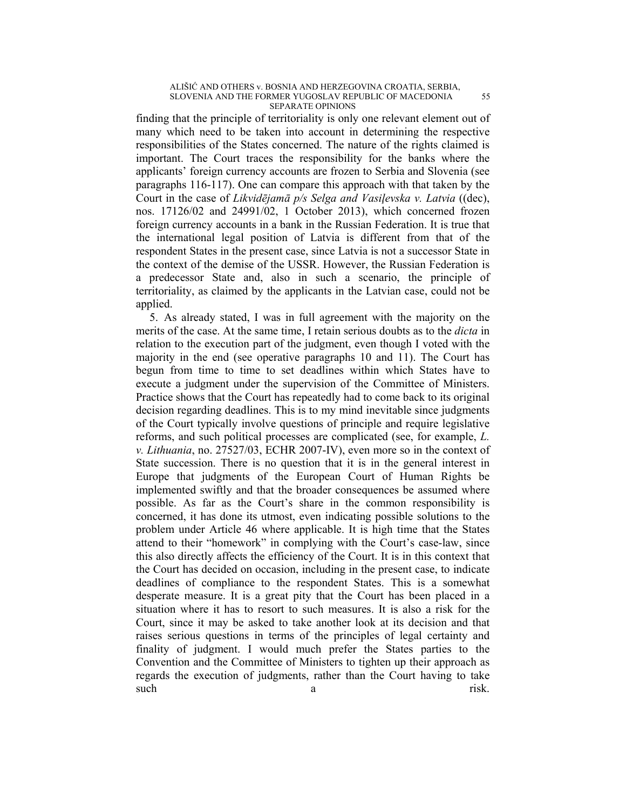finding that the principle of territoriality is only one relevant element out of many which need to be taken into account in determining the respective responsibilities of the States concerned. The nature of the rights claimed is important. The Court traces the responsibility for the banks where the applicants' foreign currency accounts are frozen to Serbia and Slovenia (see paragraphs 116-117). One can compare this approach with that taken by the Court in the case of *Likvidējamā p/s Selga and Vasiļevska v. Latvia* ((dec), nos. 17126/02 and 24991/02, 1 October 2013), which concerned frozen foreign currency accounts in a bank in the Russian Federation. It is true that the international legal position of Latvia is different from that of the respondent States in the present case, since Latvia is not a successor State in the context of the demise of the USSR. However, the Russian Federation is a predecessor State and, also in such a scenario, the principle of territoriality, as claimed by the applicants in the Latvian case, could not be applied.

5. As already stated, I was in full agreement with the majority on the merits of the case. At the same time, I retain serious doubts as to the *dicta* in relation to the execution part of the judgment, even though I voted with the majority in the end (see operative paragraphs 10 and 11). The Court has begun from time to time to set deadlines within which States have to execute a judgment under the supervision of the Committee of Ministers. Practice shows that the Court has repeatedly had to come back to its original decision regarding deadlines. This is to my mind inevitable since judgments of the Court typically involve questions of principle and require legislative reforms, and such political processes are complicated (see, for example, *L. v. Lithuania*, no. 27527/03, ECHR 2007-IV), even more so in the context of State succession. There is no question that it is in the general interest in Europe that judgments of the European Court of Human Rights be implemented swiftly and that the broader consequences be assumed where possible. As far as the Court's share in the common responsibility is concerned, it has done its utmost, even indicating possible solutions to the problem under Article 46 where applicable. It is high time that the States attend to their "homework" in complying with the Court's case-law, since this also directly affects the efficiency of the Court. It is in this context that the Court has decided on occasion, including in the present case, to indicate deadlines of compliance to the respondent States. This is a somewhat desperate measure. It is a great pity that the Court has been placed in a situation where it has to resort to such measures. It is also a risk for the Court, since it may be asked to take another look at its decision and that raises serious questions in terms of the principles of legal certainty and finality of judgment. I would much prefer the States parties to the Convention and the Committee of Ministers to tighten up their approach as regards the execution of judgments, rather than the Court having to take such a risk.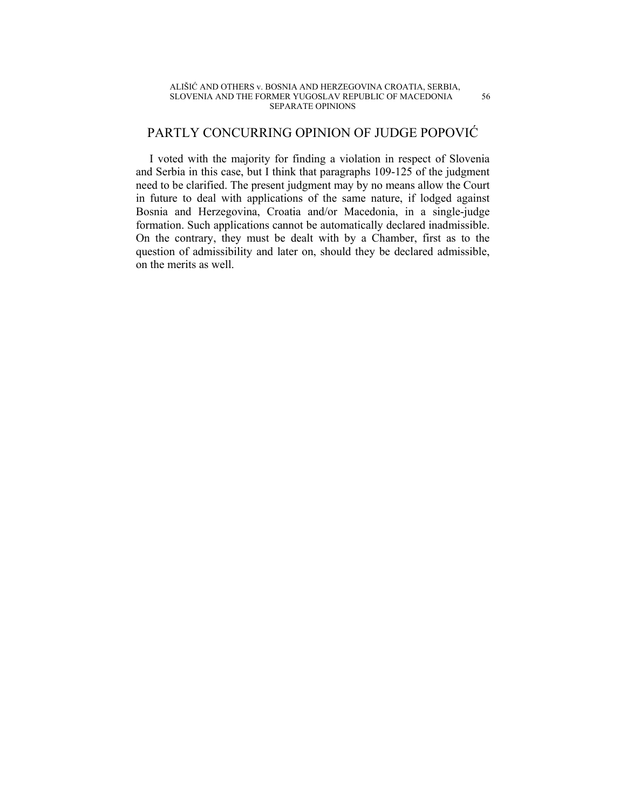## PARTLY CONCURRING OPINION OF JUDGE POPOVIĆ

I voted with the majority for finding a violation in respect of Slovenia and Serbia in this case, but I think that paragraphs 109-125 of the judgment need to be clarified. The present judgment may by no means allow the Court in future to deal with applications of the same nature, if lodged against Bosnia and Herzegovina, Croatia and/or Macedonia, in a single-judge formation. Such applications cannot be automatically declared inadmissible. On the contrary, they must be dealt with by a Chamber, first as to the question of admissibility and later on, should they be declared admissible, on the merits as well.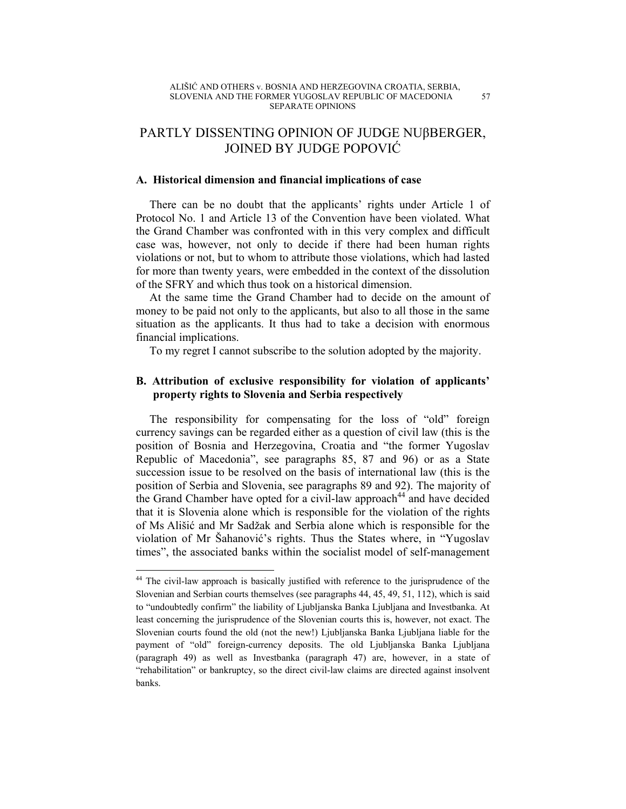# PARTLY DISSENTING OPINION OF JUDGE NUβBERGER, JOINED BY JUDGE POPOVIĆ

## **A. Historical dimension and financial implications of case**

There can be no doubt that the applicants' rights under Article 1 of Protocol No. 1 and Article 13 of the Convention have been violated. What the Grand Chamber was confronted with in this very complex and difficult case was, however, not only to decide if there had been human rights violations or not, but to whom to attribute those violations, which had lasted for more than twenty years, were embedded in the context of the dissolution of the SFRY and which thus took on a historical dimension.

At the same time the Grand Chamber had to decide on the amount of money to be paid not only to the applicants, but also to all those in the same situation as the applicants. It thus had to take a decision with enormous financial implications.

To my regret I cannot subscribe to the solution adopted by the majority.

## **B. Attribution of exclusive responsibility for violation of applicants' property rights to Slovenia and Serbia respectively**

The responsibility for compensating for the loss of "old" foreign currency savings can be regarded either as a question of civil law (this is the position of Bosnia and Herzegovina, Croatia and "the former Yugoslav Republic of Macedonia", see paragraphs 85, 87 and 96) or as a State succession issue to be resolved on the basis of international law (this is the position of Serbia and Slovenia, see paragraphs 89 and 92). The majority of the Grand Chamber have opted for a civil-law approach<sup>44</sup> and have decided that it is Slovenia alone which is responsible for the violation of the rights of Ms Ališić and Mr Sadžak and Serbia alone which is responsible for the violation of Mr Šahanović's rights. Thus the States where, in "Yugoslav times", the associated banks within the socialist model of self-management

 $\overline{a}$ 

<sup>&</sup>lt;sup>44</sup> The civil-law approach is basically justified with reference to the jurisprudence of the Slovenian and Serbian courts themselves (see paragraphs 44, 45, 49, 51, 112), which is said to "undoubtedly confirm" the liability of Ljubljanska Banka Ljubljana and Investbanka. At least concerning the jurisprudence of the Slovenian courts this is, however, not exact. The Slovenian courts found the old (not the new!) Ljubljanska Banka Ljubljana liable for the payment of "old" foreign-currency deposits. The old Ljubljanska Banka Ljubljana (paragraph 49) as well as Investbanka (paragraph 47) are, however, in a state of "rehabilitation" or bankruptcy, so the direct civil-law claims are directed against insolvent banks.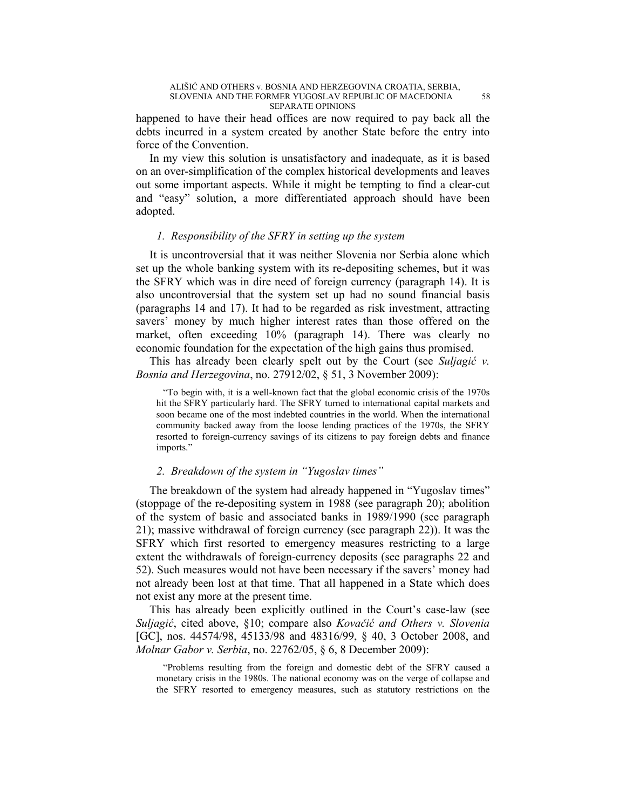happened to have their head offices are now required to pay back all the debts incurred in a system created by another State before the entry into force of the Convention.

In my view this solution is unsatisfactory and inadequate, as it is based on an over-simplification of the complex historical developments and leaves out some important aspects. While it might be tempting to find a clear-cut and "easy" solution, a more differentiated approach should have been adopted.

## *1. Responsibility of the SFRY in setting up the system*

It is uncontroversial that it was neither Slovenia nor Serbia alone which set up the whole banking system with its re-depositing schemes, but it was the SFRY which was in dire need of foreign currency (paragraph 14). It is also uncontroversial that the system set up had no sound financial basis (paragraphs 14 and 17). It had to be regarded as risk investment, attracting savers' money by much higher interest rates than those offered on the market, often exceeding 10% (paragraph 14). There was clearly no economic foundation for the expectation of the high gains thus promised.

This has already been clearly spelt out by the Court (see *Suljagić v. Bosnia and Herzegovina*, no. 27912/02, § 51, 3 November 2009):

"To begin with, it is a well-known fact that the global economic crisis of the 1970s hit the SFRY particularly hard. The SFRY turned to international capital markets and soon became one of the most indebted countries in the world. When the international community backed away from the loose lending practices of the 1970s, the SFRY resorted to foreign-currency savings of its citizens to pay foreign debts and finance imports."

## *2. Breakdown of the system in "Yugoslav times"*

The breakdown of the system had already happened in "Yugoslav times" (stoppage of the re-depositing system in 1988 (see paragraph 20); abolition of the system of basic and associated banks in 1989/1990 (see paragraph 21); massive withdrawal of foreign currency (see paragraph 22)). It was the SFRY which first resorted to emergency measures restricting to a large extent the withdrawals of foreign-currency deposits (see paragraphs 22 and 52). Such measures would not have been necessary if the savers' money had not already been lost at that time. That all happened in a State which does not exist any more at the present time.

This has already been explicitly outlined in the Court's case-law (see *Suljagić*, cited above, §10; compare also *Kovačić and Others v. Slovenia* [GC], nos. 44574/98, 45133/98 and 48316/99, § 40, 3 October 2008, and *Molnar Gabor v. Serbia*, no. 22762/05, § 6, 8 December 2009):

"Problems resulting from the foreign and domestic debt of the SFRY caused a monetary crisis in the 1980s. The national economy was on the verge of collapse and the SFRY resorted to emergency measures, such as statutory restrictions on the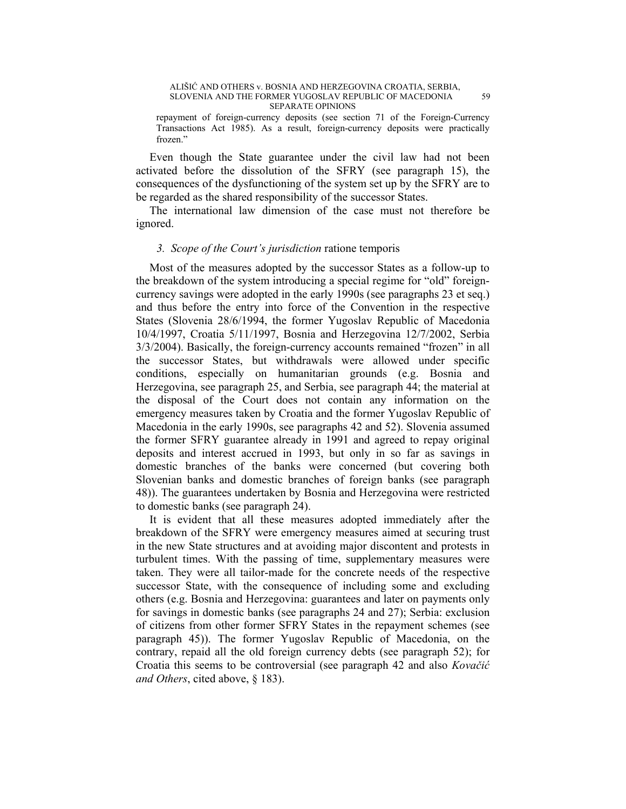repayment of foreign-currency deposits (see section 71 of the Foreign-Currency Transactions Act 1985). As a result, foreign-currency deposits were practically frozen."

Even though the State guarantee under the civil law had not been activated before the dissolution of the SFRY (see paragraph 15), the consequences of the dysfunctioning of the system set up by the SFRY are to be regarded as the shared responsibility of the successor States.

The international law dimension of the case must not therefore be ignored.

## *3. Scope of the Court's jurisdiction* ratione temporis

Most of the measures adopted by the successor States as a follow-up to the breakdown of the system introducing a special regime for "old" foreigncurrency savings were adopted in the early 1990s (see paragraphs 23 et seq.) and thus before the entry into force of the Convention in the respective States (Slovenia 28/6/1994, the former Yugoslav Republic of Macedonia 10/4/1997, Croatia 5/11/1997, Bosnia and Herzegovina 12/7/2002, Serbia 3/3/2004). Basically, the foreign-currency accounts remained "frozen" in all the successor States, but withdrawals were allowed under specific conditions, especially on humanitarian grounds (e.g. Bosnia and Herzegovina, see paragraph 25, and Serbia, see paragraph 44; the material at the disposal of the Court does not contain any information on the emergency measures taken by Croatia and the former Yugoslav Republic of Macedonia in the early 1990s, see paragraphs 42 and 52). Slovenia assumed the former SFRY guarantee already in 1991 and agreed to repay original deposits and interest accrued in 1993, but only in so far as savings in domestic branches of the banks were concerned (but covering both Slovenian banks and domestic branches of foreign banks (see paragraph 48)). The guarantees undertaken by Bosnia and Herzegovina were restricted to domestic banks (see paragraph 24).

It is evident that all these measures adopted immediately after the breakdown of the SFRY were emergency measures aimed at securing trust in the new State structures and at avoiding major discontent and protests in turbulent times. With the passing of time, supplementary measures were taken. They were all tailor-made for the concrete needs of the respective successor State, with the consequence of including some and excluding others (e.g. Bosnia and Herzegovina: guarantees and later on payments only for savings in domestic banks (see paragraphs 24 and 27); Serbia: exclusion of citizens from other former SFRY States in the repayment schemes (see paragraph 45)). The former Yugoslav Republic of Macedonia, on the contrary, repaid all the old foreign currency debts (see paragraph 52); for Croatia this seems to be controversial (see paragraph 42 and also *Kovačić and Others*, cited above, § 183).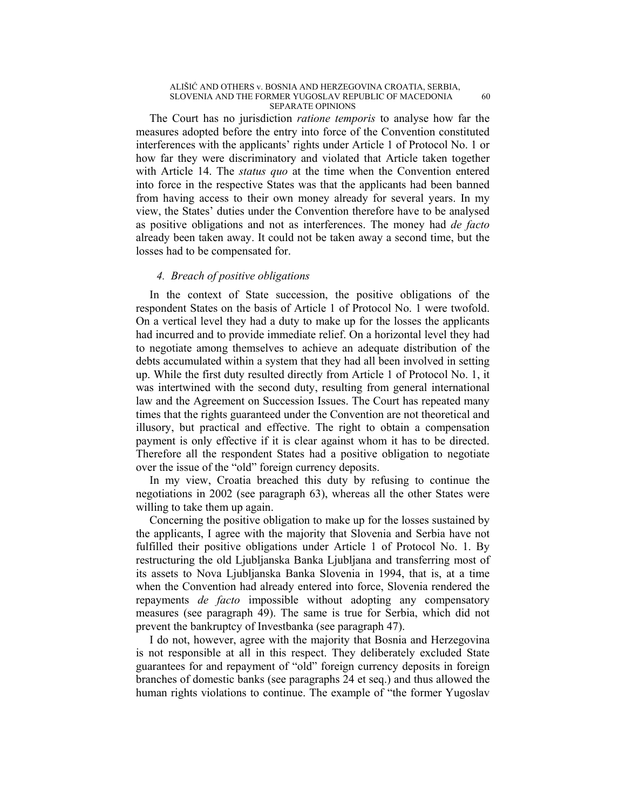The Court has no jurisdiction *ratione temporis* to analyse how far the measures adopted before the entry into force of the Convention constituted interferences with the applicants' rights under Article 1 of Protocol No. 1 or how far they were discriminatory and violated that Article taken together with Article 14. The *status quo* at the time when the Convention entered into force in the respective States was that the applicants had been banned from having access to their own money already for several years. In my view, the States' duties under the Convention therefore have to be analysed as positive obligations and not as interferences. The money had *de facto* already been taken away. It could not be taken away a second time, but the losses had to be compensated for.

## *4. Breach of positive obligations*

In the context of State succession, the positive obligations of the respondent States on the basis of Article 1 of Protocol No. 1 were twofold. On a vertical level they had a duty to make up for the losses the applicants had incurred and to provide immediate relief. On a horizontal level they had to negotiate among themselves to achieve an adequate distribution of the debts accumulated within a system that they had all been involved in setting up. While the first duty resulted directly from Article 1 of Protocol No. 1, it was intertwined with the second duty, resulting from general international law and the Agreement on Succession Issues. The Court has repeated many times that the rights guaranteed under the Convention are not theoretical and illusory, but practical and effective. The right to obtain a compensation payment is only effective if it is clear against whom it has to be directed. Therefore all the respondent States had a positive obligation to negotiate over the issue of the "old" foreign currency deposits.

In my view, Croatia breached this duty by refusing to continue the negotiations in 2002 (see paragraph 63), whereas all the other States were willing to take them up again.

Concerning the positive obligation to make up for the losses sustained by the applicants, I agree with the majority that Slovenia and Serbia have not fulfilled their positive obligations under Article 1 of Protocol No. 1. By restructuring the old Ljubljanska Banka Ljubljana and transferring most of its assets to Nova Ljubljanska Banka Slovenia in 1994, that is, at a time when the Convention had already entered into force, Slovenia rendered the repayments *de facto* impossible without adopting any compensatory measures (see paragraph 49). The same is true for Serbia, which did not prevent the bankruptcy of Investbanka (see paragraph 47).

I do not, however, agree with the majority that Bosnia and Herzegovina is not responsible at all in this respect. They deliberately excluded State guarantees for and repayment of "old" foreign currency deposits in foreign branches of domestic banks (see paragraphs 24 et seq.) and thus allowed the human rights violations to continue. The example of "the former Yugoslav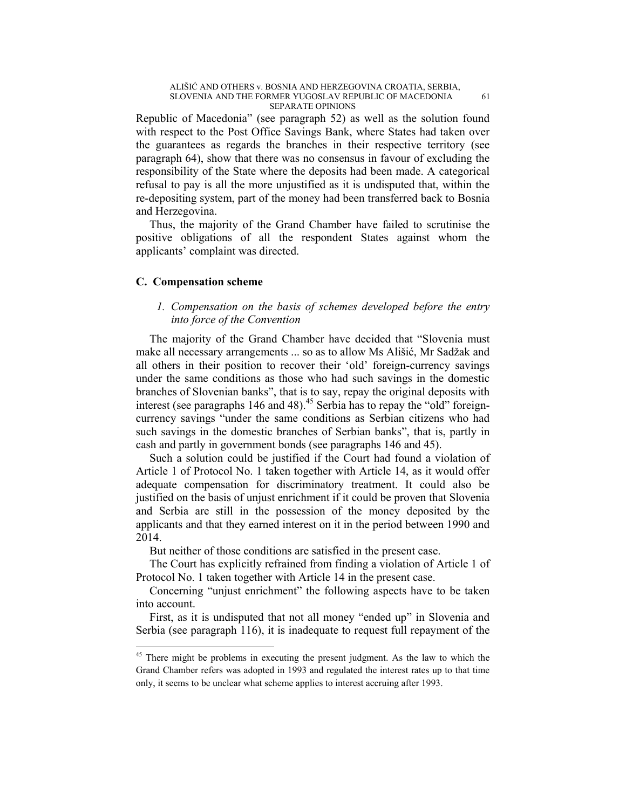Republic of Macedonia" (see paragraph 52) as well as the solution found with respect to the Post Office Savings Bank, where States had taken over the guarantees as regards the branches in their respective territory (see paragraph 64), show that there was no consensus in favour of excluding the responsibility of the State where the deposits had been made. A categorical refusal to pay is all the more unjustified as it is undisputed that, within the re-depositing system, part of the money had been transferred back to Bosnia and Herzegovina.

Thus, the majority of the Grand Chamber have failed to scrutinise the positive obligations of all the respondent States against whom the applicants' complaint was directed.

## **C. Compensation scheme**

 $\overline{a}$ 

## *1. Compensation on the basis of schemes developed before the entry into force of the Convention*

The majority of the Grand Chamber have decided that "Slovenia must make all necessary arrangements ... so as to allow Ms Ališić, Mr Sadžak and all others in their position to recover their 'old' foreign-currency savings under the same conditions as those who had such savings in the domestic branches of Slovenian banks", that is to say, repay the original deposits with interest (see paragraphs 146 and 48).<sup>45</sup> Serbia has to repay the "old" foreigncurrency savings "under the same conditions as Serbian citizens who had such savings in the domestic branches of Serbian banks", that is, partly in cash and partly in government bonds (see paragraphs 146 and 45).

Such a solution could be justified if the Court had found a violation of Article 1 of Protocol No. 1 taken together with Article 14, as it would offer adequate compensation for discriminatory treatment. It could also be justified on the basis of unjust enrichment if it could be proven that Slovenia and Serbia are still in the possession of the money deposited by the applicants and that they earned interest on it in the period between 1990 and 2014.

But neither of those conditions are satisfied in the present case.

The Court has explicitly refrained from finding a violation of Article 1 of Protocol No. 1 taken together with Article 14 in the present case.

Concerning "unjust enrichment" the following aspects have to be taken into account.

First, as it is undisputed that not all money "ended up" in Slovenia and Serbia (see paragraph 116), it is inadequate to request full repayment of the

<sup>&</sup>lt;sup>45</sup> There might be problems in executing the present judgment. As the law to which the Grand Chamber refers was adopted in 1993 and regulated the interest rates up to that time only, it seems to be unclear what scheme applies to interest accruing after 1993.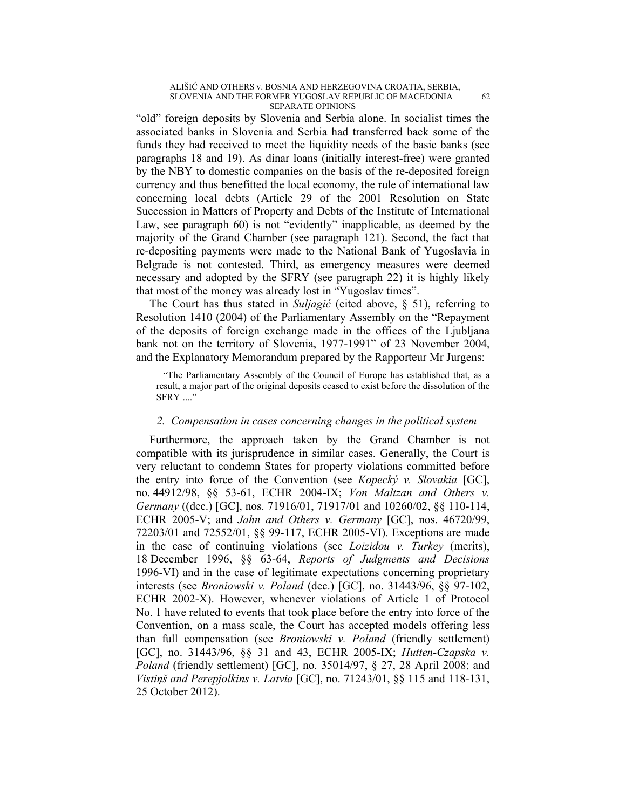"old" foreign deposits by Slovenia and Serbia alone. In socialist times the associated banks in Slovenia and Serbia had transferred back some of the funds they had received to meet the liquidity needs of the basic banks (see paragraphs 18 and 19). As dinar loans (initially interest-free) were granted by the NBY to domestic companies on the basis of the re-deposited foreign currency and thus benefitted the local economy, the rule of international law concerning local debts (Article 29 of the 2001 Resolution on State Succession in Matters of Property and Debts of the Institute of International Law, see paragraph 60) is not "evidently" inapplicable, as deemed by the majority of the Grand Chamber (see paragraph 121). Second, the fact that re-depositing payments were made to the National Bank of Yugoslavia in Belgrade is not contested. Third, as emergency measures were deemed necessary and adopted by the SFRY (see paragraph 22) it is highly likely that most of the money was already lost in "Yugoslav times".

The Court has thus stated in *Suljagić* (cited above, § 51), referring to Resolution 1410 (2004) of the Parliamentary Assembly on the "Repayment of the deposits of foreign exchange made in the offices of the Ljubljana bank not on the territory of Slovenia, 1977-1991" of 23 November 2004, and the Explanatory Memorandum prepared by the Rapporteur Mr Jurgens:

"The Parliamentary Assembly of the Council of Europe has established that, as a result, a major part of the original deposits ceased to exist before the dissolution of the SFRY ...."

## *2. Compensation in cases concerning changes in the political system*

Furthermore, the approach taken by the Grand Chamber is not compatible with its jurisprudence in similar cases. Generally, the Court is very reluctant to condemn States for property violations committed before the entry into force of the Convention (see *Kopecký v. Slovakia* [GC], no. 44912/98, §§ 53-61, ECHR 2004-IX; *Von Maltzan and Others v. Germany* ((dec.) [GC], nos. 71916/01, 71917/01 and 10260/02, §§ 110-114, ECHR 2005-V; and *Jahn and Others v. Germany* [GC], nos. 46720/99, 72203/01 and 72552/01, §§ 99-117, ECHR 2005-VI). Exceptions are made in the case of continuing violations (see *Loizidou v. Turkey* (merits), 18 December 1996, §§ 63-64, *Reports of Judgments and Decisions* 1996-VI) and in the case of legitimate expectations concerning proprietary interests (see *Broniowski v. Poland* (dec.) [GC], no. 31443/96, §§ 97-102, ECHR 2002-X). However, whenever violations of Article 1 of Protocol No. 1 have related to events that took place before the entry into force of the Convention, on a mass scale, the Court has accepted models offering less than full compensation (see *Broniowski v. Poland* (friendly settlement) [GC], no. 31443/96, §§ 31 and 43, ECHR 2005-IX; *Hutten-Czapska v. Poland* (friendly settlement) [GC], no. 35014/97, § 27, 28 April 2008; and *Vistiņš and Perepjolkins v. Latvia* [GC], no. 71243/01, §§ 115 and 118-131, 25 October 2012).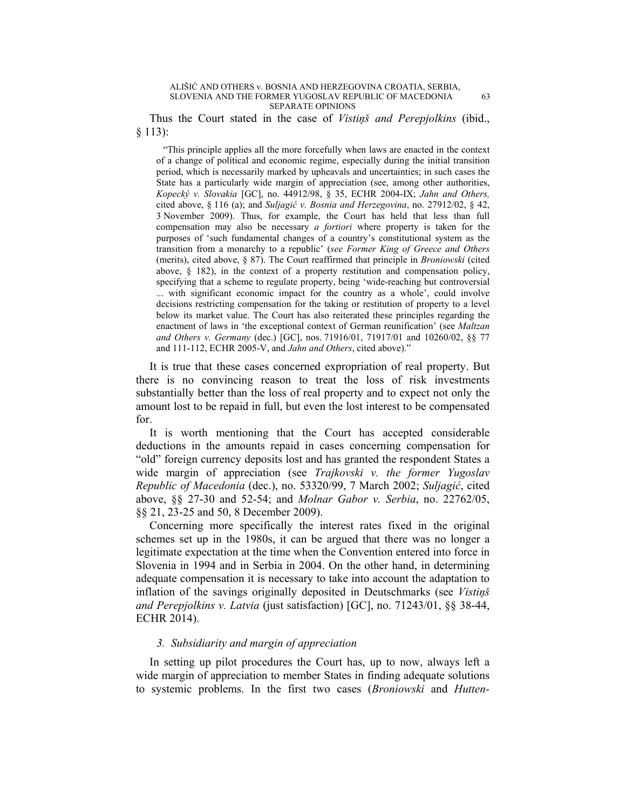Thus the Court stated in the case of *Vistiņš and Perepjolkins* (ibid., § 113):

"This principle applies all the more forcefully when laws are enacted in the context of a change of political and economic regime, especially during the initial transition period, which is necessarily marked by upheavals and uncertainties; in such cases the State has a particularly wide margin of appreciation (see, among other authorities, *Kopecký v. Slovakia* [GC], no. 44912/98, § 35, ECHR 2004-IX; *Jahn and Others,*  cited above, § 116 (a); and *Suljagić v. Bosnia and Herzegovina*, no. 27912/02, § 42, 3 November 2009). Thus, for example, the Court has held that less than full compensation may also be necessary *a fortiori* where property is taken for the purposes of 'such fundamental changes of a country's constitutional system as the transition from a monarchy to a republic' (*see Former King of Greece and Others* (merits), cited above, § 87). The Court reaffirmed that principle in *Broniowski* (cited above, § 182), in the context of a property restitution and compensation policy, specifying that a scheme to regulate property, being 'wide-reaching but controversial ... with significant economic impact for the country as a whole', could involve decisions restricting compensation for the taking or restitution of property to a level below its market value. The Court has also reiterated these principles regarding the enactment of laws in 'the exceptional context of German reunification' (see *Maltzan and Others v. Germany* (dec.) [GC], nos. 71916/01, 71917/01 and 10260/02, §§ 77 and 111-112, ECHR 2005-V, and *Jahn and Others*, cited above)."

It is true that these cases concerned expropriation of real property. But there is no convincing reason to treat the loss of risk investments substantially better than the loss of real property and to expect not only the amount lost to be repaid in full, but even the lost interest to be compensated for.

It is worth mentioning that the Court has accepted considerable deductions in the amounts repaid in cases concerning compensation for "old" foreign currency deposits lost and has granted the respondent States a wide margin of appreciation (see *Trajkovski v. the former Yugoslav Republic of Macedonia* (dec.), no. 53320/99, 7 March 2002; *Suljagić*, cited above, §§ 27-30 and 52-54; and *Molnar Gabor v. Serbia*, no. 22762/05, §§ 21, 23-25 and 50, 8 December 2009).

Concerning more specifically the interest rates fixed in the original schemes set up in the 1980s, it can be argued that there was no longer a legitimate expectation at the time when the Convention entered into force in Slovenia in 1994 and in Serbia in 2004. On the other hand, in determining adequate compensation it is necessary to take into account the adaptation to inflation of the savings originally deposited in Deutschmarks (see *Vistiņš and Perepjolkins v. Latvia* (just satisfaction) [GC], no. 71243/01, §§ 38-44, ECHR 2014).

## *3. Subsidiarity and margin of appreciation*

In setting up pilot procedures the Court has, up to now, always left a wide margin of appreciation to member States in finding adequate solutions to systemic problems. In the first two cases (*Broniowski* and *Hutten-*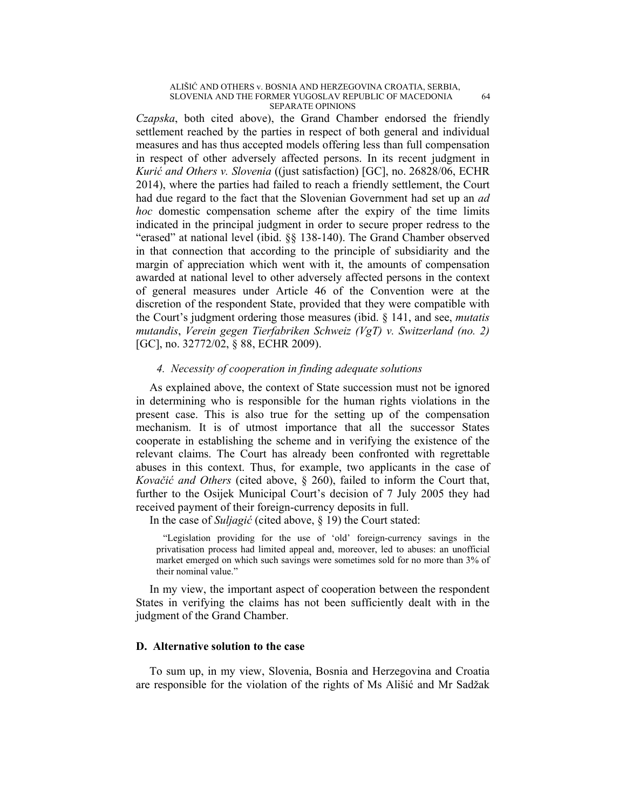*Czapska*, both cited above), the Grand Chamber endorsed the friendly settlement reached by the parties in respect of both general and individual measures and has thus accepted models offering less than full compensation in respect of other adversely affected persons. In its recent judgment in *Kurić and Others v. Slovenia* ((just satisfaction) [GC], no. 26828/06, ECHR 2014), where the parties had failed to reach a friendly settlement, the Court had due regard to the fact that the Slovenian Government had set up an *ad hoc* domestic compensation scheme after the expiry of the time limits indicated in the principal judgment in order to secure proper redress to the "erased" at national level (ibid. §§ 138-140). The Grand Chamber observed in that connection that according to the principle of subsidiarity and the margin of appreciation which went with it, the amounts of compensation awarded at national level to other adversely affected persons in the context of general measures under Article 46 of the Convention were at the discretion of the respondent State, provided that they were compatible with the Court's judgment ordering those measures (ibid. § 141, and see, *mutatis mutandis*, *Verein gegen Tierfabriken Schweiz (VgT) v. Switzerland (no. 2)* [GC], no. 32772/02, § 88, ECHR 2009).

## *4. Necessity of cooperation in finding adequate solutions*

As explained above, the context of State succession must not be ignored in determining who is responsible for the human rights violations in the present case. This is also true for the setting up of the compensation mechanism. It is of utmost importance that all the successor States cooperate in establishing the scheme and in verifying the existence of the relevant claims. The Court has already been confronted with regrettable abuses in this context. Thus, for example, two applicants in the case of *Kovačić and Others* (cited above, § 260), failed to inform the Court that, further to the Osijek Municipal Court's decision of 7 July 2005 they had received payment of their foreign-currency deposits in full.

In the case of *Suljagić* (cited above, § 19) the Court stated:

"Legislation providing for the use of 'old' foreign-currency savings in the privatisation process had limited appeal and, moreover, led to abuses: an unofficial market emerged on which such savings were sometimes sold for no more than 3% of their nominal value."

In my view, the important aspect of cooperation between the respondent States in verifying the claims has not been sufficiently dealt with in the judgment of the Grand Chamber.

## **D. Alternative solution to the case**

To sum up, in my view, Slovenia, Bosnia and Herzegovina and Croatia are responsible for the violation of the rights of Ms Ališić and Mr Sadžak